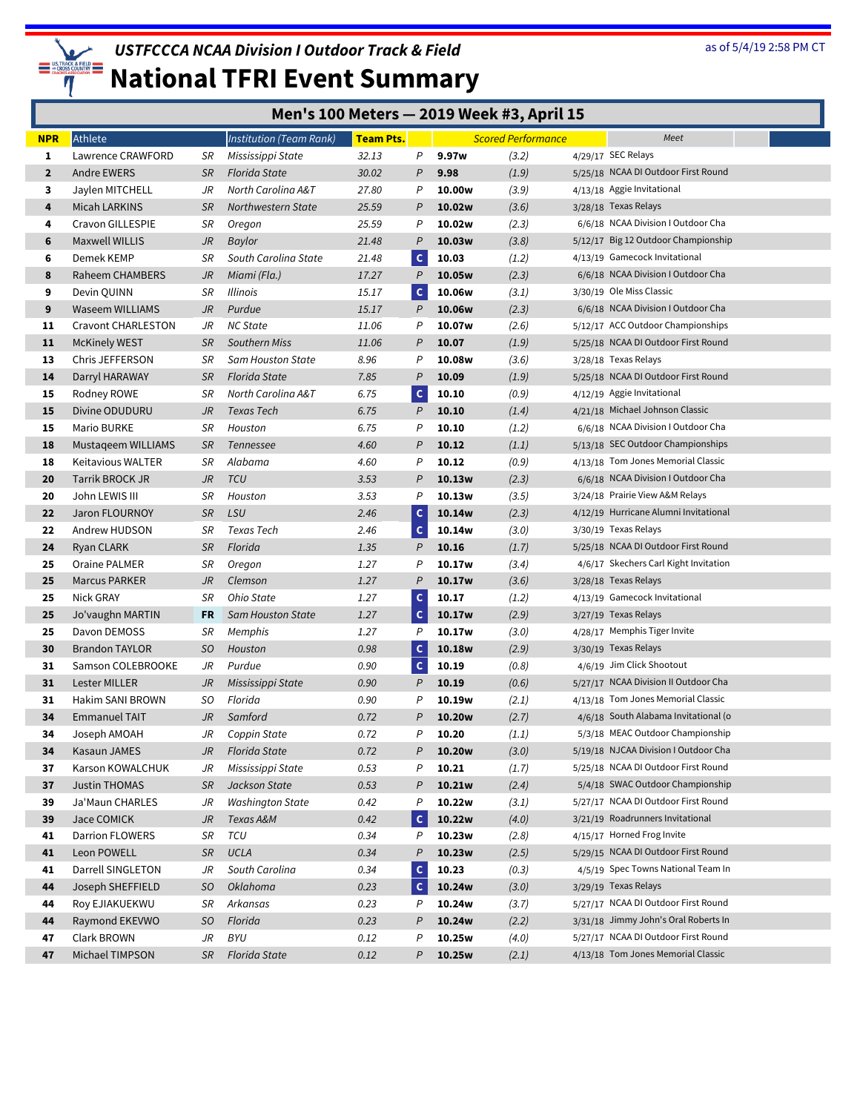

| <b>NPR</b>   | Athlete                   |                | Institution (Team Rank)  | <b>Team Pts.</b> |                |                    | <b>Scored Performance</b> | Meet                                  |
|--------------|---------------------------|----------------|--------------------------|------------------|----------------|--------------------|---------------------------|---------------------------------------|
| 1            | Lawrence CRAWFORD         | SR             | Mississippi State        | 32.13            | P              | 9.97w              | (3.2)                     | 4/29/17 SEC Relays                    |
| $\mathbf{2}$ | Andre EWERS               | <b>SR</b>      | Florida State            | 30.02            | P              | 9.98               | (1.9)                     | 5/25/18 NCAA DI Outdoor First Round   |
| 3            | Jaylen MITCHELL           | JR             | North Carolina A&T       | 27.80            | Ρ              | 10.00w             | (3.9)                     | 4/13/18 Aggie Invitational            |
| 4            | Micah LARKINS             | <b>SR</b>      | Northwestern State       | 25.59            | P              | 10.02w             | (3.6)                     | 3/28/18 Texas Relays                  |
| 4            | Cravon GILLESPIE          | SR             | Oregon                   | 25.59            | P              | 10.02w             | (2.3)                     | 6/6/18 NCAA Division I Outdoor Cha    |
| 6            | Maxwell WILLIS            | JR             | Baylor                   | 21.48            | P              | 10.03w             | (3.8)                     | 5/12/17 Big 12 Outdoor Championship   |
| 6            | Demek KEMP                | SR             | South Carolina State     | 21.48            | $\mathsf{C}$   | 10.03              | (1.2)                     | 4/13/19 Gamecock Invitational         |
| 8            | Raheem CHAMBERS           | JR             | Miami (Fla.)             | 17.27            | $\overline{P}$ | 10.05w             | (2.3)                     | 6/6/18 NCAA Division I Outdoor Cha    |
| 9            | Devin QUINN               | SR             | <b>Illinois</b>          | 15.17            | $\mathsf{C}$   | 10.06w             | (3.1)                     | 3/30/19 Ole Miss Classic              |
| 9            | <b>Waseem WILLIAMS</b>    | J <sub>R</sub> | Purdue                   | 15.17            | P              | 10.06w             | (2.3)                     | 6/6/18 NCAA Division I Outdoor Cha    |
| 11           | <b>Cravont CHARLESTON</b> | JR             | <b>NC State</b>          | 11.06            | P              | 10.07w             | (2.6)                     | 5/12/17 ACC Outdoor Championships     |
| 11           | <b>McKinely WEST</b>      | <b>SR</b>      | Southern Miss            | 11.06            | P              | 10.07              | (1.9)                     | 5/25/18 NCAA DI Outdoor First Round   |
| 13           | Chris JEFFERSON           | SR             | Sam Houston State        | 8.96             | P              | 10.08w             | (3.6)                     | 3/28/18 Texas Relays                  |
| 14           | Darryl HARAWAY            | <b>SR</b>      | <b>Florida State</b>     | 7.85             | P              | 10.09              | (1.9)                     | 5/25/18 NCAA DI Outdoor First Round   |
| 15           | Rodney ROWE               | SR             | North Carolina A&T       | 6.75             | $\mathsf{C}$   | 10.10              | (0.9)                     | 4/12/19 Aggie Invitational            |
| 15           | Divine ODUDURU            | JR             | Texas Tech               | 6.75             | P              | 10.10              | (1.4)                     | 4/21/18 Michael Johnson Classic       |
| 15           | Mario BURKE               | SR             | Houston                  | 6.75             | P              | 10.10              | (1.2)                     | 6/6/18 NCAA Division I Outdoor Cha    |
| 18           | Mustageem WILLIAMS        | SR             | Tennessee                | 4.60             | P              | 10.12              | (1.1)                     | 5/13/18 SEC Outdoor Championships     |
| 18           | Keitavious WALTER         | SR             | Alabama                  | 4.60             | P              | 10.12              | (0.9)                     | 4/13/18 Tom Jones Memorial Classic    |
| 20           | Tarrik BROCK JR           | JR             | <b>TCU</b>               | 3.53             | P              | 10.13w             | (2.3)                     | 6/6/18 NCAA Division I Outdoor Cha    |
| 20           | John LEWIS III            | SR             | Houston                  | 3.53             | P              | 10.13w             | (3.5)                     | 3/24/18 Prairie View A&M Relays       |
| 22           | Jaron FLOURNOY            | <b>SR</b>      | LSU                      | 2.46             | $\mathsf{C}$   | 10.14w             | (2.3)                     | 4/12/19 Hurricane Alumni Invitational |
| 22           | Andrew HUDSON             | SR             | Texas Tech               | 2.46             | c              | 10.14w             | (3.0)                     | 3/30/19 Texas Relays                  |
| 24           | Ryan CLARK                | <b>SR</b>      | Florida                  | 1.35             | P              | 10.16              | (1.7)                     | 5/25/18 NCAA DI Outdoor First Round   |
| 25           | Oraine PALMER             | SR             | Oregon                   | 1.27             | P              | 10.17w             | (3.4)                     | 4/6/17 Skechers Carl Kight Invitation |
| 25           | <b>Marcus PARKER</b>      | JR             | Clemson                  | 1.27             | P              | 10.17w             | (3.6)                     | 3/28/18 Texas Relays                  |
| 25           | <b>Nick GRAY</b>          | SR             | Ohio State               | 1.27             | $\mathsf{C}$   | 10.17              | (1.2)                     | 4/13/19 Gamecock Invitational         |
| 25           | Jo'vaughn MARTIN          | FR             | <b>Sam Houston State</b> | 1.27             | c              | 10.17w             | (2.9)                     | 3/27/19 Texas Relays                  |
| 25           | Davon DEMOSS              | SR             | Memphis                  | 1.27             | P              | 10.17w             | (3.0)                     | 4/28/17 Memphis Tiger Invite          |
| 30           | <b>Brandon TAYLOR</b>     | SO.            | Houston                  | 0.98             | $\mathsf{C}$   | 10.18w             | (2.9)                     | 3/30/19 Texas Relays                  |
| 31           | Samson COLEBROOKE         | JR             | Purdue                   | 0.90             | c              | 10.19              | (0.8)                     | 4/6/19 Jim Click Shootout             |
| 31           | Lester MILLER             | JR             | Mississippi State        | 0.90             | P              | 10.19              | (0.6)                     | 5/27/17 NCAA Division II Outdoor Cha  |
| 31           | <b>Hakim SANI BROWN</b>   | SO.            | Florida                  | 0.90             | P              | 10.19w             | (2.1)                     | 4/13/18 Tom Jones Memorial Classic    |
| 34           | <b>Emmanuel TAIT</b>      | JR             | Samford                  | 0.72             | P              | 10.20 <sub>w</sub> | (2.7)                     | 4/6/18 South Alabama Invitational (o  |
| 34           | Joseph AMOAH              | JR             | Coppin State             | 0.72             | P              | 10.20              | (1.1)                     | 5/3/18 MEAC Outdoor Championship      |
| 34           | Kasaun JAMES              | JR             | <b>Florida State</b>     | 0.72             | P              | 10.20 <sub>w</sub> | (3.0)                     | 5/19/18 NJCAA Division I Outdoor Cha  |
| 37           | Karson KOWALCHUK          | JR             | Mississippi State        | 0.53             | P              | 10.21              | (1.7)                     | 5/25/18 NCAA DI Outdoor First Round   |
| 37           | <b>Justin THOMAS</b>      | <b>SR</b>      | Jackson State            | 0.53             | Ρ              | 10.21w             | (2.4)                     | 5/4/18 SWAC Outdoor Championship      |
| 39           | Ja'Maun CHARLES           | JR             | <b>Washington State</b>  | 0.42             | P              | 10.22w             | (3.1)                     | 5/27/17 NCAA DI Outdoor First Round   |
| 39           | Jace COMICK               | $J\!R$         | Texas A&M                | 0.42             | $\mathsf{C}$   | 10.22w             | (4.0)                     | 3/21/19 Roadrunners Invitational      |
| 41           | <b>Darrion FLOWERS</b>    | SR             | TCU                      | 0.34             | P              | 10.23w             | (2.8)                     | 4/15/17 Horned Frog Invite            |
| 41           | Leon POWELL               | SR             | <b>UCLA</b>              | 0.34             | $\mathsf{P}$   | 10.23w             | (2.5)                     | 5/29/15 NCAA DI Outdoor First Round   |
| 41           | Darrell SINGLETON         | JR             | South Carolina           | 0.34             | $\mathsf{C}$   | 10.23              | (0.3)                     | 4/5/19 Spec Towns National Team In    |
| 44           | Joseph SHEFFIELD          | SO             | <b>Oklahoma</b>          | 0.23             | $\mathsf{C}$   | 10.24w             | (3.0)                     | 3/29/19 Texas Relays                  |
| 44           | Roy EJIAKUEKWU            | SR             | Arkansas                 | 0.23             | P              | 10.24w             | (3.7)                     | 5/27/17 NCAA DI Outdoor First Round   |
| 44           | Raymond EKEVWO            | SO             | Florida                  | 0.23             | P              | 10.24w             | (2.2)                     | 3/31/18 Jimmy John's Oral Roberts In  |
| 47           | Clark BROWN               | JR             | BYU                      | 0.12             | P              | 10.25w             | (4.0)                     | 5/27/17 NCAA DI Outdoor First Round   |
| 47           | Michael TIMPSON           | SR             | <b>Florida State</b>     | 0.12             | P              | 10.25w             | (2.1)                     | 4/13/18 Tom Jones Memorial Classic    |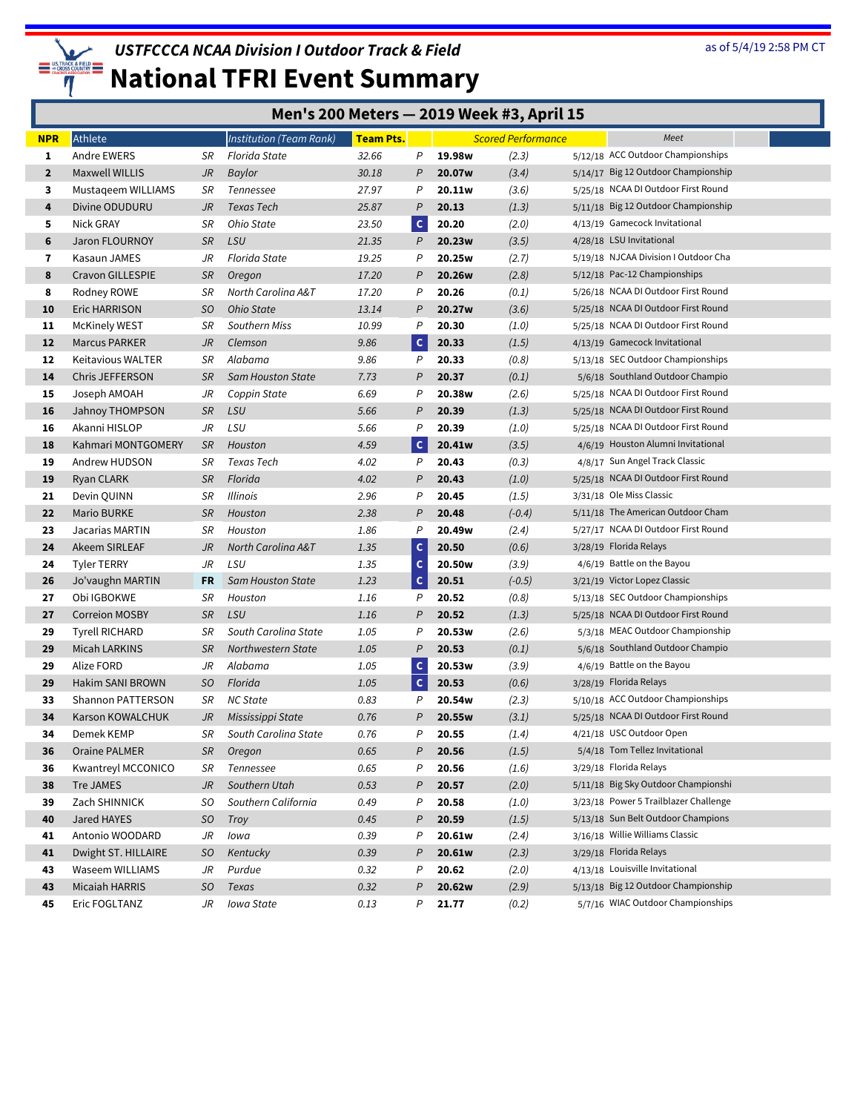

|              | Men's 200 Meters - 2019 Week #3, April 15 |           |                          |                  |                |        |                           |  |                                       |  |  |  |  |
|--------------|-------------------------------------------|-----------|--------------------------|------------------|----------------|--------|---------------------------|--|---------------------------------------|--|--|--|--|
| <b>NPR</b>   | Athlete                                   |           | Institution (Team Rank)  | <b>Team Pts.</b> |                |        | <b>Scored Performance</b> |  | Meet                                  |  |  |  |  |
| 1            | Andre EWERS                               | SR        | Florida State            | 32.66            | P              | 19.98w | (2.3)                     |  | 5/12/18 ACC Outdoor Championships     |  |  |  |  |
| $\mathbf{2}$ | <b>Maxwell WILLIS</b>                     | JR        | Baylor                   | 30.18            | P              | 20.07w | (3.4)                     |  | 5/14/17 Big 12 Outdoor Championship   |  |  |  |  |
| 3            | Mustageem WILLIAMS                        | SR        | Tennessee                | 27.97            | Ρ              | 20.11w | (3.6)                     |  | 5/25/18 NCAA DI Outdoor First Round   |  |  |  |  |
| 4            | Divine ODUDURU                            | JR        | Texas Tech               | 25.87            | P              | 20.13  | (1.3)                     |  | 5/11/18 Big 12 Outdoor Championship   |  |  |  |  |
| 5            | Nick GRAY                                 | SR        | Ohio State               | 23.50            | $\mathsf{C}$   | 20.20  | (2.0)                     |  | 4/13/19 Gamecock Invitational         |  |  |  |  |
| 6            | Jaron FLOURNOY                            | <b>SR</b> | LSU                      | 21.35            | P              | 20.23w | (3.5)                     |  | 4/28/18 LSU Invitational              |  |  |  |  |
| 7            | Kasaun JAMES                              | JR        | Florida State            | 19.25            | Ρ              | 20.25w | (2.7)                     |  | 5/19/18 NJCAA Division I Outdoor Cha  |  |  |  |  |
| 8            | <b>Cravon GILLESPIE</b>                   | <b>SR</b> | Oregon                   | 17.20            | P              | 20.26w | (2.8)                     |  | 5/12/18 Pac-12 Championships          |  |  |  |  |
| 8            | Rodney ROWE                               | SR        | North Carolina A&T       | 17.20            | Ρ              | 20.26  | (0.1)                     |  | 5/26/18 NCAA DI Outdoor First Round   |  |  |  |  |
| 10           | Eric HARRISON                             | SO        | Ohio State               | 13.14            | $\overline{P}$ | 20.27w | (3.6)                     |  | 5/25/18 NCAA DI Outdoor First Round   |  |  |  |  |
| 11           | McKinely WEST                             | SR        | Southern Miss            | 10.99            | P              | 20.30  | (1.0)                     |  | 5/25/18 NCAA DI Outdoor First Round   |  |  |  |  |
| 12           | <b>Marcus PARKER</b>                      | JR        | Clemson                  | 9.86             | $\mathsf{C}$   | 20.33  | (1.5)                     |  | 4/13/19 Gamecock Invitational         |  |  |  |  |
| 12           | Keitavious WALTER                         | SR        | Alabama                  | 9.86             | P              | 20.33  | (0.8)                     |  | 5/13/18 SEC Outdoor Championships     |  |  |  |  |
| 14           | Chris JEFFERSON                           | <b>SR</b> | <b>Sam Houston State</b> | 7.73             | P              | 20.37  | (0.1)                     |  | 5/6/18 Southland Outdoor Champio      |  |  |  |  |
| 15           | Joseph AMOAH                              | JR        | Coppin State             | 6.69             | Ρ              | 20.38w | (2.6)                     |  | 5/25/18 NCAA DI Outdoor First Round   |  |  |  |  |
| 16           | Jahnoy THOMPSON                           | <b>SR</b> | LSU                      | 5.66             | $\overline{P}$ | 20.39  | (1.3)                     |  | 5/25/18 NCAA DI Outdoor First Round   |  |  |  |  |
| 16           | Akanni HISLOP                             | JR        | LSU                      | 5.66             | P              | 20.39  | (1.0)                     |  | 5/25/18 NCAA DI Outdoor First Round   |  |  |  |  |
| 18           | Kahmari MONTGOMERY                        | <b>SR</b> | Houston                  | 4.59             | $\mathsf{C}$   | 20.41w | (3.5)                     |  | 4/6/19 Houston Alumni Invitational    |  |  |  |  |
| 19           | Andrew HUDSON                             | SR        | Texas Tech               | 4.02             | P              | 20.43  | (0.3)                     |  | 4/8/17 Sun Angel Track Classic        |  |  |  |  |
| 19           | Ryan CLARK                                | <b>SR</b> | Florida                  | 4.02             | P              | 20.43  | (1.0)                     |  | 5/25/18 NCAA DI Outdoor First Round   |  |  |  |  |
| 21           | Devin QUINN                               | SR        | Illinois                 | 2.96             | P              | 20.45  | (1.5)                     |  | 3/31/18 Ole Miss Classic              |  |  |  |  |
| 22           | Mario BURKE                               | <b>SR</b> | Houston                  | 2.38             | P              | 20.48  | $(-0.4)$                  |  | 5/11/18 The American Outdoor Cham     |  |  |  |  |
| 23           | Jacarias MARTIN                           | SR        | Houston                  | 1.86             | P              | 20.49w | (2.4)                     |  | 5/27/17 NCAA DI Outdoor First Round   |  |  |  |  |
| 24           | Akeem SIRLEAF                             | JR        | North Carolina A&T       | 1.35             | $\mathsf{C}$   | 20.50  | (0.6)                     |  | 3/28/19 Florida Relays                |  |  |  |  |
| 24           | <b>Tyler TERRY</b>                        | JR        | LSU                      | 1.35             | $\mathsf{C}$   | 20.50w | (3.9)                     |  | 4/6/19 Battle on the Bayou            |  |  |  |  |
| 26           | Jo'vaughn MARTIN                          | FR        | <b>Sam Houston State</b> | 1.23             | $\mathsf{C}$   | 20.51  | $(-0.5)$                  |  | 3/21/19 Victor Lopez Classic          |  |  |  |  |
| 27           | Obi IGBOKWE                               | SR        | Houston                  | 1.16             | P              | 20.52  | (0.8)                     |  | 5/13/18 SEC Outdoor Championships     |  |  |  |  |
| 27           | <b>Correion MOSBY</b>                     | <b>SR</b> | LSU                      | 1.16             | P              | 20.52  | (1.3)                     |  | 5/25/18 NCAA DI Outdoor First Round   |  |  |  |  |
| 29           | <b>Tyrell RICHARD</b>                     | SR        | South Carolina State     | 1.05             | P              | 20.53w | (2.6)                     |  | 5/3/18 MEAC Outdoor Championship      |  |  |  |  |
| 29           | Micah LARKINS                             | <b>SR</b> | Northwestern State       | 1.05             | $\mathcal P$   | 20.53  | (0.1)                     |  | 5/6/18 Southland Outdoor Champio      |  |  |  |  |
| 29           | Alize FORD                                | JR        | Alabama                  | 1.05             | $\mathsf{C}$   | 20.53w | (3.9)                     |  | 4/6/19 Battle on the Bayou            |  |  |  |  |
| 29           | Hakim SANI BROWN                          | SO        | Florida                  | 1.05             | $\mathsf{C}$   | 20.53  | (0.6)                     |  | 3/28/19 Florida Relays                |  |  |  |  |
| 33           | Shannon PATTERSON                         | SR        | <b>NC State</b>          | 0.83             | P              | 20.54w | (2.3)                     |  | 5/10/18 ACC Outdoor Championships     |  |  |  |  |
| 34           | Karson KOWALCHUK                          | JR        | Mississippi State        | 0.76             | $\overline{P}$ | 20.55w | (3.1)                     |  | 5/25/18 NCAA DI Outdoor First Round   |  |  |  |  |
| 34           | Demek KEMP                                | SR        | South Carolina State     | 0.76             | P              | 20.55  | (1.4)                     |  | 4/21/18 USC Outdoor Open              |  |  |  |  |
| 36           | Oraine PALMER                             | <b>SR</b> | Oregon                   | 0.65             | P              | 20.56  | (1.5)                     |  | 5/4/18 Tom Tellez Invitational        |  |  |  |  |
| 36           | Kwantreyl MCCONICO                        | SR        | Tennessee                | 0.65             | Ρ              | 20.56  | (1.6)                     |  | 3/29/18 Florida Relays                |  |  |  |  |
| 38           | Tre JAMES                                 | JR        | Southern Utah            | 0.53             | P              | 20.57  | (2.0)                     |  | 5/11/18 Big Sky Outdoor Championshi   |  |  |  |  |
| 39           | Zach SHINNICK                             | SO.       | Southern California      | 0.49             | Ρ              | 20.58  | (1.0)                     |  | 3/23/18 Power 5 Trailblazer Challenge |  |  |  |  |
| 40           | Jared HAYES                               | SO        | Troy                     | 0.45             | P              | 20.59  | (1.5)                     |  | 5/13/18 Sun Belt Outdoor Champions    |  |  |  |  |
| 41           | Antonio WOODARD                           | JR        | lowa                     | 0.39             | P              | 20.61w | (2.4)                     |  | 3/16/18 Willie Williams Classic       |  |  |  |  |
| 41           | Dwight ST. HILLAIRE                       | SO.       | Kentucky                 | 0.39             | P              | 20.61w | (2.3)                     |  | 3/29/18 Florida Relays                |  |  |  |  |
| 43           | Waseem WILLIAMS                           | JR        | Purdue                   | 0.32             | Ρ              | 20.62  | (2.0)                     |  | 4/13/18 Louisville Invitational       |  |  |  |  |
| 43           | Micaiah HARRIS                            | SO        | Texas                    | 0.32             | P              | 20.62w | (2.9)                     |  | 5/13/18 Big 12 Outdoor Championship   |  |  |  |  |
| 45           | Eric FOGLTANZ                             | JR        | Iowa State               | 0.13             | Ρ              | 21.77  | (0.2)                     |  | 5/7/16 WIAC Outdoor Championships     |  |  |  |  |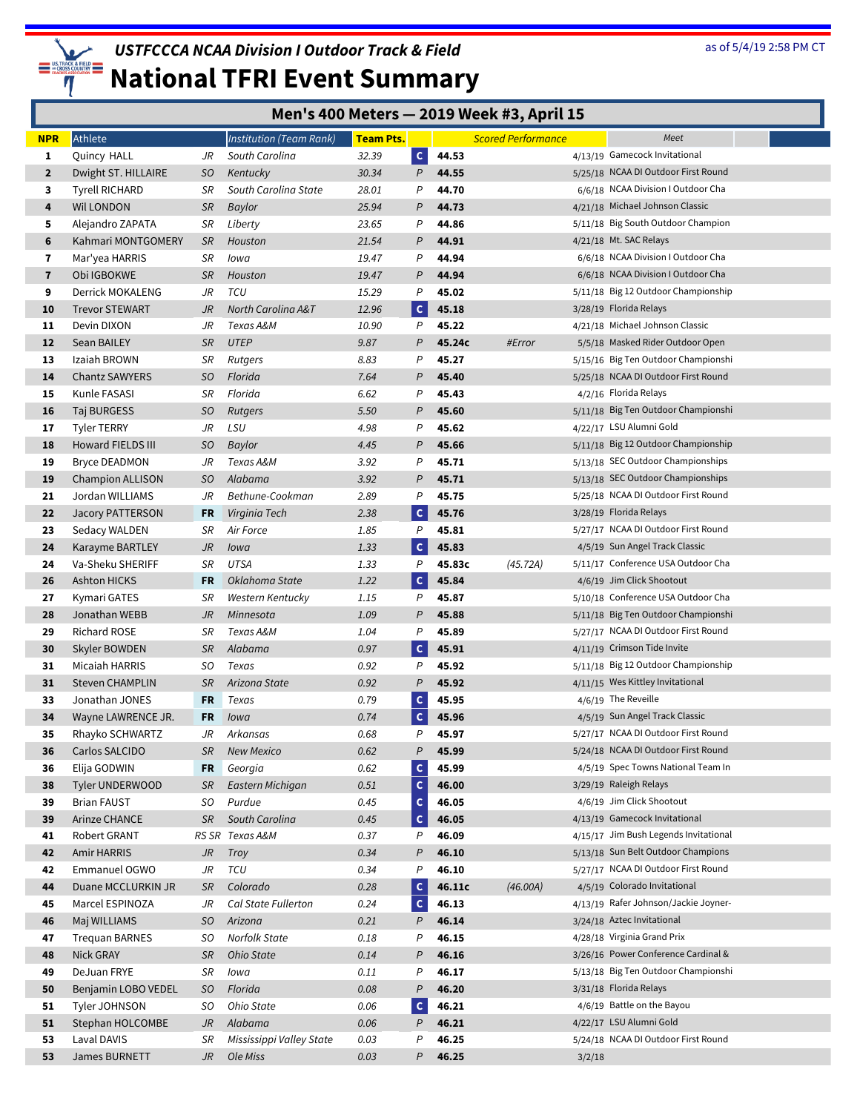

## **National TFRI Event Summary**

#### **Men's 400 Meters — 2019 Week #3, April 15**

| <b>NPR</b>   | Athlete                 |           | <b>Institution (Team Rank)</b> | <b>Team Pts.</b> |                |        | <b>Scored Performance</b> |        | Meet                                  |
|--------------|-------------------------|-----------|--------------------------------|------------------|----------------|--------|---------------------------|--------|---------------------------------------|
| 1            | Quincy HALL             | JR        | South Carolina                 | 32.39            | $\mathsf{C}$   | 44.53  |                           |        | 4/13/19 Gamecock Invitational         |
| $\mathbf{2}$ | Dwight ST. HILLAIRE     | SO.       | Kentucky                       | 30.34            | P              | 44.55  |                           |        | 5/25/18 NCAA DI Outdoor First Round   |
| 3            | <b>Tyrell RICHARD</b>   | SR        | South Carolina State           | 28.01            | P              | 44.70  |                           |        | 6/6/18 NCAA Division I Outdoor Cha    |
| 4            | Wil LONDON              | <b>SR</b> | Baylor                         | 25.94            | P              | 44.73  |                           |        | 4/21/18 Michael Johnson Classic       |
| 5            | Alejandro ZAPATA        | SR        | Liberty                        | 23.65            | P              | 44.86  |                           |        | 5/11/18 Big South Outdoor Champion    |
| 6            | Kahmari MONTGOMERY      | <b>SR</b> | Houston                        | 21.54            | P              | 44.91  |                           |        | $4/21/18$ Mt. SAC Relays              |
| 7            | Mar'yea HARRIS          | SR        | lowa                           | 19.47            | P              | 44.94  |                           |        | 6/6/18 NCAA Division I Outdoor Cha    |
| $\mathbf{7}$ | Obi IGBOKWE             | <b>SR</b> | Houston                        | 19.47            | P              | 44.94  |                           |        | 6/6/18 NCAA Division I Outdoor Cha    |
| 9            | Derrick MOKALENG        | JR        | TCU                            | 15.29            | P              | 45.02  |                           |        | 5/11/18 Big 12 Outdoor Championship   |
| 10           | <b>Trevor STEWART</b>   | JR        | North Carolina A&T             | 12.96            | $\mathsf{C}$   | 45.18  |                           |        | 3/28/19 Florida Relays                |
| 11           | Devin DIXON             | JR        | Texas A&M                      | 10.90            | P              | 45.22  |                           |        | 4/21/18 Michael Johnson Classic       |
| 12           | Sean BAILEY             | <b>SR</b> | <b>UTEP</b>                    | 9.87             | P              | 45.24c | #Error                    |        | 5/5/18 Masked Rider Outdoor Open      |
| 13           | Izaiah BROWN            | SR        | Rutgers                        | 8.83             | P              | 45.27  |                           |        | 5/15/16 Big Ten Outdoor Championshi   |
| 14           | Chantz SAWYERS          | SO.       | Florida                        | 7.64             | P              | 45.40  |                           |        | 5/25/18 NCAA DI Outdoor First Round   |
| 15           | Kunle FASASI            | SR        | Florida                        | 6.62             | P              | 45.43  |                           |        | 4/2/16 Florida Relays                 |
| 16           | <b>Taj BURGESS</b>      | SO        | <b>Rutgers</b>                 | 5.50             | P              | 45.60  |                           |        | 5/11/18 Big Ten Outdoor Championshi   |
| 17           | <b>Tyler TERRY</b>      | JR        | LSU                            | 4.98             | P              | 45.62  |                           |        | 4/22/17 LSU Alumni Gold               |
| 18           | Howard FIELDS III       | SO.       | Baylor                         | 4.45             | P              | 45.66  |                           |        | 5/11/18 Big 12 Outdoor Championship   |
| 19           | <b>Bryce DEADMON</b>    | JR        | Texas A&M                      | 3.92             | P              | 45.71  |                           |        | 5/13/18 SEC Outdoor Championships     |
| 19           | <b>Champion ALLISON</b> | SO.       | Alabama                        | 3.92             | P              | 45.71  |                           |        | 5/13/18 SEC Outdoor Championships     |
| 21           | Jordan WILLIAMS         | JR        | Bethune-Cookman                | 2.89             | $\mathsf{P}$   | 45.75  |                           |        | 5/25/18 NCAA DI Outdoor First Round   |
| 22           | <b>Jacory PATTERSON</b> | FR        | Virginia Tech                  | 2.38             | $\mathsf{C}$   | 45.76  |                           |        | 3/28/19 Florida Relays                |
| 23           | Sedacy WALDEN           | SR        | Air Force                      | 1.85             | $\mathsf{P}$   | 45.81  |                           |        | 5/27/17 NCAA DI Outdoor First Round   |
| 24           | Karayme BARTLEY         | JR        | lowa                           | 1.33             | $\mathsf{C}$   | 45.83  |                           |        | 4/5/19 Sun Angel Track Classic        |
| 24           | Va-Sheku SHERIFF        | SR        | <b>UTSA</b>                    | 1.33             | P              | 45.83c | (45.72A)                  |        | 5/11/17 Conference USA Outdoor Cha    |
| 26           | Ashton HICKS            | FR        | Oklahoma State                 | 1.22             | $\mathsf{C}$   | 45.84  |                           |        | 4/6/19 Jim Click Shootout             |
| 27           | Kymari GATES            | SR        | Western Kentucky               | 1.15             | P              | 45.87  |                           |        | 5/10/18 Conference USA Outdoor Cha    |
| 28           | Jonathan WEBB           | JR        | Minnesota                      | 1.09             | P              | 45.88  |                           |        | 5/11/18 Big Ten Outdoor Championshi   |
| 29           | <b>Richard ROSE</b>     | SR        | Texas A&M                      | 1.04             | $\overline{P}$ | 45.89  |                           |        | 5/27/17 NCAA DI Outdoor First Round   |
| 30           | Skyler BOWDEN           | <b>SR</b> | Alabama                        | 0.97             | $\mathsf{C}$   | 45.91  |                           |        | 4/11/19 Crimson Tide Invite           |
| 31           | Micaiah HARRIS          | SO        | Texas                          | 0.92             | $\mathsf{P}$   | 45.92  |                           |        | 5/11/18 Big 12 Outdoor Championship   |
| 31           | <b>Steven CHAMPLIN</b>  | <b>SR</b> | Arizona State                  | 0.92             | $\mathsf{P}$   | 45.92  |                           |        | 4/11/15 Wes Kittley Invitational      |
| 33           | Jonathan JONES          | FR        | Texas                          | 0.79             | $\mathsf{C}$   | 45.95  |                           |        | 4/6/19 The Reveille                   |
| 34           | Wayne LAWRENCE JR.      | FR        | Iowa                           | 0.74             | $\mathsf{C}$   | 45.96  |                           |        | 4/5/19 Sun Angel Track Classic        |
| 35           | Rhayko SCHWARTZ         | JR        | Arkansas                       | 0.68             | P              | 45.97  |                           |        | 5/27/17 NCAA DI Outdoor First Round   |
| 36           | Carlos SALCIDO          | <b>SR</b> | <b>New Mexico</b>              | 0.62             | P              | 45.99  |                           |        | 5/24/18 NCAA DI Outdoor First Round   |
| 36           | Elija GODWIN            | FR        | Georgia                        | 0.62             | $\mathsf{C}$   | 45.99  |                           |        | 4/5/19 Spec Towns National Team In    |
| 38           | Tyler UNDERWOOD         | <b>SR</b> | Eastern Michigan               | 0.51             | $\mathsf{C}$   | 46.00  |                           |        | 3/29/19 Raleigh Relays                |
| 39           | <b>Brian FAUST</b>      | SO        | Purdue                         | 0.45             | $\mathsf{C}$   | 46.05  |                           |        | 4/6/19 Jim Click Shootout             |
| 39           | Arinze CHANCE           | <b>SR</b> | South Carolina                 | 0.45             | $\mathsf{C}$   | 46.05  |                           |        | 4/13/19 Gamecock Invitational         |
| 41           | Robert GRANT            |           | RS SR Texas A&M                | 0.37             | P              | 46.09  |                           |        | 4/15/17 Jim Bush Legends Invitational |
| 42           | Amir HARRIS             | JR        | Troy                           | 0.34             | P              | 46.10  |                           |        | 5/13/18 Sun Belt Outdoor Champions    |
| 42           | Emmanuel OGWO           | JR        | TCU                            | 0.34             | Ρ              | 46.10  |                           |        | 5/27/17 NCAA DI Outdoor First Round   |
| 44           | Duane MCCLURKIN JR      | <b>SR</b> | Colorado                       | 0.28             | $\mathsf{C}$   | 46.11c | (46.00A)                  |        | 4/5/19 Colorado Invitational          |
| 45           | Marcel ESPINOZA         | JR        | Cal State Fullerton            | 0.24             | c              | 46.13  |                           |        | 4/13/19 Rafer Johnson/Jackie Joyner-  |
| 46           | Maj WILLIAMS            | SO        | Arizona                        | 0.21             | P              | 46.14  |                           |        | 3/24/18 Aztec Invitational            |
| 47           | <b>Trequan BARNES</b>   | SO        | Norfolk State                  | 0.18             | P              | 46.15  |                           |        | 4/28/18 Virginia Grand Prix           |
| 48           | Nick GRAY               | <b>SR</b> | Ohio State                     | 0.14             | P              | 46.16  |                           |        | 3/26/16 Power Conference Cardinal &   |
| 49           | DeJuan FRYE             | SR        | lowa                           | 0.11             | P              | 46.17  |                           |        | 5/13/18 Big Ten Outdoor Championshi   |
| 50           | Benjamin LOBO VEDEL     | SO        | Florida                        | 0.08             | P              | 46.20  |                           |        | 3/31/18 Florida Relays                |
| 51           | Tyler JOHNSON           | SO        | Ohio State                     | 0.06             | $\mathsf{C}$   | 46.21  |                           |        | 4/6/19 Battle on the Bayou            |
| 51           | Stephan HOLCOMBE        | JR        | Alabama                        | 0.06             | P              | 46.21  |                           |        | 4/22/17 LSU Alumni Gold               |
| 53           | Laval DAVIS             | SR        | Mississippi Valley State       | 0.03             | P              | 46.25  |                           |        | 5/24/18 NCAA DI Outdoor First Round   |
| 53           | James BURNETT           | JR        | Ole Miss                       | 0.03             | P              | 46.25  |                           | 3/2/18 |                                       |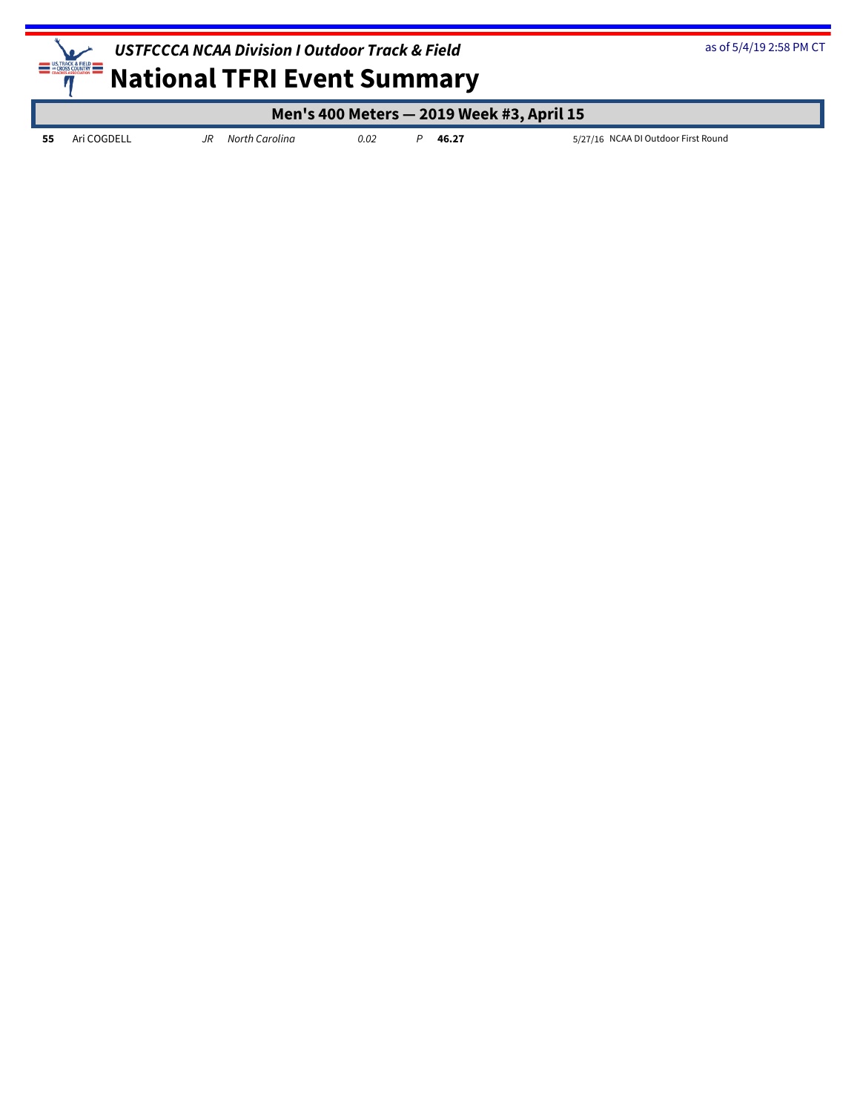

as of 5/4/19 2:58 PM CT

|             |    |                |      |       | Men's 400 Meters - 2019 Week #3, April 15 |
|-------------|----|----------------|------|-------|-------------------------------------------|
| Ari COGDELL | JR | North Carolina | 0.02 | 46.27 | 5/27/16 NCAA DI Outdoor First Round       |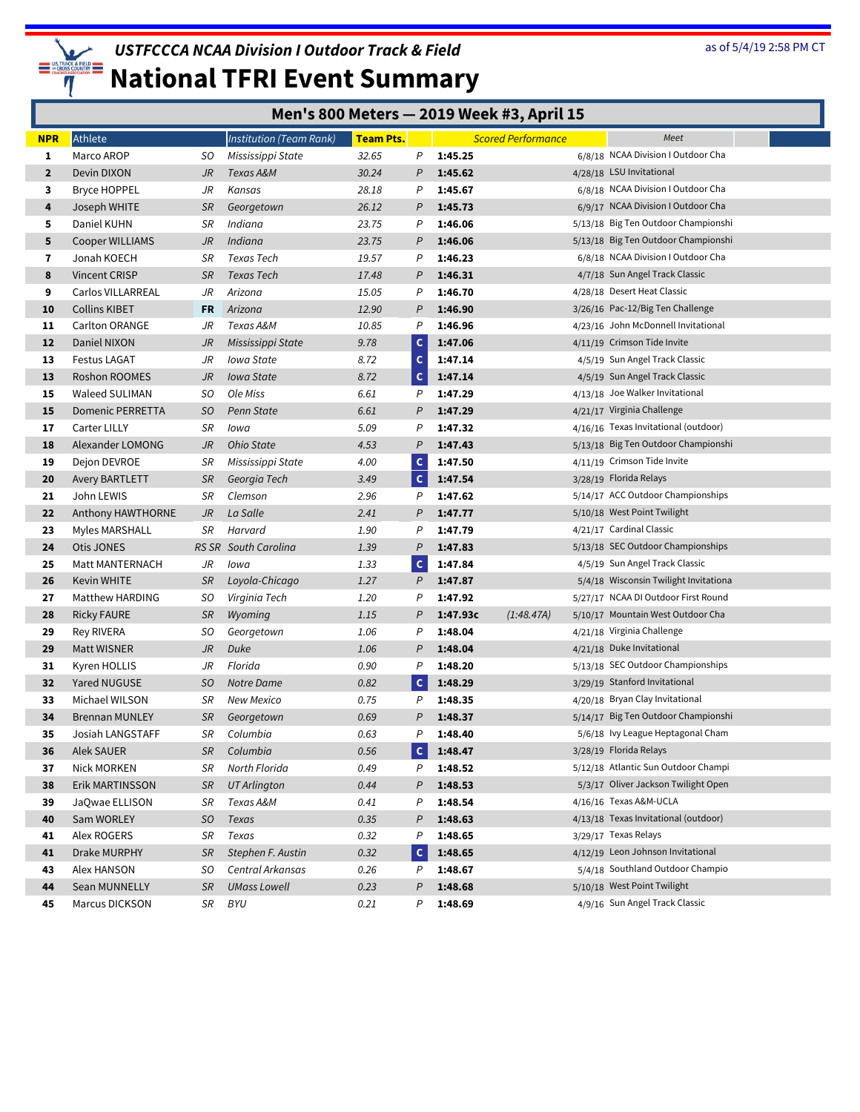

| Men's 800 Meters - 2019 Week #3, April 15 |  |  |
|-------------------------------------------|--|--|
|-------------------------------------------|--|--|

| <b>NPR</b>   | Athlete                 |           | Institution (Team Rank) | <b>Team Pts.</b> |                |          | <b>Scored Performance</b> | Meet                                  |  |
|--------------|-------------------------|-----------|-------------------------|------------------|----------------|----------|---------------------------|---------------------------------------|--|
| 1            | Marco AROP              | SO.       | Mississippi State       | 32.65            | P              | 1:45.25  |                           | 6/8/18 NCAA Division I Outdoor Cha    |  |
| $\mathbf{2}$ | Devin DIXON             | JR        | Texas A&M               | 30.24            | P              | 1:45.62  |                           | 4/28/18 LSU Invitational              |  |
| 3            | Bryce HOPPEL            | JR        | Kansas                  | 28.18            | P              | 1:45.67  |                           | 6/8/18 NCAA Division I Outdoor Cha    |  |
| 4            | Joseph WHITE            | <b>SR</b> | Georgetown              | 26.12            | P              | 1:45.73  |                           | 6/9/17 NCAA Division I Outdoor Cha    |  |
| 5            | Daniel KUHN             | SR        | Indiana                 | 23.75            | P              | 1:46.06  |                           | 5/13/18 Big Ten Outdoor Championshi   |  |
| 5            | Cooper WILLIAMS         | JR        | Indiana                 | 23.75            | P              | 1:46.06  |                           | 5/13/18 Big Ten Outdoor Championshi   |  |
| $\mathbf{7}$ | Jonah KOECH             | SR        | Texas Tech              | 19.57            | P              | 1:46.23  |                           | 6/8/18 NCAA Division I Outdoor Cha    |  |
| 8            | Vincent CRISP           | <b>SR</b> | <b>Texas Tech</b>       | 17.48            | P              | 1:46.31  |                           | 4/7/18 Sun Angel Track Classic        |  |
| 9            | Carlos VILLARREAL       | JR        | Arizona                 | 15.05            | P              | 1:46.70  |                           | 4/28/18 Desert Heat Classic           |  |
| 10           | <b>Collins KIBET</b>    | FR        | Arizona                 | 12.90            | P              | 1:46.90  |                           | 3/26/16 Pac-12/Big Ten Challenge      |  |
| 11           | Carlton ORANGE          | JR        | Texas A&M               | 10.85            | P              | 1:46.96  |                           | 4/23/16 John McDonnell Invitational   |  |
| 12           | Daniel NIXON            | JR        | Mississippi State       | 9.78             | $\mathbf{C}$   | 1:47.06  |                           | 4/11/19 Crimson Tide Invite           |  |
| 13           | <b>Festus LAGAT</b>     | JR        | Iowa State              | 8.72             | $\mathsf{C}$   | 1:47.14  |                           | 4/5/19 Sun Angel Track Classic        |  |
| 13           | Roshon ROOMES           | JR        | <b>Iowa State</b>       | 8.72             | $\mathsf{C}$   | 1:47.14  |                           | 4/5/19 Sun Angel Track Classic        |  |
| 15           | Waleed SULIMAN          | SO.       | Ole Miss                | 6.61             | P              | 1:47.29  |                           | 4/13/18 Joe Walker Invitational       |  |
| 15           | <b>Domenic PERRETTA</b> | SO        | Penn State              | 6.61             | P              | 1:47.29  |                           | 4/21/17 Virginia Challenge            |  |
| 17           | <b>Carter LILLY</b>     | SR        | Iowa                    | 5.09             | P              | 1:47.32  |                           | 4/16/16 Texas Invitational (outdoor)  |  |
| 18           | Alexander LOMONG        | JR        | Ohio State              | 4.53             | P              | 1:47.43  |                           | 5/13/18 Big Ten Outdoor Championshi   |  |
| 19           | Dejon DEVROE            | SR        | Mississippi State       | 4.00             | $\mathsf{C}$   | 1:47.50  |                           | 4/11/19 Crimson Tide Invite           |  |
| 20           | Avery BARTLETT          | <b>SR</b> | Georgia Tech            | 3.49             | c              | 1:47.54  |                           | 3/28/19 Florida Relays                |  |
| 21           | John LEWIS              | SR        | Clemson                 | 2.96             | P              | 1:47.62  |                           | 5/14/17 ACC Outdoor Championships     |  |
| 22           | Anthony HAWTHORNE       | JR        | La Salle                | 2.41             | P              | 1:47.77  |                           | 5/10/18 West Point Twilight           |  |
| 23           | <b>Myles MARSHALL</b>   | SR        | Harvard                 | 1.90             | P              | 1:47.79  |                           | 4/21/17 Cardinal Classic              |  |
| 24           | Otis JONES              | RS SR     | South Carolina          | 1.39             | P              | 1:47.83  |                           | 5/13/18 SEC Outdoor Championships     |  |
| 25           | Matt MANTERNACH         | JR        | lowa                    | 1.33             | $\mathsf{c}$   | 1:47.84  |                           | 4/5/19 Sun Angel Track Classic        |  |
| 26           | Kevin WHITE             | <b>SR</b> | Loyola-Chicago          | 1.27             | P              | 1:47.87  |                           | 5/4/18 Wisconsin Twilight Invitationa |  |
| 27           | Matthew HARDING         | SO.       | Virginia Tech           | 1.20             | P              | 1:47.92  |                           | 5/27/17 NCAA DI Outdoor First Round   |  |
| 28           | <b>Ricky FAURE</b>      | <b>SR</b> | Wyoming                 | 1.15             | P              | 1:47.93c | (1:48.47A)                | 5/10/17 Mountain West Outdoor Cha     |  |
| 29           | Rey RIVERA              | SO.       | Georgetown              | 1.06             | P              | 1:48.04  |                           | 4/21/18 Virginia Challenge            |  |
| 29           | <b>Matt WISNER</b>      | JR        | Duke                    | 1.06             | P              | 1:48.04  |                           | 4/21/18 Duke Invitational             |  |
| 31           | Kyren HOLLIS            | JR        | Florida                 | 0.90             | P              | 1:48.20  |                           | 5/13/18 SEC Outdoor Championships     |  |
| 32           | Yared NUGUSE            | SO.       | Notre Dame              | 0.82             | $\mathsf{C}$   | 1:48.29  |                           | 3/29/19 Stanford Invitational         |  |
| 33           | Michael WILSON          | SR        | New Mexico              | 0.75             | P              | 1:48.35  |                           | 4/20/18 Bryan Clay Invitational       |  |
| 34           | <b>Brennan MUNLEY</b>   | <b>SR</b> | Georgetown              | 0.69             | $\overline{P}$ | 1:48.37  |                           | 5/14/17 Big Ten Outdoor Championshi   |  |
| 35           | Josiah LANGSTAFF        | SR        | Columbia                | 0.63             | P              | 1:48.40  |                           | 5/6/18 Ivy League Heptagonal Cham     |  |
| 36           | <b>Alek SAUER</b>       | <b>SR</b> | Columbia                | 0.56             | $\mathsf{C}$   | 1:48.47  |                           | 3/28/19 Florida Relays                |  |
| 37           | Nick MORKEN             | SR        | North Florida           | 0.49             | P              | 1:48.52  |                           | 5/12/18 Atlantic Sun Outdoor Champi   |  |
| 38           | Erik MARTINSSON         | <b>SR</b> | <b>UT Arlington</b>     | 0.44             | P              | 1:48.53  |                           | 5/3/17 Oliver Jackson Twilight Open   |  |
| 39           | JaQwae ELLISON          | SR        | Texas A&M               | 0.41             | P              | 1:48.54  |                           | 4/16/16 Texas A&M-UCLA                |  |
| 40           | Sam WORLEY              | SO        | Texas                   | 0.35             | P              | 1:48.63  |                           | 4/13/18 Texas Invitational (outdoor)  |  |
| 41           | Alex ROGERS             | SR        | Texas                   | 0.32             | P              | 1:48.65  |                           | 3/29/17 Texas Relays                  |  |
| 41           | Drake MURPHY            | SR        | Stephen F. Austin       | 0.32             | $\mathsf{C}$   | 1:48.65  |                           | 4/12/19 Leon Johnson Invitational     |  |
| 43           | Alex HANSON             | SO        | Central Arkansas        | 0.26             | P              | 1:48.67  |                           | 5/4/18 Southland Outdoor Champio      |  |
| 44           | Sean MUNNELLY           | SR        | <b>UMass Lowell</b>     | 0.23             | P              | 1:48.68  |                           | 5/10/18 West Point Twilight           |  |
| 45           | Marcus DICKSON          | SR        | BYU                     | 0.21             | Ρ              | 1:48.69  |                           | 4/9/16 Sun Angel Track Classic        |  |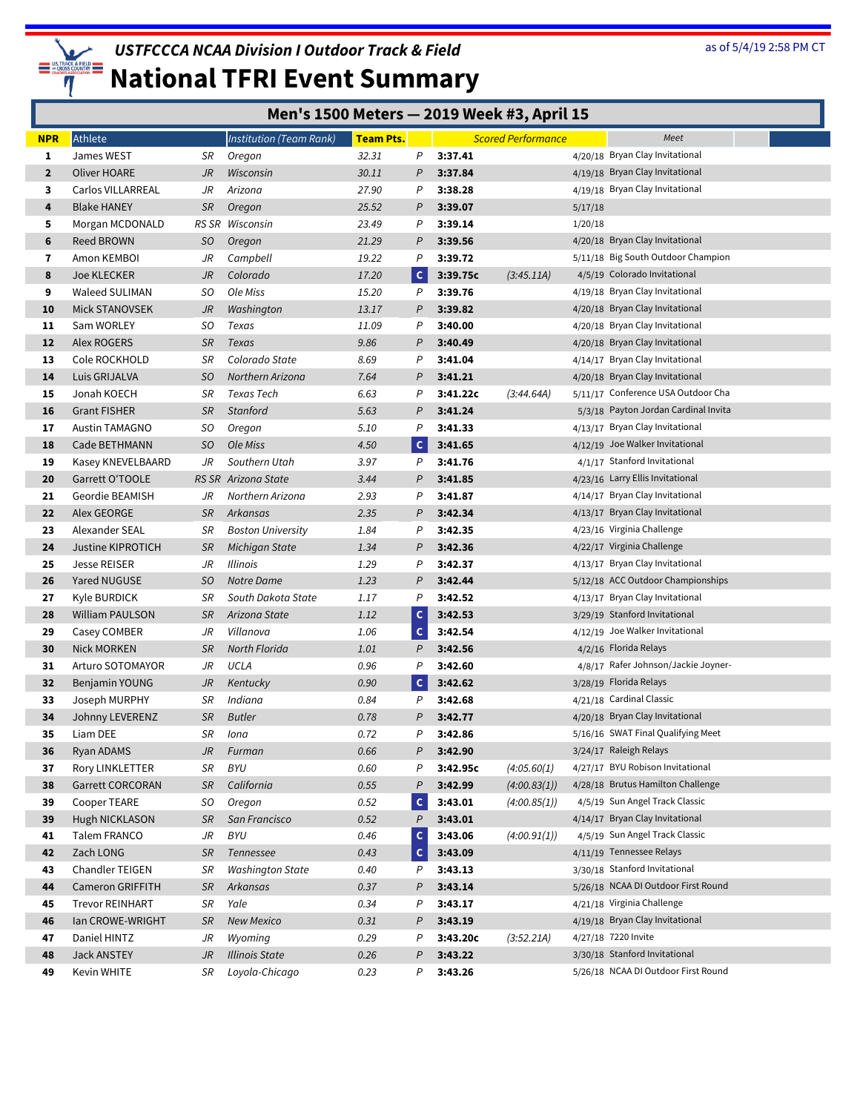

| Men's 1500 Meters - 2019 Week #3, April 15 |  |  |  |  |
|--------------------------------------------|--|--|--|--|
|--------------------------------------------|--|--|--|--|

| <b>NPR</b>     | Athlete                  |           | <b>Institution (Team Rank)</b> | Team Pts. |              |          | <b>Scored Performance</b> |         | Meet                                 |  |
|----------------|--------------------------|-----------|--------------------------------|-----------|--------------|----------|---------------------------|---------|--------------------------------------|--|
| 1              | James WEST               | SR        | Oregon                         | 32.31     | P            | 3:37.41  |                           |         | 4/20/18 Bryan Clay Invitational      |  |
| $\overline{2}$ | Oliver HOARE             | JR        | Wisconsin                      | 30.11     | P            | 3:37.84  |                           |         | 4/19/18 Bryan Clay Invitational      |  |
| 3              | Carlos VILLARREAL        | JR        | Arizona                        | 27.90     | P            | 3:38.28  |                           |         | 4/19/18 Bryan Clay Invitational      |  |
| 4              | <b>Blake HANEY</b>       | SR        | Oregon                         | 25.52     | P            | 3:39.07  |                           | 5/17/18 |                                      |  |
| 5              | Morgan MCDONALD          | RS SR     | Wisconsin                      | 23.49     | P            | 3:39.14  |                           | 1/20/18 |                                      |  |
| 6              | Reed BROWN               | <b>SO</b> | Oregon                         | 21.29     | P            | 3:39.56  |                           |         | 4/20/18 Bryan Clay Invitational      |  |
| 7              | Amon KEMBOI              | JR        | Campbell                       | 19.22     | P            | 3:39.72  |                           |         | 5/11/18 Big South Outdoor Champion   |  |
| 8              | <b>Joe KLECKER</b>       | JR        | Colorado                       | 17.20     | $\mathsf{C}$ | 3:39.75c | (3:45.11A)                |         | 4/5/19 Colorado Invitational         |  |
| 9              | Waleed SULIMAN           | SO        | Ole Miss                       | 15.20     | P            | 3:39.76  |                           |         | 4/19/18 Bryan Clay Invitational      |  |
| 10             | <b>Mick STANOVSEK</b>    | JR        | Washington                     | 13.17     | P            | 3:39.82  |                           |         | 4/20/18 Bryan Clay Invitational      |  |
| 11             | Sam WORLEY               | SO        | Texas                          | 11.09     | P            | 3:40.00  |                           |         | 4/20/18 Bryan Clay Invitational      |  |
| 12             | Alex ROGERS              | SR        | Texas                          | 9.86      | P            | 3:40.49  |                           |         | 4/20/18 Bryan Clay Invitational      |  |
| 13             | Cole ROCKHOLD            | SR        | Colorado State                 | 8.69      | P            | 3:41.04  |                           |         | 4/14/17 Bryan Clay Invitational      |  |
| 14             | Luis GRIJALVA            | SO        | Northern Arizona               | 7.64      | P            | 3:41.21  |                           |         | 4/20/18 Bryan Clay Invitational      |  |
| 15             | Jonah KOECH              | SR        | Texas Tech                     | 6.63      | P            | 3:41.22c | (3:44.64A)                |         | 5/11/17 Conference USA Outdoor Cha   |  |
| 16             | <b>Grant FISHER</b>      | SR        | <b>Stanford</b>                | 5.63      | P            | 3:41.24  |                           |         | 5/3/18 Payton Jordan Cardinal Invita |  |
| 17             | <b>Austin TAMAGNO</b>    | SO        | Oregon                         | 5.10      | P            | 3:41.33  |                           |         | 4/13/17 Bryan Clay Invitational      |  |
| 18             | Cade BETHMANN            | SO        | Ole Miss                       | 4.50      | $\mathsf{C}$ | 3:41.65  |                           |         | 4/12/19 Joe Walker Invitational      |  |
| 19             | Kasey KNEVELBAARD        | JR        | Southern Utah                  | 3.97      | P            | 3:41.76  |                           |         | 4/1/17 Stanford Invitational         |  |
| 20             | Garrett O'TOOLE          | RS SR     | Arizona State                  | 3.44      | $\mathsf{P}$ | 3:41.85  |                           |         | 4/23/16 Larry Ellis Invitational     |  |
| 21             | Geordie BEAMISH          | JR        | Northern Arizona               | 2.93      | P            | 3:41.87  |                           |         | 4/14/17 Bryan Clay Invitational      |  |
| 22             | Alex GEORGE              | SR        | Arkansas                       | 2.35      | Ρ            | 3:42.34  |                           |         | 4/13/17 Bryan Clay Invitational      |  |
| 23             | Alexander SEAL           | SR        | <b>Boston University</b>       | 1.84      | P            | 3:42.35  |                           |         | 4/23/16 Virginia Challenge           |  |
| 24             | <b>Justine KIPROTICH</b> | SR        | Michigan State                 | 1.34      | P            | 3:42.36  |                           |         | 4/22/17 Virginia Challenge           |  |
| 25             | <b>Jesse REISER</b>      | JR        | <b>Illinois</b>                | 1.29      | P            | 3:42.37  |                           |         | 4/13/17 Bryan Clay Invitational      |  |
| 26             | Yared NUGUSE             | SO        | Notre Dame                     | 1.23      | P            | 3:42.44  |                           |         | 5/12/18 ACC Outdoor Championships    |  |
| 27             | Kyle BURDICK             | SR        | South Dakota State             | 1.17      | P            | 3:42.52  |                           |         | 4/13/17 Bryan Clay Invitational      |  |
| 28             | William PAULSON          | SR        | Arizona State                  | 1.12      | $\mathsf{c}$ | 3:42.53  |                           |         | 3/29/19 Stanford Invitational        |  |
| 29             | Casey COMBER             | JR        | Villanova                      | 1.06      | $\mathsf{C}$ | 3:42.54  |                           |         | 4/12/19 Joe Walker Invitational      |  |
| 30             | <b>Nick MORKEN</b>       | SR        | North Florida                  | 1.01      | $\mathsf{P}$ | 3:42.56  |                           |         | 4/2/16 Florida Relays                |  |
| 31             | Arturo SOTOMAYOR         | JR        | UCLA                           | 0.96      | P            | 3:42.60  |                           |         | 4/8/17 Rafer Johnson/Jackie Joyner-  |  |
| 32             | Benjamin YOUNG           | JR        | Kentucky                       | 0.90      | $\mathsf{C}$ | 3:42.62  |                           |         | 3/28/19 Florida Relays               |  |
| 33             | Joseph MURPHY            | SR        | Indiana                        | 0.84      | P            | 3:42.68  |                           |         | 4/21/18 Cardinal Classic             |  |
| 34             | Johnny LEVERENZ          | SR        | <b>Butler</b>                  | 0.78      | $\mathcal P$ | 3:42.77  |                           |         | 4/20/18 Bryan Clay Invitational      |  |
| 35             | Liam DEE                 | SR        | lona                           | 0.72      | P            | 3:42.86  |                           |         | 5/16/16 SWAT Final Qualifying Meet   |  |
| 36             | Ryan ADAMS               | JR        | Furman                         | 0.66      | Ρ            | 3:42.90  |                           |         | 3/24/17 Raleigh Relays               |  |
| 37             | Rory LINKLETTER          | SR        | <b>BYU</b>                     | 0.60      | Ρ            | 3:42.95c | (4:05.60(1))              |         | 4/27/17 BYU Robison Invitational     |  |
| 38             | <b>Garrett CORCORAN</b>  | SR        | California                     | 0.55      | P            | 3:42.99  | (4:00.83(1))              |         | 4/28/18 Brutus Hamilton Challenge    |  |
| 39             | Cooper TEARE             | SO        | Oregon                         | 0.52      | $\mathsf{C}$ | 3:43.01  | (4:00.85(1))              |         | 4/5/19 Sun Angel Track Classic       |  |
| 39             | Hugh NICKLASON           | SR        | San Francisco                  | 0.52      | P            | 3:43.01  |                           |         | 4/14/17 Bryan Clay Invitational      |  |
| 41             | Talem FRANCO             | JR        | BYU                            | 0.46      | $\mathsf{C}$ | 3:43.06  | (4:00.91(1))              |         | 4/5/19 Sun Angel Track Classic       |  |
| 42             | Zach LONG                | SR        | Tennessee                      | 0.43      | $\mathsf{C}$ | 3:43.09  |                           |         | 4/11/19 Tennessee Relays             |  |
| 43             | Chandler TEIGEN          | SR        | <b>Washington State</b>        | 0.40      | P            | 3:43.13  |                           |         | 3/30/18 Stanford Invitational        |  |
| 44             | <b>Cameron GRIFFITH</b>  | SR        | Arkansas                       | 0.37      | P            | 3:43.14  |                           |         | 5/26/18 NCAA DI Outdoor First Round  |  |
| 45             | <b>Trevor REINHART</b>   | SR        | Yale                           | 0.34      | Ρ            | 3:43.17  |                           |         | 4/21/18 Virginia Challenge           |  |
| 46             | Ian CROWE-WRIGHT         | SR        | <b>New Mexico</b>              | 0.31      | Ρ            | 3:43.19  |                           |         | 4/19/18 Bryan Clay Invitational      |  |
| 47             | Daniel HINTZ             | JR        | Wyoming                        | 0.29      | P            | 3:43.20c | (3:52.21A)                |         | 4/27/18 7220 Invite                  |  |
| 48             | Jack ANSTEY              | JR        | Illinois State                 | 0.26      | P            | 3:43.22  |                           |         | 3/30/18 Stanford Invitational        |  |
| 49             | Kevin WHITE              | SR        | Loyola-Chicago                 | 0.23      | Ρ            | 3:43.26  |                           |         | 5/26/18 NCAA DI Outdoor First Round  |  |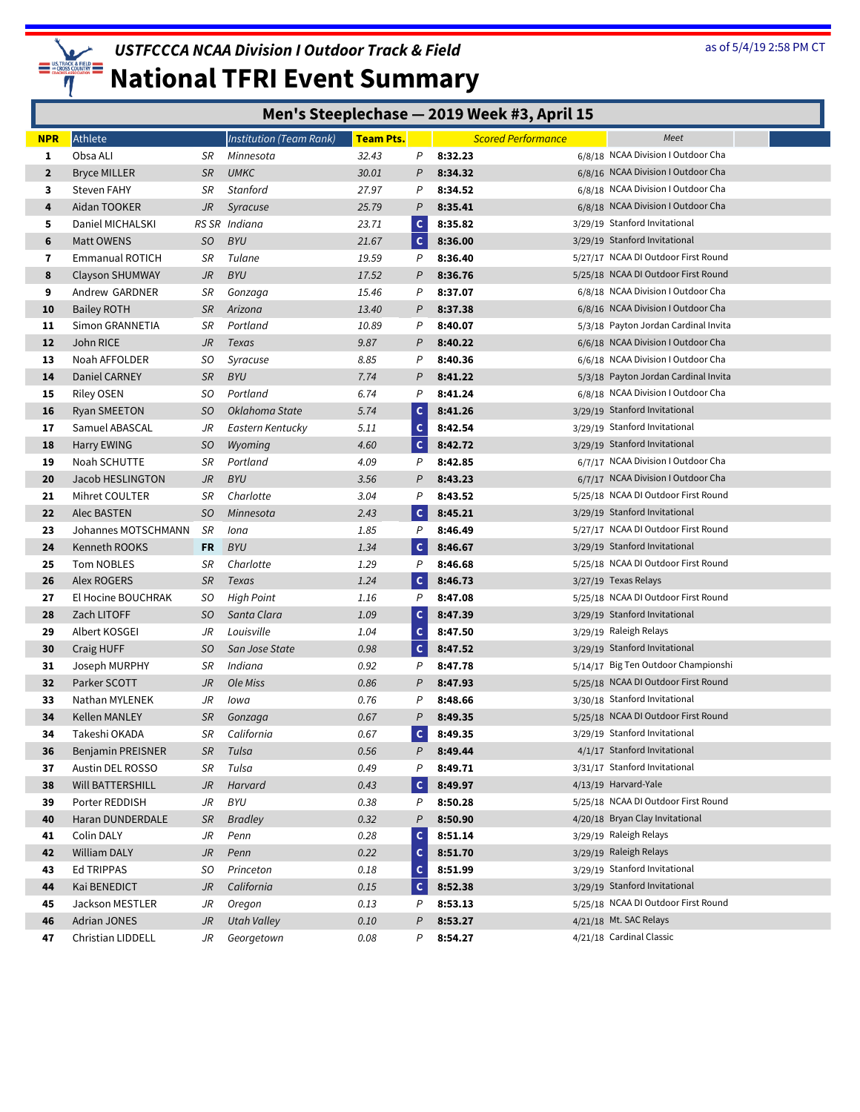

|              | Men's Steeplechase - 2019 Week #3, April 15 |                 |                         |                  |                |                    |                           |                                                                      |  |  |  |  |  |
|--------------|---------------------------------------------|-----------------|-------------------------|------------------|----------------|--------------------|---------------------------|----------------------------------------------------------------------|--|--|--|--|--|
| <b>NPR</b>   | Athlete                                     |                 | Institution (Team Rank) | <b>Team Pts.</b> |                |                    | <b>Scored Performance</b> | Meet                                                                 |  |  |  |  |  |
| 1            | Obsa ALI                                    | SR              | Minnesota               | 32.43            | Ρ              | 8:32.23            |                           | 6/8/18 NCAA Division I Outdoor Cha                                   |  |  |  |  |  |
| $\mathbf{2}$ | <b>Bryce MILLER</b>                         | <b>SR</b>       | <b>UMKC</b>             | 30.01            | P              | 8:34.32            |                           | 6/8/16 NCAA Division I Outdoor Cha                                   |  |  |  |  |  |
| 3            | <b>Steven FAHY</b>                          | SR              | <b>Stanford</b>         | 27.97            | P              | 8:34.52            |                           | 6/8/18 NCAA Division I Outdoor Cha                                   |  |  |  |  |  |
| 4            | Aidan TOOKER                                | JR              | Syracuse                | 25.79            | $\overline{P}$ | 8:35.41            |                           | 6/8/18 NCAA Division I Outdoor Cha                                   |  |  |  |  |  |
| 5            | Daniel MICHALSKI                            | RS SR           | Indiana                 | 23.71            | $\mathsf{C}$   | 8:35.82            |                           | 3/29/19 Stanford Invitational                                        |  |  |  |  |  |
| 6            | Matt OWENS                                  | SO.             | <b>BYU</b>              | 21.67            | $\mathsf{C}$   | 8:36.00            |                           | 3/29/19 Stanford Invitational                                        |  |  |  |  |  |
| 7            | Emmanual ROTICH                             | SR              | Tulane                  | 19.59            | P              | 8:36.40            |                           | 5/27/17 NCAA DI Outdoor First Round                                  |  |  |  |  |  |
| 8            | <b>Clayson SHUMWAY</b>                      | JR              | <b>BYU</b>              | 17.52            | P              | 8:36.76            |                           | 5/25/18 NCAA DI Outdoor First Round                                  |  |  |  |  |  |
| 9            | Andrew GARDNER                              | SR              | Gonzaga                 | 15.46            | P              | 8:37.07            |                           | 6/8/18 NCAA Division I Outdoor Cha                                   |  |  |  |  |  |
| 10           | <b>Bailey ROTH</b>                          | <b>SR</b>       | Arizona                 | 13.40            | P              | 8:37.38            |                           | 6/8/16 NCAA Division I Outdoor Cha                                   |  |  |  |  |  |
| 11           | Simon GRANNETIA                             | SR              | Portland                | 10.89            | P              | 8:40.07            |                           | 5/3/18 Payton Jordan Cardinal Invita                                 |  |  |  |  |  |
| 12           | John RICE                                   | JR              | Texas                   | 9.87             | P              | 8:40.22            |                           | 6/6/18 NCAA Division I Outdoor Cha                                   |  |  |  |  |  |
| 13           | Noah AFFOLDER                               | SO              | Syracuse                | 8.85             | P              | 8:40.36            |                           | 6/6/18 NCAA Division I Outdoor Cha                                   |  |  |  |  |  |
| 14           | Daniel CARNEY                               | <b>SR</b>       | <b>BYU</b>              | 7.74             | P              | 8:41.22            |                           | 5/3/18 Payton Jordan Cardinal Invita                                 |  |  |  |  |  |
| 15           | <b>Riley OSEN</b>                           | SO              | Portland                | 6.74             | P              | 8:41.24            |                           | 6/8/18 NCAA Division I Outdoor Cha                                   |  |  |  |  |  |
| 16           | <b>Ryan SMEETON</b>                         | SO.             | Oklahoma State          | 5.74             | $\mathsf{C}$   | 8:41.26            |                           | 3/29/19 Stanford Invitational                                        |  |  |  |  |  |
| 17           | Samuel ABASCAL                              | JR              | Eastern Kentucky        | 5.11             | c              | 8:42.54            |                           | 3/29/19 Stanford Invitational                                        |  |  |  |  |  |
| 18           | Harry EWING                                 | SO.             | Wyoming                 | 4.60             | $\mathsf{C}$   | 8:42.72            |                           | 3/29/19 Stanford Invitational                                        |  |  |  |  |  |
| 19           | Noah SCHUTTE                                | SR              | Portland                | 4.09             | P              | 8:42.85            |                           | 6/7/17 NCAA Division I Outdoor Cha                                   |  |  |  |  |  |
| 20           | Jacob HESLINGTON                            | JR              | <b>BYU</b>              | 3.56             | P              | 8:43.23            |                           | 6/7/17 NCAA Division I Outdoor Cha                                   |  |  |  |  |  |
| 21           | Mihret COULTER                              | SR              | Charlotte               | 3.04             | P              | 8:43.52            |                           | 5/25/18 NCAA DI Outdoor First Round                                  |  |  |  |  |  |
| 22           | Alec BASTEN                                 | SO              | Minnesota               | 2.43             | $\mathsf{C}$   | 8:45.21            |                           | 3/29/19 Stanford Invitational                                        |  |  |  |  |  |
| 23           | Johannes MOTSCHMANN                         | SR              | Iona                    | 1.85             | P              | 8:46.49            |                           | 5/27/17 NCAA DI Outdoor First Round                                  |  |  |  |  |  |
| 24           | Kenneth ROOKS                               | FR              | <b>BYU</b>              | 1.34             | $\mathsf{C}$   | 8:46.67            |                           | 3/29/19 Stanford Invitational                                        |  |  |  |  |  |
| 25           | Tom NOBLES                                  | SR              | Charlotte               | 1.29             | $\mathsf{P}$   | 8:46.68            |                           | 5/25/18 NCAA DI Outdoor First Round                                  |  |  |  |  |  |
| 26           | Alex ROGERS                                 | <b>SR</b>       | Texas                   | 1.24             | $\mathsf{C}$   | 8:46.73            |                           | 3/27/19 Texas Relays                                                 |  |  |  |  |  |
| 27           | El Hocine BOUCHRAK                          | SO              | <b>High Point</b>       | 1.16             | P              | 8:47.08            |                           | 5/25/18 NCAA DI Outdoor First Round                                  |  |  |  |  |  |
| 28           | Zach LITOFF                                 | SO.             | Santa Clara             | 1.09             | $\mathsf{c}$   | 8:47.39            |                           | 3/29/19 Stanford Invitational                                        |  |  |  |  |  |
| 29           | Albert KOSGEI                               | JR              | Louisville              | 1.04             | c              | 8:47.50            |                           | 3/29/19 Raleigh Relays                                               |  |  |  |  |  |
| 30           | Craig HUFF                                  | SO.             | San Jose State          | 0.98             | $\mathsf{C}$   | 8:47.52            |                           | 3/29/19 Stanford Invitational                                        |  |  |  |  |  |
| 31           | Joseph MURPHY                               | SR              | Indiana                 | 0.92             | P              | 8:47.78            |                           | 5/14/17 Big Ten Outdoor Championshi                                  |  |  |  |  |  |
| 32           | Parker SCOTT                                | JR              | Ole Miss                | 0.86             | P              | 8:47.93            |                           | 5/25/18 NCAA DI Outdoor First Round                                  |  |  |  |  |  |
| 33           | Nathan MYLENEK                              | JR              | Iowa                    | 0.76             | P              | 8:48.66            |                           | 3/30/18 Stanford Invitational                                        |  |  |  |  |  |
| 34           | Kellen MANLEY                               | <b>SR</b>       | Gonzaga                 | 0.67             | P              | 8:49.35            |                           | 5/25/18 NCAA DI Outdoor First Round<br>3/29/19 Stanford Invitational |  |  |  |  |  |
| 34           | Takeshi OKADA                               | SR              | California              | 0.67             | $\mathsf{c}$   | 8:49.35            |                           | 4/1/17 Stanford Invitational                                         |  |  |  |  |  |
| 36           | Benjamin PREISNER                           | <b>SR</b>       | Tulsa                   | 0.56             | P              | 8:49.44<br>8:49.71 |                           | 3/31/17 Stanford Invitational                                        |  |  |  |  |  |
| 37           | Austin DEL ROSSO                            | SR              | Tulsa                   | 0.49             | P<br>$\vert$ C |                    |                           | 4/13/19 Harvard-Yale                                                 |  |  |  |  |  |
| 38           | Will BATTERSHILL                            | JR<br>JR        | Harvard<br>BYU          | 0.43<br>0.38     | P              | 8:49.97<br>8:50.28 |                           | 5/25/18 NCAA DI Outdoor First Round                                  |  |  |  |  |  |
| 39           | Porter REDDISH                              |                 |                         | 0.32             | P              | 8:50.90            |                           | 4/20/18 Bryan Clay Invitational                                      |  |  |  |  |  |
| 40<br>41     | Haran DUNDERDALE<br>Colin DALY              | <b>SR</b><br>JR | <b>Bradley</b><br>Penn  | 0.28             | $\mathsf{C}$   | 8:51.14            |                           | 3/29/19 Raleigh Relays                                               |  |  |  |  |  |
| 42           | William DALY                                | J <sub>R</sub>  | Penn                    | 0.22             | $\mathsf{C}$   | 8:51.70            |                           | 3/29/19 Raleigh Relays                                               |  |  |  |  |  |
| 43           | <b>Ed TRIPPAS</b>                           | SO              | Princeton               | 0.18             | $\mathsf{C}$   | 8:51.99            |                           | 3/29/19 Stanford Invitational                                        |  |  |  |  |  |
| 44           | Kai BENEDICT                                | JR              | California              | 0.15             | $\mathsf{C}$   | 8:52.38            |                           | 3/29/19 Stanford Invitational                                        |  |  |  |  |  |
| 45           | Jackson MESTLER                             | JR              | Oregon                  | 0.13             | P              | 8:53.13            |                           | 5/25/18 NCAA DI Outdoor First Round                                  |  |  |  |  |  |
| 46           | <b>Adrian JONES</b>                         | JR              | <b>Utah Valley</b>      | 0.10             | P              | 8:53.27            |                           | 4/21/18 Mt. SAC Relays                                               |  |  |  |  |  |
| 47           | Christian LIDDELL                           | JR              | Georgetown              | 0.08             | Ρ              | 8:54.27            |                           | 4/21/18 Cardinal Classic                                             |  |  |  |  |  |
|              |                                             |                 |                         |                  |                |                    |                           |                                                                      |  |  |  |  |  |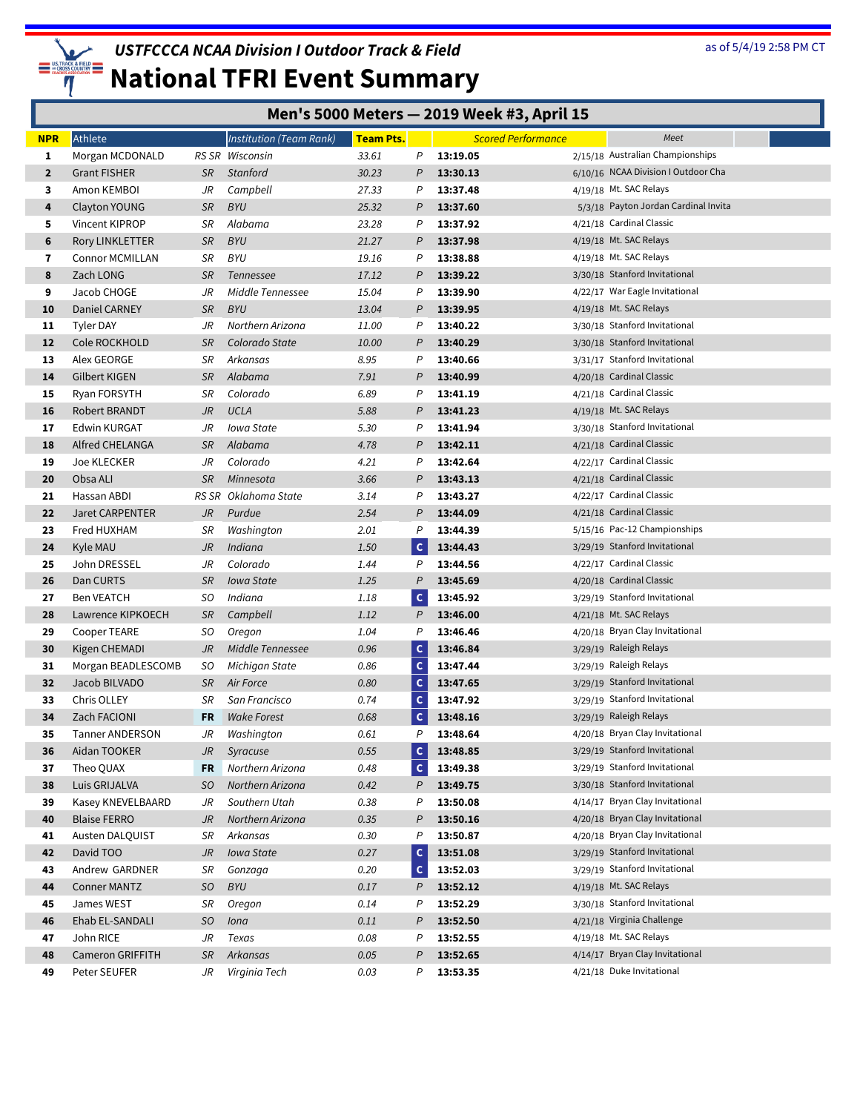

## **National TFRI Event Summary**

#### **Men's 5000 Meters — 2019 Week #3, April 15**

| <b>NPR</b>   | Athlete                |           | <b>Institution (Team Rank)</b> | <b>Team Pts.</b> |                | <b>Scored Performance</b> | Meet                                 |
|--------------|------------------------|-----------|--------------------------------|------------------|----------------|---------------------------|--------------------------------------|
| 1            | Morgan MCDONALD        |           | RS SR Wisconsin                | 33.61            | P              | 13:19.05                  | 2/15/18 Australian Championships     |
| $\mathbf{2}$ | <b>Grant FISHER</b>    | SR        | Stanford                       | 30.23            | P              | 13:30.13                  | 6/10/16 NCAA Division I Outdoor Cha  |
| 3            | Amon KEMBOI            | JR        | Campbell                       | 27.33            | P              | 13:37.48                  | 4/19/18 Mt. SAC Relays               |
| 4            | Clayton YOUNG          | SR        | <b>BYU</b>                     | 25.32            | P              | 13:37.60                  | 5/3/18 Payton Jordan Cardinal Invita |
| 5            | Vincent KIPROP         | SR        | Alabama                        | 23.28            | P              | 13:37.92                  | 4/21/18 Cardinal Classic             |
| 6            | Rory LINKLETTER        | SR        | <b>BYU</b>                     | 21.27            | P              | 13:37.98                  | 4/19/18 Mt. SAC Relays               |
| 7            | <b>Connor MCMILLAN</b> | SR        | <b>BYU</b>                     | 19.16            | P              | 13:38.88                  | 4/19/18 Mt. SAC Relays               |
| 8            | Zach LONG              | SR        | <b>Tennessee</b>               | 17.12            | P              | 13:39.22                  | 3/30/18 Stanford Invitational        |
| 9            | Jacob CHOGE            | JR        | Middle Tennessee               | 15.04            | P              | 13:39.90                  | 4/22/17 War Eagle Invitational       |
| 10           | <b>Daniel CARNEY</b>   | <b>SR</b> | <b>BYU</b>                     | 13.04            | P              | 13:39.95                  | 4/19/18 Mt. SAC Relays               |
| 11           | Tyler DAY              | JR        | Northern Arizona               | 11.00            | P              | 13:40.22                  | 3/30/18 Stanford Invitational        |
| 12           | Cole ROCKHOLD          | SR        | Colorado State                 | 10.00            | P              | 13:40.29                  | 3/30/18 Stanford Invitational        |
| 13           | Alex GEORGE            | SR        | Arkansas                       | 8.95             | P              | 13:40.66                  | 3/31/17 Stanford Invitational        |
| 14           | <b>Gilbert KIGEN</b>   | SR        | Alabama                        | 7.91             | P              | 13:40.99                  | 4/20/18 Cardinal Classic             |
| 15           | Ryan FORSYTH           | SR        | Colorado                       | 6.89             | P              | 13:41.19                  | 4/21/18 Cardinal Classic             |
| 16           | Robert BRANDT          | JR        | <b>UCLA</b>                    | 5.88             | P              | 13:41.23                  | 4/19/18 Mt. SAC Relays               |
| 17           | Edwin KURGAT           | JR        | Iowa State                     | 5.30             | P              | 13:41.94                  | 3/30/18 Stanford Invitational        |
| 18           | Alfred CHELANGA        | SR        | Alabama                        | 4.78             | P              | 13:42.11                  | 4/21/18 Cardinal Classic             |
| 19           | Joe KLECKER            | JR        | Colorado                       | 4.21             | P              | 13:42.64                  | 4/22/17 Cardinal Classic             |
| 20           | Obsa ALI               | <b>SR</b> | Minnesota                      | 3.66             | P              | 13:43.13                  | 4/21/18 Cardinal Classic             |
| 21           | Hassan ABDI            | RS SR     | Oklahoma State                 | 3.14             | P              | 13:43.27                  | 4/22/17 Cardinal Classic             |
| 22           | Jaret CARPENTER        | JR        | Purdue                         | 2.54             | $\mathsf{P}$   | 13:44.09                  | 4/21/18 Cardinal Classic             |
| 23           | Fred HUXHAM            | SR        | Washington                     | 2.01             | P              | 13:44.39                  | 5/15/16 Pac-12 Championships         |
| 24           | Kyle MAU               | JR        | Indiana                        | 1.50             | $\mathsf{C}$   | 13:44.43                  | 3/29/19 Stanford Invitational        |
| 25           | John DRESSEL           | JR        | Colorado                       | 1.44             | P              | 13:44.56                  | 4/22/17 Cardinal Classic             |
| 26           | Dan CURTS              | SR        | <b>Iowa State</b>              | 1.25             | $\overline{P}$ | 13:45.69                  | 4/20/18 Cardinal Classic             |
| 27           | Ben VEATCH             | SO.       | Indiana                        | 1.18             | $\mathsf{c}$   | 13:45.92                  | 3/29/19 Stanford Invitational        |
| 28           | Lawrence KIPKOECH      | SR        | Campbell                       | 1.12             | P              | 13:46.00                  | 4/21/18 Mt. SAC Relays               |
| 29           | Cooper TEARE           | SO        | Oregon                         | 1.04             | P              | 13:46.46                  | 4/20/18 Bryan Clay Invitational      |
| 30           | Kigen CHEMADI          | JR        | Middle Tennessee               | 0.96             | $\mathsf{C}$   | 13:46.84                  | 3/29/19 Raleigh Relays               |
| 31           | Morgan BEADLESCOMB     | SO        | Michigan State                 | 0.86             | C              | 13:47.44                  | 3/29/19 Raleigh Relays               |
| 32           | Jacob BILVADO          | SR        | Air Force                      | 0.80             | $\mathsf{C}$   | 13:47.65                  | 3/29/19 Stanford Invitational        |
| 33           | Chris OLLEY            | SR        | San Francisco                  | 0.74             | $\mathsf{C}$   | 13:47.92                  | 3/29/19 Stanford Invitational        |
| 34           | Zach FACIONI           | FR        | <b>Wake Forest</b>             | 0.68             | c              | 13:48.16                  | 3/29/19 Raleigh Relays               |
| 35           | <b>Tanner ANDERSON</b> | JR        | Washington                     | 0.61             | P              | 13:48.64                  | 4/20/18 Bryan Clay Invitational      |
| 36           | Aidan TOOKER           | JR        | Syracuse                       | 0.55             | $\mathsf{C}$   | 13:48.85                  | 3/29/19 Stanford Invitational        |
| 37           | Theo QUAX              | FR        | Northern Arizona               | 0.48             | $\mathsf{C}$   | 13:49.38                  | 3/29/19 Stanford Invitational        |
| 38           | Luis GRIJALVA          | SO        | Northern Arizona               | 0.42             | P              | 13:49.75                  | 3/30/18 Stanford Invitational        |
| 39           | Kasey KNEVELBAARD      | JR        | Southern Utah                  | 0.38             | P              | 13:50.08                  | 4/14/17 Bryan Clay Invitational      |
| 40           | <b>Blaise FERRO</b>    | JR        | Northern Arizona               | 0.35             | P              | 13:50.16                  | 4/20/18 Bryan Clay Invitational      |
| 41           | Austen DALQUIST        | SR        | Arkansas                       | 0.30             | P              | 13:50.87                  | 4/20/18 Bryan Clay Invitational      |
| 42           | David TOO              | JR        | <b>Iowa State</b>              | 0.27             | $\mathsf{C}$   | 13:51.08                  | 3/29/19 Stanford Invitational        |
| 43           | Andrew GARDNER         | SR        | Gonzaga                        | 0.20             | $\mathsf{C}$   | 13:52.03                  | 3/29/19 Stanford Invitational        |
| 44           | <b>Conner MANTZ</b>    | <b>SO</b> | <b>BYU</b>                     | 0.17             | P              | 13:52.12                  | 4/19/18 Mt. SAC Relays               |
| 45           | James WEST             | SR        | Oregon                         | 0.14             | P              | 13:52.29                  | 3/30/18 Stanford Invitational        |
| 46           | Ehab EL-SANDALI        | SO        | Iona                           | 0.11             | P              | 13:52.50                  | 4/21/18 Virginia Challenge           |
| 47           | John RICE              | JR        | Texas                          | 0.08             | P              | 13:52.55                  | 4/19/18 Mt. SAC Relays               |
| 48           | Cameron GRIFFITH       | SR        | Arkansas                       | 0.05             | P              | 13:52.65                  | 4/14/17 Bryan Clay Invitational      |
| 49           | Peter SEUFER           | JR        | Virginia Tech                  | 0.03             | P              | 13:53.35                  | 4/21/18 Duke Invitational            |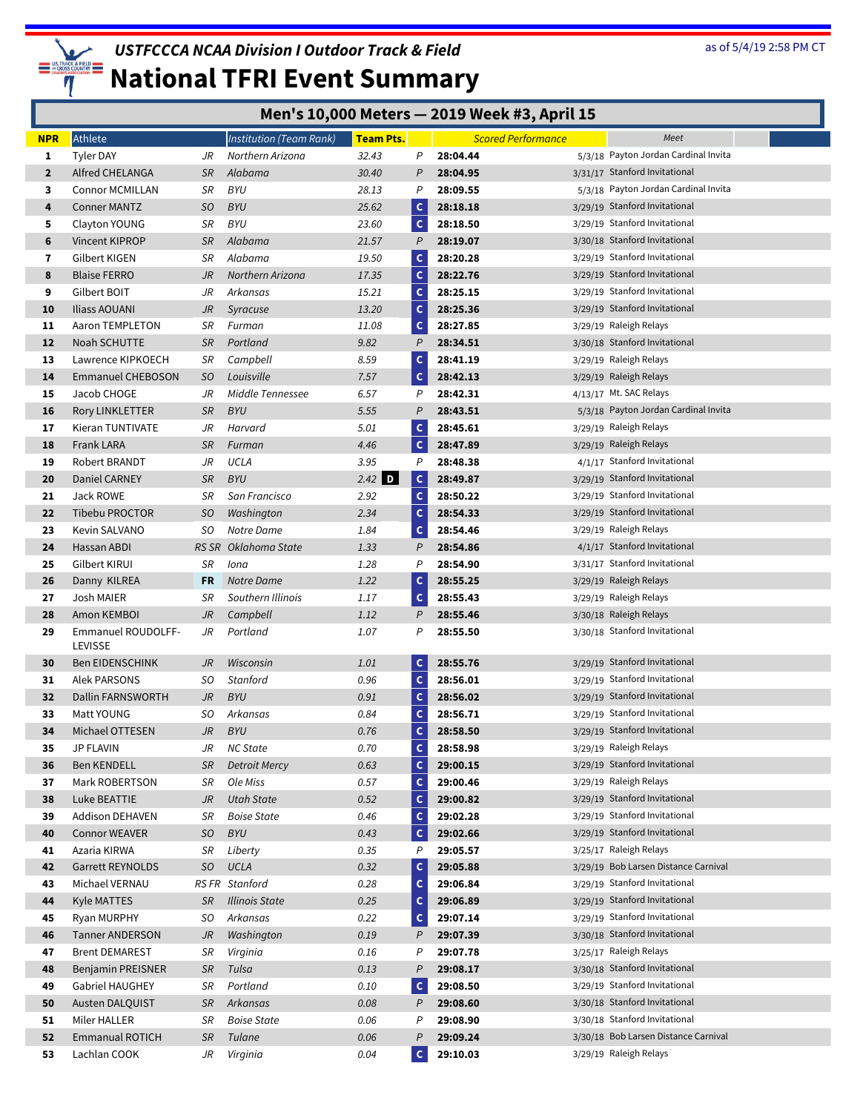

## **National TFRI Event Summary**

#### **Men's 10,000 Meters — 2019 Week #3, April 15**

| <b>NPR</b>   | Athlete                                 |                        | Institution (Team Rank)          | Team Pts.    |                              |                      | <b>Scored Performance</b> | Meet                                                    |  |
|--------------|-----------------------------------------|------------------------|----------------------------------|--------------|------------------------------|----------------------|---------------------------|---------------------------------------------------------|--|
| 1            | Tyler DAY                               | JR                     | Northern Arizona                 | 32.43        | P                            | 28:04.44             |                           | 5/3/18 Payton Jordan Cardinal Invita                    |  |
| $\mathbf{2}$ | Alfred CHELANGA                         | <b>SR</b>              | Alabama                          | 30.40        | P                            | 28:04.95             |                           | 3/31/17 Stanford Invitational                           |  |
| 3            | Connor MCMILLAN                         | SR                     | <b>BYU</b>                       | 28.13        | P                            | 28:09.55             |                           | 5/3/18 Payton Jordan Cardinal Invita                    |  |
| 4            | <b>Conner MANTZ</b>                     | SO                     | <b>BYU</b>                       | 25.62        | $\mathsf{c}$                 | 28:18.18             |                           | 3/29/19 Stanford Invitational                           |  |
| 5            | Clayton YOUNG                           | SR                     | BYU                              | 23.60        | $\mathbf{C}$                 | 28:18.50             |                           | 3/29/19 Stanford Invitational                           |  |
| 6            | Vincent KIPROP                          | <b>SR</b>              | Alabama                          | 21.57        | $\overline{P}$               | 28:19.07             |                           | 3/30/18 Stanford Invitational                           |  |
| 7            | Gilbert KIGEN                           | SR                     | Alabama                          | 19.50        | $\mathsf{C}$                 | 28:20.28             |                           | 3/29/19 Stanford Invitational                           |  |
| 8            | <b>Blaise FERRO</b>                     | JR                     | Northern Arizona                 | 17.35        | $\mathsf{C}$                 | 28:22.76             |                           | 3/29/19 Stanford Invitational                           |  |
| 9            | Gilbert BOIT                            | JR                     | Arkansas                         | 15.21        | $\mathsf c$                  | 28:25.15             |                           | 3/29/19 Stanford Invitational                           |  |
| 10           | Iliass AOUANI                           | JR                     | Syracuse                         | 13.20        | $\mathsf{C}$                 | 28:25.36             |                           | 3/29/19 Stanford Invitational                           |  |
| 11           | Aaron TEMPLETON                         | SR                     | Furman                           | 11.08        | c                            | 28:27.85             |                           | 3/29/19 Raleigh Relays                                  |  |
| 12           | Noah SCHUTTE                            | <b>SR</b>              | Portland                         | 9.82         | $\overline{P}$               | 28:34.51             |                           | 3/30/18 Stanford Invitational                           |  |
| 13           | Lawrence KIPKOECH                       | SR                     | Campbell                         | 8.59         | $\mathsf{C}$                 | 28:41.19             |                           | 3/29/19 Raleigh Relays                                  |  |
| 14           | <b>Emmanuel CHEBOSON</b>                | SO.                    | Louisville                       | 7.57         | $\mathsf{C}$                 | 28:42.13             |                           | 3/29/19 Raleigh Relays                                  |  |
| 15           | Jacob CHOGE                             | JR                     | Middle Tennessee                 | 6.57         | P                            | 28:42.31             |                           | 4/13/17 Mt. SAC Relays                                  |  |
| 16           | Rory LINKLETTER                         | <b>SR</b>              | <b>BYU</b>                       | 5.55         | $\mathcal{P}$                | 28:43.51             |                           | 5/3/18 Payton Jordan Cardinal Invita                    |  |
| 17           | Kieran TUNTIVATE                        | JR                     | Harvard                          | 5.01         | $\mathsf{C}$                 | 28:45.61             |                           | 3/29/19 Raleigh Relays                                  |  |
| 18           | Frank LARA                              | <b>SR</b>              | Furman                           | 4.46         | $\mathbf c$                  | 28:47.89             |                           | 3/29/19 Raleigh Relays                                  |  |
| 19           | Robert BRANDT                           | JR                     | UCLA                             | 3.95         | P                            | 28:48.38             |                           | 4/1/17 Stanford Invitational                            |  |
| 20           | Daniel CARNEY                           | <b>SR</b>              | <b>BYU</b>                       | $2.42$ D     | $\mathsf{C}$                 | 28:49.87             |                           | 3/29/19 Stanford Invitational                           |  |
| 21           | Jack ROWE                               | SR                     | San Francisco                    | 2.92         | $\mathsf{C}$                 | 28:50.22             |                           | 3/29/19 Stanford Invitational                           |  |
| 22           | Tibebu PROCTOR<br>Kevin SALVANO         | SO<br>SO.              | Washington<br>Notre Dame         | 2.34<br>1.84 | $\mathsf{C}$                 | 28:54.33<br>28:54.46 |                           | 3/29/19 Stanford Invitational<br>3/29/19 Raleigh Relays |  |
| 23<br>24     | Hassan ABDI                             | RS SR                  | Oklahoma State                   | 1.33         | $\mathsf{C}$<br>P            | 28:54.86             |                           | 4/1/17 Stanford Invitational                            |  |
| 25           | Gilbert KIRUI                           | SR                     | lona                             | 1.28         | P                            | 28:54.90             |                           | 3/31/17 Stanford Invitational                           |  |
| 26           | Danny KILREA                            | FR                     | Notre Dame                       | 1.22         | $\mathsf{C}$                 | 28:55.25             |                           | 3/29/19 Raleigh Relays                                  |  |
| 27           | Josh MAIER                              | SR                     | Southern Illinois                | 1.17         | c                            | 28:55.43             |                           | 3/29/19 Raleigh Relays                                  |  |
| 28           | Amon KEMBOI                             | JR                     | Campbell                         | 1.12         | P                            | 28:55.46             |                           | 3/30/18 Raleigh Relays                                  |  |
| 29           | Emmanuel ROUDOLFF-                      | JR                     | Portland                         | 1.07         | P                            | 28:55.50             |                           | 3/30/18 Stanford Invitational                           |  |
|              | LEVISSE                                 |                        |                                  |              |                              |                      |                           |                                                         |  |
| 30           | <b>Ben EIDENSCHINK</b>                  | JR                     | Wisconsin                        | 1.01         | $\mathsf{C}$                 | 28:55.76             |                           | 3/29/19 Stanford Invitational                           |  |
| 31           | <b>Alek PARSONS</b>                     | SO                     | Stanford                         | 0.96         | $\mathsf{C}$                 | 28:56.01             |                           | 3/29/19 Stanford Invitational                           |  |
| 32           | <b>Dallin FARNSWORTH</b>                | JR                     | <b>BYU</b>                       | 0.91         | c                            | 28:56.02             |                           | 3/29/19 Stanford Invitational                           |  |
| 33           | Matt YOUNG                              | SO                     | Arkansas                         | 0.84         | $\mathsf{C}$                 | 28:56.71             |                           | 3/29/19 Stanford Invitational                           |  |
| 34           | Michael OTTESEN                         | JR                     | <b>BYU</b>                       | 0.76         | c                            | 28:58.50             |                           | 3/29/19 Stanford Invitational                           |  |
| 35           | <b>JP FLAVIN</b>                        | JR                     | <b>NC State</b>                  | 0.70         | $\mathsf{C}$                 | 28:58.98             |                           | 3/29/19 Raleigh Relays                                  |  |
| 36           | <b>Ben KENDELL</b>                      | <i>SR</i>              | <b>Detroit Mercy</b>             | 0.63         | c                            | 29:00.15             |                           | 3/29/19 Stanford Invitational                           |  |
| 37           | Mark ROBERTSON                          | SR                     | Ole Miss                         | 0.57         | $\mathsf{C}$                 | 29:00.46             |                           | 3/29/19 Raleigh Relays<br>3/29/19 Stanford Invitational |  |
| 38           | Luke BEATTIE                            | $\mathsf{J}\mathsf{R}$ | <b>Utah State</b>                | 0.52         | $\mathsf{C}$<br>$\mathsf{C}$ | 29:00.82             |                           | 3/29/19 Stanford Invitational                           |  |
| 39<br>40     | Addison DEHAVEN<br><b>Connor WEAVER</b> | SR<br>SO               | <b>Boise State</b><br><b>BYU</b> | 0.46<br>0.43 | c                            | 29:02.28<br>29:02.66 |                           | 3/29/19 Stanford Invitational                           |  |
| 41           | Azaria KIRWA                            | SR                     | Liberty                          | 0.35         | P                            | 29:05.57             |                           | 3/25/17 Raleigh Relays                                  |  |
| 42           | Garrett REYNOLDS                        | SO.                    | <b>UCLA</b>                      | 0.32         | $\mathsf{C}$                 | 29:05.88             |                           | 3/29/19 Bob Larsen Distance Carnival                    |  |
| 43           | Michael VERNAU                          | RS FR                  | Stanford                         | 0.28         | $\mathsf{C}$                 | 29:06.84             |                           | 3/29/19 Stanford Invitational                           |  |
| 44           | Kyle MATTES                             | <b>SR</b>              | <b>Illinois State</b>            | 0.25         | c                            | 29:06.89             |                           | 3/29/19 Stanford Invitational                           |  |
| 45           | Ryan MURPHY                             | SO                     | Arkansas                         | 0.22         | $\mathsf{C}$                 | 29:07.14             |                           | 3/29/19 Stanford Invitational                           |  |
| 46           | <b>Tanner ANDERSON</b>                  | JR                     | Washington                       | 0.19         | P                            | 29:07.39             |                           | 3/30/18 Stanford Invitational                           |  |
| 47           | <b>Brent DEMAREST</b>                   | SR                     | Virginia                         | 0.16         | P                            | 29:07.78             |                           | 3/25/17 Raleigh Relays                                  |  |
| 48           | <b>Benjamin PREISNER</b>                | <b>SR</b>              | Tulsa                            | 0.13         | $\mathsf{P}$                 | 29:08.17             |                           | 3/30/18 Stanford Invitational                           |  |
| 49           | Gabriel HAUGHEY                         | SR                     | Portland                         | 0.10         | $\mathsf{C}$                 | 29:08.50             |                           | 3/29/19 Stanford Invitational                           |  |
| 50           | Austen DALQUIST                         | <b>SR</b>              | Arkansas                         | 0.08         | P                            | 29:08.60             |                           | 3/30/18 Stanford Invitational                           |  |
| 51           | Miler HALLER                            | SR                     | <b>Boise State</b>               | 0.06         | P                            | 29:08.90             |                           | 3/30/18 Stanford Invitational                           |  |
| 52           | Emmanual ROTICH                         | <b>SR</b>              | Tulane                           | 0.06         | P                            | 29:09.24             |                           | 3/30/18 Bob Larsen Distance Carnival                    |  |
| 53           | Lachlan COOK                            | JR                     | Virginia                         | 0.04         | $\mathbf{C}$                 | 29:10.03             |                           | 3/29/19 Raleigh Relays                                  |  |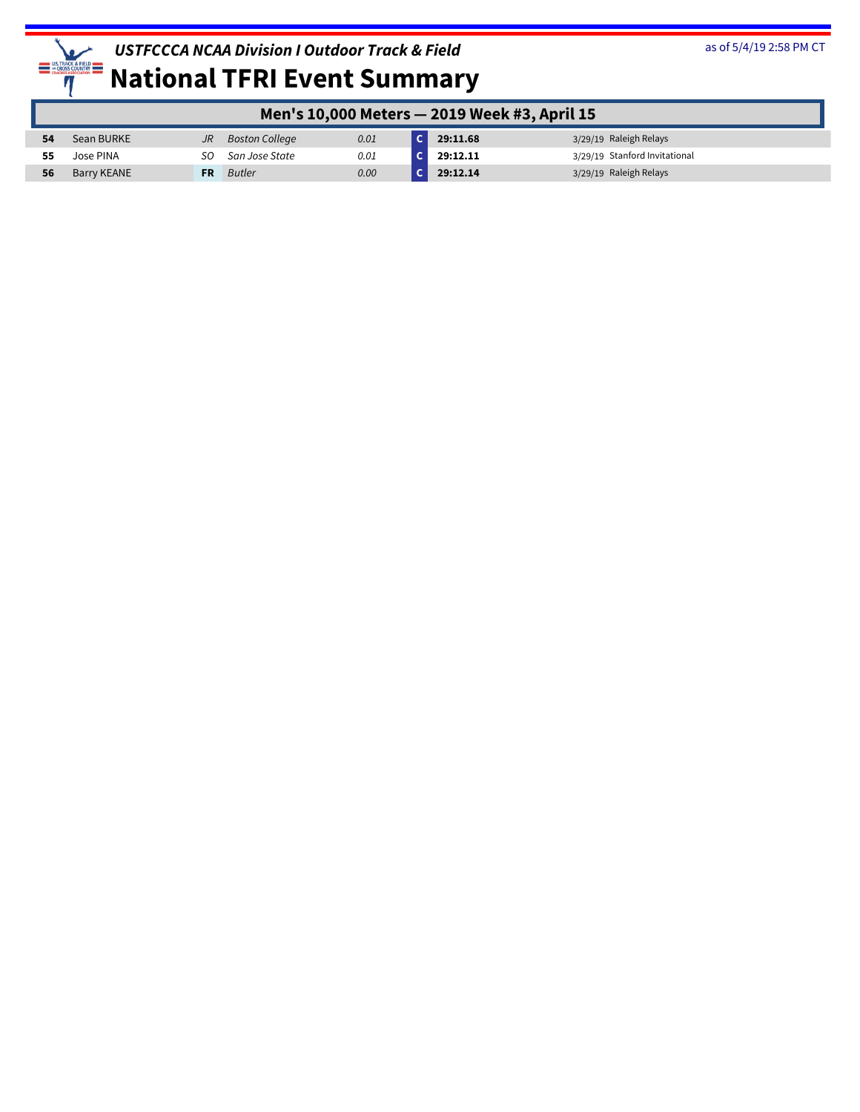

|    | Men's 10,000 Meters - 2019 Week #3, April 15 |           |                |      |  |          |                               |  |  |
|----|----------------------------------------------|-----------|----------------|------|--|----------|-------------------------------|--|--|
| 54 | Sean BURKE                                   | JR.       | Boston College | 0.01 |  | 29:11.68 | 3/29/19 Raleigh Relays        |  |  |
| 55 | Jose PINA                                    | SO.       | San Jose State | 0.01 |  | 29:12.11 | 3/29/19 Stanford Invitational |  |  |
| 56 | Barry KEANE                                  | <b>FR</b> | Butler         | 0.00 |  | 29:12.14 | 3/29/19 Raleigh Relays        |  |  |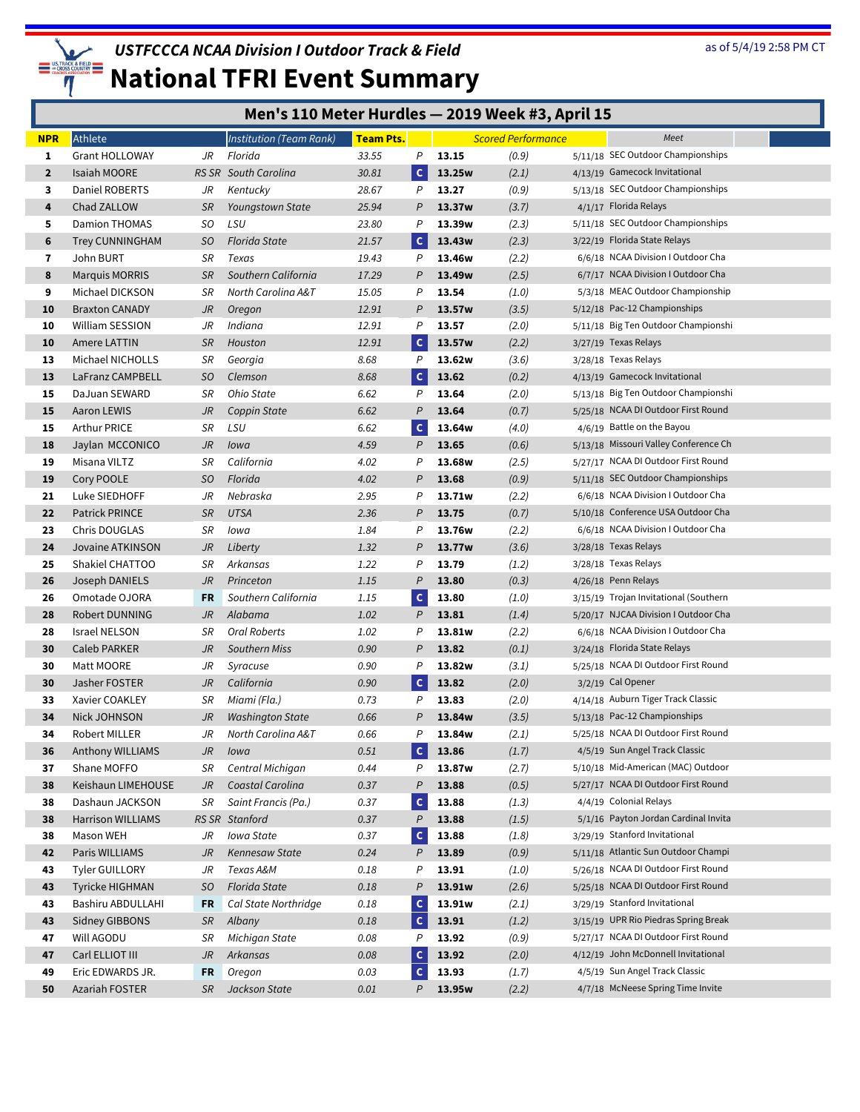

|                | Men's 110 Meter Hurdles - 2019 Week #3, April 15 |           |                                |                  |              |                    |                           |  |                                                                          |
|----------------|--------------------------------------------------|-----------|--------------------------------|------------------|--------------|--------------------|---------------------------|--|--------------------------------------------------------------------------|
| <b>NPR</b>     | Athlete                                          |           | <b>Institution (Team Rank)</b> | <b>Team Pts.</b> |              |                    | <b>Scored Performance</b> |  | Meet                                                                     |
| 1              | <b>Grant HOLLOWAY</b>                            | JR        | Florida                        | 33.55            | P            | 13.15              | (0.9)                     |  | 5/11/18 SEC Outdoor Championships                                        |
| $\overline{2}$ | Isaiah MOORE                                     |           | RS SR South Carolina           | 30.81            | $\mathsf{C}$ | 13.25w             | (2.1)                     |  | 4/13/19 Gamecock Invitational                                            |
| 3              | Daniel ROBERTS                                   | JR        | Kentucky                       | 28.67            | P            | 13.27              | (0.9)                     |  | 5/13/18 SEC Outdoor Championships                                        |
| 4              | Chad ZALLOW                                      | <b>SR</b> | Youngstown State               | 25.94            | P            | 13.37w             | (3.7)                     |  | 4/1/17 Florida Relays                                                    |
| 5              | <b>Damion THOMAS</b>                             | SO.       | LSU                            | 23.80            | Ρ            | 13.39w             | (2.3)                     |  | 5/11/18 SEC Outdoor Championships                                        |
| 6              | Trey CUNNINGHAM                                  | SO        | <b>Florida State</b>           | 21.57            | $\mathsf{C}$ | 13.43w             | (2.3)                     |  | 3/22/19 Florida State Relays                                             |
| 7              | John BURT                                        | SR        | Texas                          | 19.43            | Ρ            | 13.46w             | (2.2)                     |  | 6/6/18 NCAA Division I Outdoor Cha                                       |
| 8              | <b>Marquis MORRIS</b>                            | SR        | Southern California            | 17.29            | P            | 13.49w             | (2.5)                     |  | 6/7/17 NCAA Division I Outdoor Cha                                       |
| 9              | Michael DICKSON                                  | SR        | North Carolina A&T             | 15.05            | P            | 13.54              | (1.0)                     |  | 5/3/18 MEAC Outdoor Championship                                         |
| 10             | <b>Braxton CANADY</b>                            | JR        | Oregon                         | 12.91            | P            | 13.57w             | (3.5)                     |  | 5/12/18 Pac-12 Championships                                             |
| 10             | William SESSION                                  | JR        | Indiana                        | 12.91            | P            | 13.57              | (2.0)                     |  | 5/11/18 Big Ten Outdoor Championshi                                      |
| 10             | Amere LATTIN                                     | <b>SR</b> | Houston                        | 12.91            | $\mathsf{C}$ | 13.57w             | (2.2)                     |  | 3/27/19 Texas Relays                                                     |
| 13             | Michael NICHOLLS                                 | SR        | Georgia                        | 8.68             | P            | 13.62w             | (3.6)                     |  | 3/28/18 Texas Relays                                                     |
| 13             | LaFranz CAMPBELL                                 | SO        | Clemson                        | 8.68             | $\mathsf{C}$ | 13.62              | (0.2)                     |  | 4/13/19 Gamecock Invitational                                            |
| 15             | DaJuan SEWARD                                    | SR        | Ohio State                     | 6.62             | P            | 13.64              | (2.0)                     |  | 5/13/18 Big Ten Outdoor Championshi                                      |
| 15             | <b>Aaron LEWIS</b>                               | JR        | Coppin State                   | 6.62             | $\mathcal P$ | 13.64              | (0.7)                     |  | 5/25/18 NCAA DI Outdoor First Round                                      |
| 15             | <b>Arthur PRICE</b>                              | SR        | LSU                            | 6.62             | $\mathsf{c}$ | 13.64w             | (4.0)                     |  | 4/6/19 Battle on the Bayou                                               |
| 18             | Jaylan MCCONICO                                  | JR        | Iowa                           | 4.59             | P            | 13.65              | (0.6)                     |  | 5/13/18 Missouri Valley Conference Ch                                    |
| 19             | Misana VILTZ                                     | SR        | California                     | 4.02             | P            | 13.68w             | (2.5)                     |  | 5/27/17 NCAA DI Outdoor First Round                                      |
| 19             | Cory POOLE                                       | SO        | Florida                        | 4.02             | P            | 13.68              | (0.9)                     |  | 5/11/18 SEC Outdoor Championships                                        |
| 21             | Luke SIEDHOFF                                    | JR        | Nebraska                       | 2.95             | Ρ            | 13.71w             | (2.2)                     |  | 6/6/18 NCAA Division I Outdoor Cha                                       |
| 22             | <b>Patrick PRINCE</b><br>Chris DOUGLAS           | SR        | <b>UTSA</b>                    | 2.36             | P            | 13.75              | (0.7)                     |  | 5/10/18 Conference USA Outdoor Cha<br>6/6/18 NCAA Division I Outdoor Cha |
| 23<br>24       | Jovaine ATKINSON                                 | SR<br>JR  | Iowa                           | 1.84             | Ρ<br>P       | 13.76w<br>13.77w   | (2.2)                     |  | 3/28/18 Texas Relays                                                     |
| 25             | Shakiel CHATTOO                                  | SR        | Liberty<br>Arkansas            | 1.32<br>1.22     | P            | 13.79              | (3.6)<br>(1.2)            |  | 3/28/18 Texas Relays                                                     |
| 26             | Joseph DANIELS                                   | JR        | Princeton                      | 1.15             | P            | 13.80              | (0.3)                     |  | 4/26/18 Penn Relays                                                      |
| 26             | Omotade OJORA                                    | <b>FR</b> | Southern California            | 1.15             | $\mathsf{C}$ | 13.80              | (1.0)                     |  | 3/15/19 Trojan Invitational (Southern                                    |
| 28             | Robert DUNNING                                   | JR        | Alabama                        | 1.02             | P            | 13.81              | (1.4)                     |  | 5/20/17 NJCAA Division I Outdoor Cha                                     |
| 28             | <b>Israel NELSON</b>                             | SR        | Oral Roberts                   | 1.02             | P            | 13.81w             | (2.2)                     |  | 6/6/18 NCAA Division I Outdoor Cha                                       |
| 30             | Caleb PARKER                                     | JR        | Southern Miss                  | 0.90             | P            | 13.82              | (0.1)                     |  | 3/24/18 Florida State Relays                                             |
| 30             | Matt MOORE                                       | JR        | Syracuse                       | 0.90             | P            | 13.82w             | (3.1)                     |  | 5/25/18 NCAA DI Outdoor First Round                                      |
| 30             | Jasher FOSTER                                    | JR        | California                     | 0.90             | $\mathsf{C}$ | 13.82              | (2.0)                     |  | 3/2/19 Cal Opener                                                        |
| 33             | Xavier COAKLEY                                   | SR        | Miami (Fla.)                   | 0.73             | P            | 13.83              | (2.0)                     |  | 4/14/18 Auburn Tiger Track Classic                                       |
| 34             | Nick JOHNSON                                     | $J\!R$    | <b>Washington State</b>        | 0.66             | P            | 13.84w             | (3.5)                     |  | 5/13/18 Pac-12 Championships                                             |
| 34             | Robert MILLER                                    | JR        | North Carolina A&T             | 0.66             | P            | 13.84w             | (2.1)                     |  | 5/25/18 NCAA DI Outdoor First Round                                      |
| 36             | Anthony WILLIAMS                                 | JR        | lowa                           | 0.51             | $\mathsf{C}$ | 13.86              | (1.7)                     |  | 4/5/19 Sun Angel Track Classic                                           |
| 37             | Shane MOFFO                                      | SR        | Central Michigan               | 0.44             | Ρ            | 13.87w             | (2.7)                     |  | 5/10/18 Mid-American (MAC) Outdoor                                       |
| 38             | Keishaun LIMEHOUSE                               | JR        | Coastal Carolina               | 0.37             | P            | 13.88              | (0.5)                     |  | 5/27/17 NCAA DI Outdoor First Round                                      |
| 38             | Dashaun JACKSON                                  | SR        | Saint Francis (Pa.)            | 0.37             | $\mathbf{C}$ | 13.88              | (1.3)                     |  | 4/4/19 Colonial Relays                                                   |
| 38             | <b>Harrison WILLIAMS</b>                         |           | RS SR Stanford                 | 0.37             | P            | 13.88              | (1.5)                     |  | 5/1/16 Payton Jordan Cardinal Invita                                     |
| 38             | Mason WEH                                        | JR        | Iowa State                     | 0.37             | $\mathsf{C}$ | 13.88              | (1.8)                     |  | 3/29/19 Stanford Invitational                                            |
| 42             | Paris WILLIAMS                                   | JR        | Kennesaw State                 | 0.24             | P            | 13.89              | (0.9)                     |  | 5/11/18 Atlantic Sun Outdoor Champi                                      |
| 43             | Tyler GUILLORY                                   | JR        | Texas A&M                      | 0.18             | P            | 13.91              | (1.0)                     |  | 5/26/18 NCAA DI Outdoor First Round                                      |
| 43             | <b>Tyricke HIGHMAN</b>                           | SO.       | <b>Florida State</b>           | 0.18             | P            | 13.91w             | (2.6)                     |  | 5/25/18 NCAA DI Outdoor First Round                                      |
| 43             | Bashiru ABDULLAHI                                | FR        | Cal State Northridge           | 0.18             | $\mathbf{C}$ | 13.91w             | (2.1)                     |  | 3/29/19 Stanford Invitational                                            |
| 43             | <b>Sidney GIBBONS</b>                            | SR        | Albany                         | 0.18             | $\mathsf{C}$ | 13.91              | (1.2)                     |  | 3/15/19 UPR Rio Piedras Spring Break                                     |
| 47             | Will AGODU                                       | SR        | Michigan State                 | 0.08             | P            | 13.92              | (0.9)                     |  | 5/27/17 NCAA DI Outdoor First Round                                      |
| 47             | Carl ELLIOT III                                  | JR        | Arkansas                       | 0.08             | $\mathsf{C}$ | 13.92              | (2.0)                     |  | 4/12/19 John McDonnell Invitational                                      |
| 49             | Eric EDWARDS JR.                                 | FR        | Oregon                         | 0.03             | $\mathsf{C}$ | 13.93              | (1.7)                     |  | 4/5/19 Sun Angel Track Classic                                           |
| 50             | Azariah FOSTER                                   | SR.       | Jackson State                  | 0.01             | P            | 13.95 <sub>w</sub> | (2.2)                     |  | 4/7/18 McNeese Spring Time Invite                                        |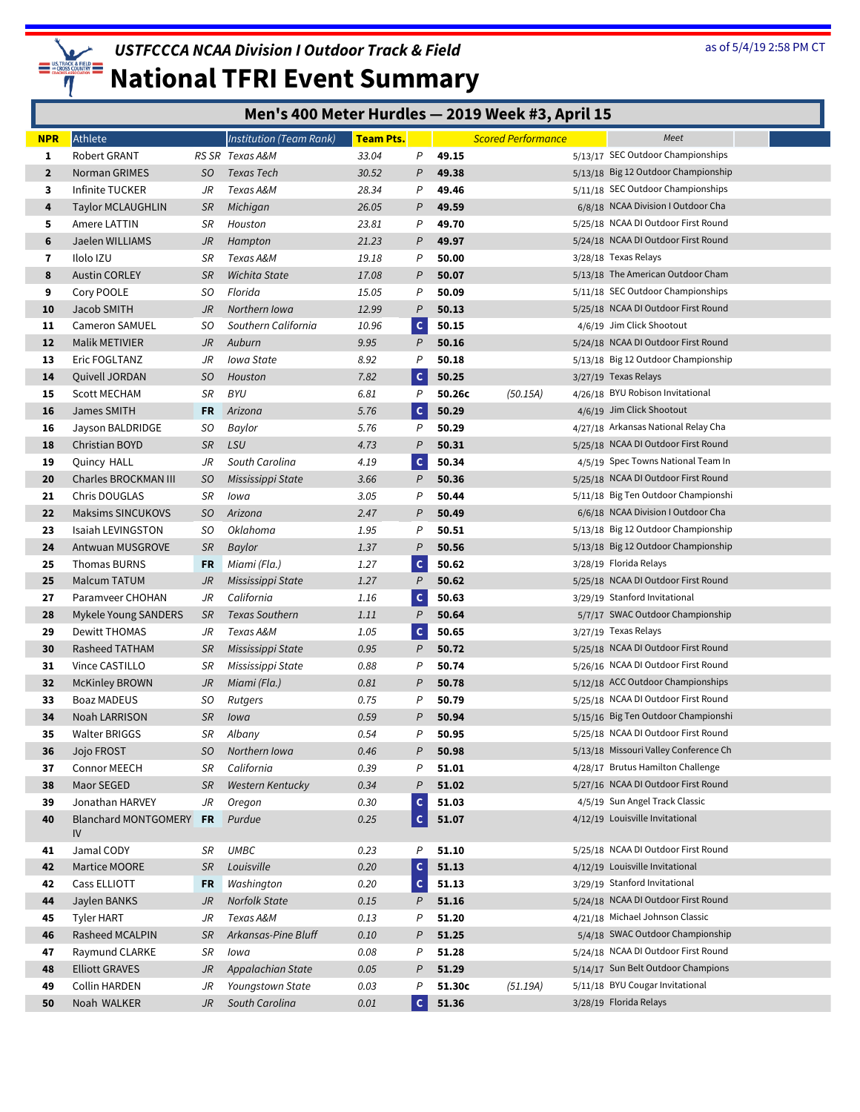

|                | Men's 400 Meter Hurdles - 2019 Week #3, April 15 |           |                                |                  |                |        |                           |                                       |
|----------------|--------------------------------------------------|-----------|--------------------------------|------------------|----------------|--------|---------------------------|---------------------------------------|
| <b>NPR</b>     | Athlete                                          |           | <b>Institution (Team Rank)</b> | <b>Team Pts.</b> |                |        | <b>Scored Performance</b> | Meet                                  |
| 1              | Robert GRANT                                     |           | RS SR Texas A&M                | 33.04            | P              | 49.15  |                           | 5/13/17 SEC Outdoor Championships     |
| $\overline{2}$ | Norman GRIMES                                    | SO.       | Texas Tech                     | 30.52            | P              | 49.38  |                           | 5/13/18 Big 12 Outdoor Championship   |
| 3              | Infinite TUCKER                                  | JR        | Texas A&M                      | 28.34            | P              | 49.46  |                           | 5/11/18 SEC Outdoor Championships     |
| 4              | <b>Taylor MCLAUGHLIN</b>                         | <b>SR</b> | Michigan                       | 26.05            | P              | 49.59  |                           | 6/8/18 NCAA Division I Outdoor Cha    |
| 5              | Amere LATTIN                                     | SR        | Houston                        | 23.81            | P              | 49.70  |                           | 5/25/18 NCAA DI Outdoor First Round   |
| 6              | Jaelen WILLIAMS                                  | JR        | Hampton                        | 21.23            | P              | 49.97  |                           | 5/24/18 NCAA DI Outdoor First Round   |
| 7              | Ilolo IZU                                        | SR        | Texas A&M                      | 19.18            | P              | 50.00  |                           | 3/28/18 Texas Relays                  |
| 8              | <b>Austin CORLEY</b>                             | <b>SR</b> | Wichita State                  | 17.08            | P              | 50.07  |                           | 5/13/18 The American Outdoor Cham     |
| 9              | Cory POOLE                                       | SO.       | Florida                        | 15.05            | P              | 50.09  |                           | 5/11/18 SEC Outdoor Championships     |
| 10             | Jacob SMITH                                      | JR        | Northern Iowa                  | 12.99            | P              | 50.13  |                           | 5/25/18 NCAA DI Outdoor First Round   |
| 11             | <b>Cameron SAMUEL</b>                            | SO.       | Southern California            | 10.96            | $\mathsf{C}$   | 50.15  |                           | 4/6/19 Jim Click Shootout             |
| 12             | Malik METIVIER                                   | JR        | Auburn                         | 9.95             | P              | 50.16  |                           | 5/24/18 NCAA DI Outdoor First Round   |
| 13             | Eric FOGLTANZ                                    | JR        | Iowa State                     | 8.92             | $\mathsf{P}$   | 50.18  |                           | 5/13/18 Big 12 Outdoor Championship   |
| 14             | Quivell JORDAN                                   | SO.       | Houston                        | 7.82             | $\mathsf{C}$   | 50.25  |                           | 3/27/19 Texas Relays                  |
| 15             | <b>Scott MECHAM</b>                              | SR        | <b>BYU</b>                     | 6.81             | P              | 50.26c | (50.15A)                  | 4/26/18 BYU Robison Invitational      |
| 16             | James SMITH                                      | <b>FR</b> | Arizona                        | 5.76             | $\mathsf{C}$   | 50.29  |                           | 4/6/19 Jim Click Shootout             |
| 16             | Jayson BALDRIDGE                                 | SO.       | Baylor                         | 5.76             | P              | 50.29  |                           | 4/27/18 Arkansas National Relay Cha   |
| 18             | Christian BOYD                                   | <b>SR</b> | LSU                            | 4.73             | P              | 50.31  |                           | 5/25/18 NCAA DI Outdoor First Round   |
| 19             | Quincy HALL                                      | JR        | South Carolina                 | 4.19             | $\mathsf{C}$   | 50.34  |                           | 4/5/19 Spec Towns National Team In    |
| 20             | Charles BROCKMAN III                             | SO        | Mississippi State              | 3.66             | P              | 50.36  |                           | 5/25/18 NCAA DI Outdoor First Round   |
| 21             | Chris DOUGLAS                                    | SR        | lowa                           | 3.05             | P              | 50.44  |                           | 5/11/18 Big Ten Outdoor Championshi   |
| 22             | Maksims SINCUKOVS                                | SO        | Arizona                        | 2.47             | P              | 50.49  |                           | 6/6/18 NCAA Division I Outdoor Cha    |
| 23             | Isaiah LEVINGSTON                                | SO.       | Oklahoma                       | 1.95             | P              | 50.51  |                           | 5/13/18 Big 12 Outdoor Championship   |
| 24             | Antwuan MUSGROVE                                 | <b>SR</b> | <b>Baylor</b>                  | 1.37             | $\mathcal P$   | 50.56  |                           | 5/13/18 Big 12 Outdoor Championship   |
| 25             | <b>Thomas BURNS</b>                              | FR        | Miami (Fla.)                   | 1.27             | $\mathsf{C}$   | 50.62  |                           | 3/28/19 Florida Relays                |
| 25             | Malcum TATUM                                     | JR        | Mississippi State              | 1.27             | P              | 50.62  |                           | 5/25/18 NCAA DI Outdoor First Round   |
| 27             | Paramveer CHOHAN                                 | JR        | California                     | 1.16             | $\mathsf{C}$   | 50.63  |                           | 3/29/19 Stanford Invitational         |
| 28             | Mykele Young SANDERS                             | <b>SR</b> | <b>Texas Southern</b>          | 1.11             | $\overline{P}$ | 50.64  |                           | 5/7/17 SWAC Outdoor Championship      |
| 29             | Dewitt THOMAS                                    | JR        | Texas A&M                      | 1.05             | $\mathsf{C}$   | 50.65  |                           | 3/27/19 Texas Relays                  |
| 30             | Rasheed TATHAM                                   | <b>SR</b> | Mississippi State              | 0.95             | P              | 50.72  |                           | 5/25/18 NCAA DI Outdoor First Round   |
| 31             | Vince CASTILLO                                   | SR        | Mississippi State              | 0.88             | P              | 50.74  |                           | 5/26/16 NCAA DI Outdoor First Round   |
| 32             | <b>McKinley BROWN</b>                            | JR        | Miami (Fla.)                   | 0.81             | P              | 50.78  |                           | 5/12/18 ACC Outdoor Championships     |
| 33             | <b>Boaz MADEUS</b>                               | SO.       | Rutgers                        | 0.75             | P              | 50.79  |                           | 5/25/18 NCAA DI Outdoor First Round   |
| 34             | <b>Noah LARRISON</b>                             | <b>SR</b> | Iowa                           | 0.59             | P              | 50.94  |                           | 5/15/16 Big Ten Outdoor Championshi   |
| 35             | Walter BRIGGS                                    | SR        | Albany                         | 0.54             | $\overline{P}$ | 50.95  |                           | 5/25/18 NCAA DI Outdoor First Round   |
| 36             | Jojo FROST                                       | SO.       | Northern Iowa                  | 0.46             | P              | 50.98  |                           | 5/13/18 Missouri Valley Conference Ch |
| 37             | Connor MEECH                                     | SR        | California                     | 0.39             | P              | 51.01  |                           | 4/28/17 Brutus Hamilton Challenge     |
| 38             | Maor SEGED                                       | SR        | Western Kentucky               | 0.34             | P              | 51.02  |                           | 5/27/16 NCAA DI Outdoor First Round   |
| 39             | Jonathan HARVEY                                  | JR        | Oregon                         | 0.30             | $\mathsf{C}$   | 51.03  |                           | 4/5/19 Sun Angel Track Classic        |
| 40             | Blanchard MONTGOMERY<br>IV                       | FR        | Purdue                         | 0.25             | $\mathsf{c}$   | 51.07  |                           | 4/12/19 Louisville Invitational       |
| 41             | Jamal CODY                                       | SR        | <b>UMBC</b>                    | 0.23             | P              | 51.10  |                           | 5/25/18 NCAA DI Outdoor First Round   |
| 42             | Martice MOORE                                    | SR        | Louisville                     | 0.20             | $\mathsf{c}$   | 51.13  |                           | 4/12/19 Louisville Invitational       |
| 42             | Cass ELLIOTT                                     | <b>FR</b> | Washington                     | 0.20             | $\mathsf{C}$   | 51.13  |                           | 3/29/19 Stanford Invitational         |
| 44             | Jaylen BANKS                                     | JR        | Norfolk State                  | 0.15             | P              | 51.16  |                           | 5/24/18 NCAA DI Outdoor First Round   |
| 45             | Tyler HART                                       | JR        | Texas A&M                      | 0.13             | P              | 51.20  |                           | 4/21/18 Michael Johnson Classic       |
| 46             | Rasheed MCALPIN                                  | SR        | Arkansas-Pine Bluff            | 0.10             | P              | 51.25  |                           | 5/4/18 SWAC Outdoor Championship      |
| 47             | Raymund CLARKE                                   | SR        | Iowa                           | 0.08             | P              | 51.28  |                           | 5/24/18 NCAA DI Outdoor First Round   |
| 48             | <b>Elliott GRAVES</b>                            | JR        | Appalachian State              | 0.05             | P              | 51.29  |                           | 5/14/17 Sun Belt Outdoor Champions    |
| 49             | Collin HARDEN                                    | JR        | Youngstown State               | 0.03             | P              | 51.30c | (51.19A)                  | 5/11/18 BYU Cougar Invitational       |
| 50             | Noah WALKER                                      | JR        | South Carolina                 | $0.01\,$         | $\mathsf{C}$   | 51.36  |                           | 3/28/19 Florida Relays                |
|                |                                                  |           |                                |                  |                |        |                           |                                       |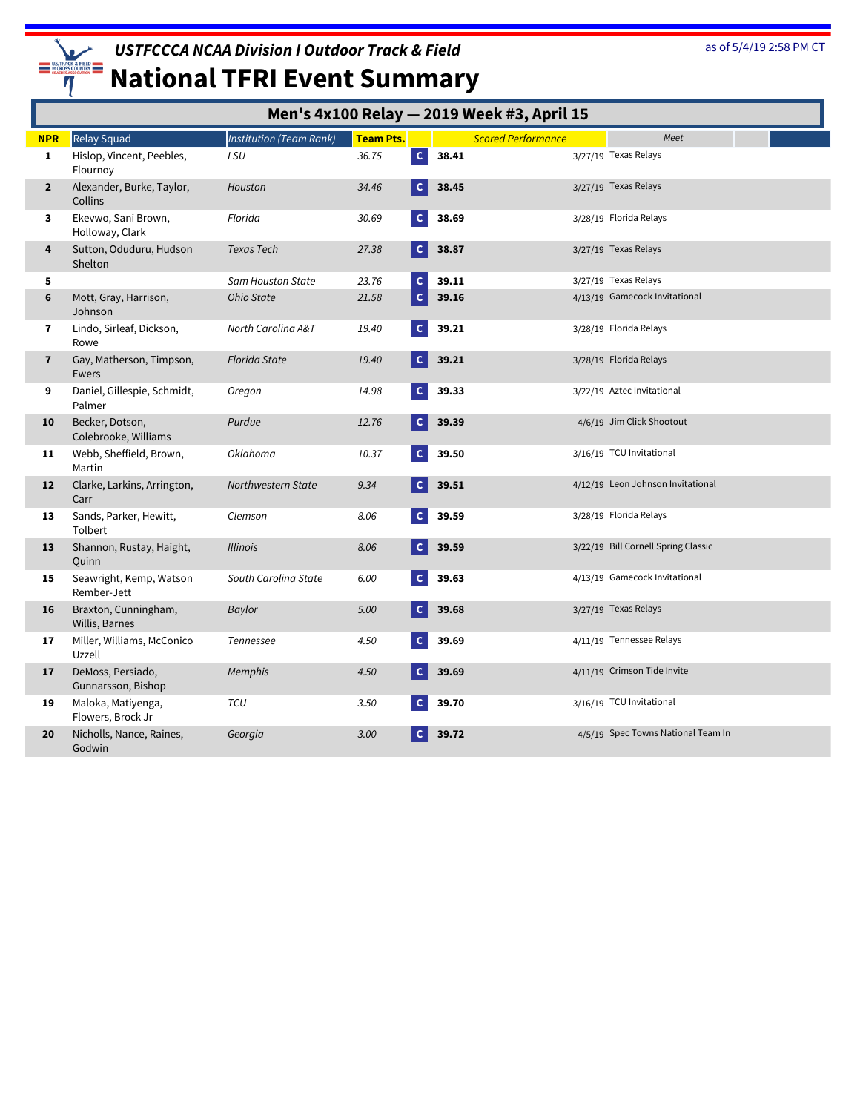

|                |                                         |                                |                  |              |       | Men's 4x100 Relay - 2019 Week #3, April 15 |                                     |
|----------------|-----------------------------------------|--------------------------------|------------------|--------------|-------|--------------------------------------------|-------------------------------------|
| <b>NPR</b>     | Relay Squad                             | <b>Institution (Team Rank)</b> | <b>Team Pts.</b> |              |       | <b>Scored Performance</b>                  | Meet                                |
| 1              | Hislop, Vincent, Peebles,<br>Flournoy   | LSU                            | 36.75            | $\mathsf{C}$ | 38.41 |                                            | 3/27/19 Texas Relays                |
| $\overline{2}$ | Alexander, Burke, Taylor,<br>Collins    | Houston                        | 34.46            |              | 38.45 |                                            | 3/27/19 Texas Relays                |
| 3              | Ekevwo, Sani Brown,<br>Holloway, Clark  | Florida                        | 30.69            |              | 38.69 |                                            | 3/28/19 Florida Relays              |
| 4              | Sutton, Oduduru, Hudson<br>Shelton      | Texas Tech                     | 27.38            | $\mathsf{C}$ | 38.87 |                                            | 3/27/19 Texas Relays                |
| 5              |                                         | Sam Houston State              | 23.76            | $\mathsf{C}$ | 39.11 |                                            | 3/27/19 Texas Relays                |
| 6              | Mott, Gray, Harrison,<br>Johnson        | Ohio State                     | 21.58            | $\mathbf{C}$ | 39.16 |                                            | 4/13/19 Gamecock Invitational       |
| 7              | Lindo, Sirleaf, Dickson,<br>Rowe        | North Carolina A&T             | 19.40            |              | 39.21 |                                            | 3/28/19 Florida Relays              |
| $\mathbf{7}$   | Gay, Matherson, Timpson,<br>Ewers       | <b>Florida State</b>           | 19.40            | $\mathsf{C}$ | 39.21 |                                            | 3/28/19 Florida Relays              |
| 9              | Daniel, Gillespie, Schmidt,<br>Palmer   | Oregon                         | 14.98            | C.           | 39.33 |                                            | 3/22/19 Aztec Invitational          |
| 10             | Becker, Dotson,<br>Colebrooke, Williams | Purdue                         | 12.76            |              | 39.39 |                                            | 4/6/19 Jim Click Shootout           |
| 11             | Webb, Sheffield, Brown,<br>Martin       | <b>Oklahoma</b>                | 10.37            |              | 39.50 |                                            | 3/16/19 TCU Invitational            |
| 12             | Clarke, Larkins, Arrington,<br>Carr     | Northwestern State             | 9.34             |              | 39.51 |                                            | 4/12/19 Leon Johnson Invitational   |
| 13             | Sands, Parker, Hewitt,<br>Tolbert       | Clemson                        | 8.06             |              | 39.59 |                                            | 3/28/19 Florida Relays              |
| 13             | Shannon, Rustay, Haight,<br>Quinn       | <b>Illinois</b>                | 8.06             | C.           | 39.59 |                                            | 3/22/19 Bill Cornell Spring Classic |
| 15             | Seawright, Kemp, Watson<br>Rember-Jett  | South Carolina State           | 6.00             | C.           | 39.63 |                                            | 4/13/19 Gamecock Invitational       |
| 16             | Braxton, Cunningham,<br>Willis, Barnes  | <b>Baylor</b>                  | 5.00             |              | 39.68 |                                            | 3/27/19 Texas Relays                |
| 17             | Miller, Williams, McConico<br>Uzzell    | Tennessee                      | 4.50             |              | 39.69 |                                            | 4/11/19 Tennessee Relays            |
| 17             | DeMoss, Persiado,<br>Gunnarsson, Bishop | Memphis                        | 4.50             |              | 39.69 |                                            | 4/11/19 Crimson Tide Invite         |
| 19             | Maloka, Matiyenga,<br>Flowers, Brock Jr | TCU                            | 3.50             |              | 39.70 |                                            | 3/16/19 TCU Invitational            |
| 20             | Nicholls, Nance, Raines,<br>Godwin      | Georgia                        | 3.00             |              | 39.72 |                                            | 4/5/19 Spec Towns National Team In  |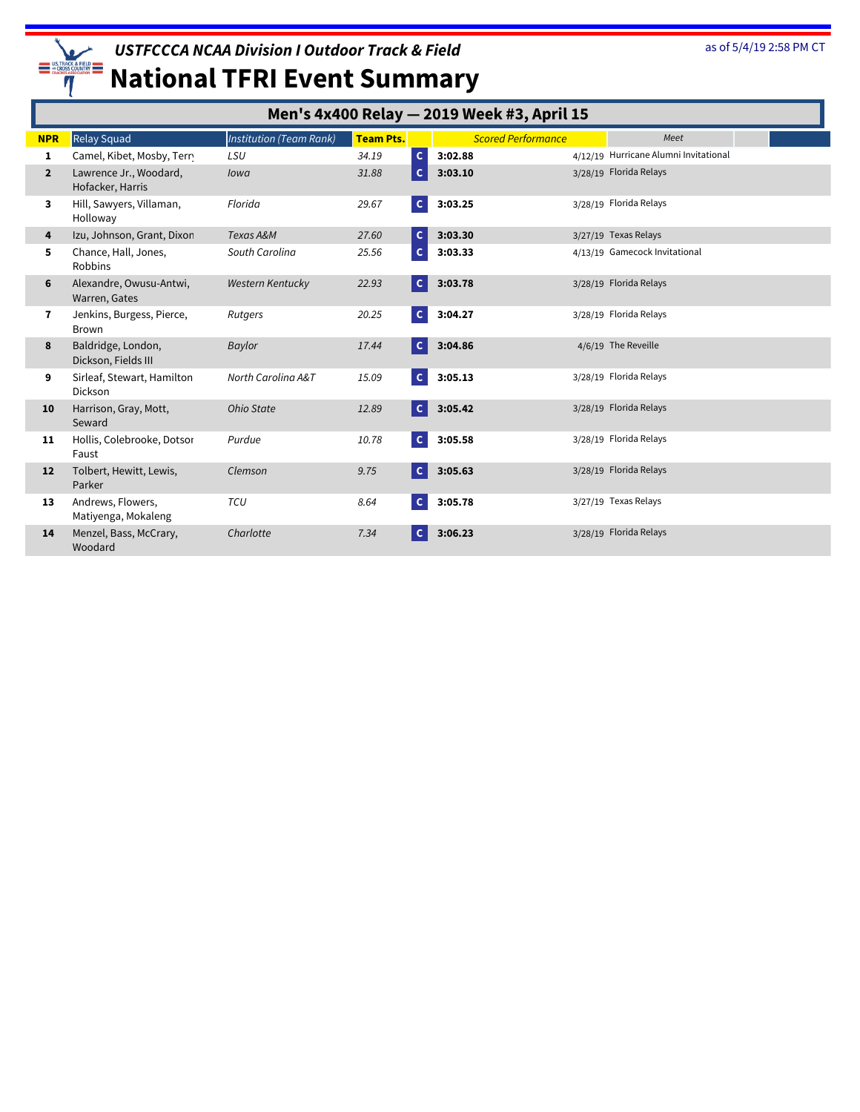

|                | Men's 4x400 Relay - 2019 Week #3, April 15 |                                |                  |              |                           |  |                                       |  |  |
|----------------|--------------------------------------------|--------------------------------|------------------|--------------|---------------------------|--|---------------------------------------|--|--|
| <b>NPR</b>     | <b>Relay Squad</b>                         | <b>Institution (Team Rank)</b> | <b>Team Pts.</b> |              | <b>Scored Performance</b> |  | Meet                                  |  |  |
| 1              | Camel, Kibet, Mosby, Terry                 | LSU                            | 34.19            | $\mathsf{C}$ | 3:02.88                   |  | 4/12/19 Hurricane Alumni Invitational |  |  |
| $\overline{2}$ | Lawrence Jr., Woodard,<br>Hofacker, Harris | Iowa                           | 31.88            | $\mathsf{C}$ | 3:03.10                   |  | 3/28/19 Florida Relays                |  |  |
| 3              | Hill, Sawyers, Villaman,<br>Holloway       | Florida                        | 29.67            | $\mathbf{C}$ | 3:03.25                   |  | 3/28/19 Florida Relays                |  |  |
| 4              | Izu, Johnson, Grant, Dixon                 | Texas A&M                      | 27.60            | $\mathsf{C}$ | 3:03.30                   |  | 3/27/19 Texas Relays                  |  |  |
| 5              | Chance, Hall, Jones,<br>Robbins            | South Carolina                 | 25.56            | $\mathsf{C}$ | 3:03.33                   |  | 4/13/19 Gamecock Invitational         |  |  |
| 6              | Alexandre, Owusu-Antwi,<br>Warren, Gates   | <b>Western Kentucky</b>        | 22.93            | $\mathbf{C}$ | 3:03.78                   |  | 3/28/19 Florida Relays                |  |  |
| 7              | Jenkins, Burgess, Pierce,<br><b>Brown</b>  | Rutgers                        | 20.25            | <b>C</b>     | 3:04.27                   |  | 3/28/19 Florida Relays                |  |  |
| 8              | Baldridge, London,<br>Dickson, Fields III  | Baylor                         | 17.44            | l cl         | 3:04.86                   |  | 4/6/19 The Reveille                   |  |  |
| 9              | Sirleaf, Stewart, Hamilton<br>Dickson      | North Carolina A&T             | 15.09            | $\mathsf{C}$ | 3:05.13                   |  | 3/28/19 Florida Relays                |  |  |
| 10             | Harrison, Gray, Mott,<br>Seward            | Ohio State                     | 12.89            | $\mathbf{C}$ | 3:05.42                   |  | 3/28/19 Florida Relays                |  |  |
| 11             | Hollis, Colebrooke, Dotsor<br>Faust        | Purdue                         | 10.78            | $\mathsf{C}$ | 3:05.58                   |  | 3/28/19 Florida Relays                |  |  |
| 12             | Tolbert, Hewitt, Lewis,<br>Parker          | Clemson                        | 9.75             | <b>C</b>     | 3:05.63                   |  | 3/28/19 Florida Relays                |  |  |
| 13             | Andrews, Flowers,<br>Matiyenga, Mokaleng   | TCU                            | 8.64             | $\mathsf{C}$ | 3:05.78                   |  | 3/27/19 Texas Relays                  |  |  |
| 14             | Menzel, Bass, McCrary,<br>Woodard          | Charlotte                      | 7.34             | <b>C</b>     | 3:06.23                   |  | 3/28/19 Florida Relays                |  |  |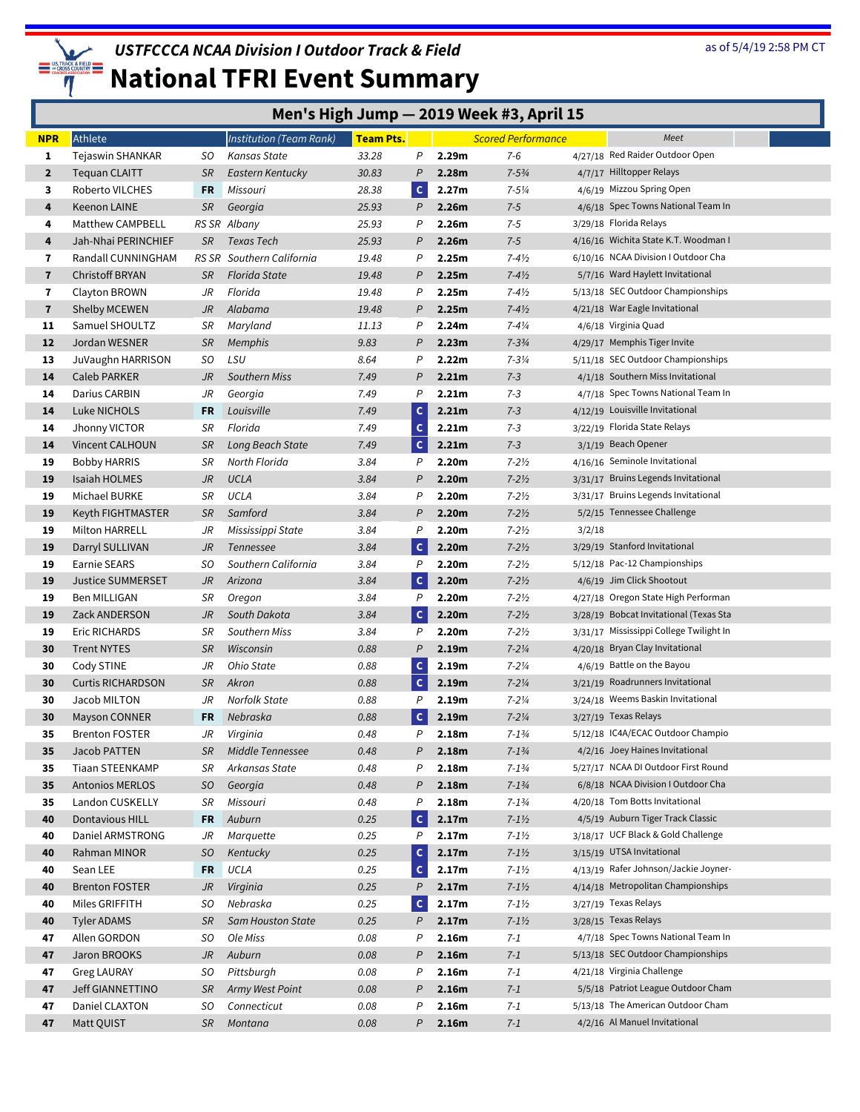

|                | Men's High Jump - 2019 Week #3, April 15 |           |                           |                  |               |                   |                           |        |                                         |
|----------------|------------------------------------------|-----------|---------------------------|------------------|---------------|-------------------|---------------------------|--------|-----------------------------------------|
| <b>NPR</b>     | Athlete                                  |           | Institution (Team Rank)   | <b>Team Pts.</b> |               |                   | <b>Scored Performance</b> |        | Meet                                    |
| 1              | Tejaswin SHANKAR                         | SO        | Kansas State              | 33.28            | P             | 2.29m             | $7 - 6$                   |        | 4/27/18 Red Raider Outdoor Open         |
| $\overline{2}$ | Tequan CLAITT                            | SR        | Eastern Kentucky          | 30.83            | P             | 2.28m             | $7 - 5\frac{3}{4}$        |        | 4/7/17 Hilltopper Relays                |
| 3              | Roberto VILCHES                          | FR        | Missouri                  | 28.38            | $\mathsf{C}$  | 2.27m             | $7 - 5\frac{1}{4}$        |        | 4/6/19 Mizzou Spring Open               |
| 4              | <b>Keenon LAINE</b>                      | SR        | Georgia                   | 25.93            | P             | 2.26m             | $7 - 5$                   |        | 4/6/18 Spec Towns National Team In      |
| 4              | Matthew CAMPBELL                         |           | RS SR Albany              | 25.93            | P             | 2.26m             | $7 - 5$                   |        | 3/29/18 Florida Relays                  |
| 4              | Jah-Nhai PERINCHIEF                      | SR        | Texas Tech                | 25.93            | P             | 2.26m             | $7-5$                     |        | 4/16/16 Wichita State K.T. Woodman I    |
| 7              | Randall CUNNINGHAM                       |           | RS SR Southern California | 19.48            | P             | 2.25m             | $7 - 4\frac{1}{2}$        |        | 6/10/16 NCAA Division I Outdoor Cha     |
| $\overline{7}$ | <b>Christoff BRYAN</b>                   | <b>SR</b> | <b>Florida State</b>      | 19.48            | P             | 2.25m             | $7 - 4\frac{1}{2}$        |        | 5/7/16 Ward Haylett Invitational        |
| $\mathbf{7}$   | Clayton BROWN                            | JR        | Florida                   | 19.48            | P             | 2.25m             | $7 - 4\frac{1}{2}$        |        | 5/13/18 SEC Outdoor Championships       |
| $\mathbf{7}$   | Shelby MCEWEN                            | JR        | Alabama                   | 19.48            | P             | 2.25m             | $7 - 4\frac{1}{2}$        |        | 4/21/18 War Eagle Invitational          |
| 11             | Samuel SHOULTZ                           | SR        | Maryland                  | 11.13            | P             | 2.24m             | $7 - 4\frac{1}{4}$        |        | 4/6/18 Virginia Quad                    |
| 12             | Jordan WESNER                            | SR        | <b>Memphis</b>            | 9.83             | P             | 2.23m             | $7 - 3\frac{3}{4}$        |        | 4/29/17 Memphis Tiger Invite            |
| 13             | JuVaughn HARRISON                        | SO        | LSU                       | 8.64             | P             | 2.22m             | $7 - 3\frac{1}{4}$        |        | 5/11/18 SEC Outdoor Championships       |
| 14             | Caleb PARKER                             | JR        | <b>Southern Miss</b>      | 7.49             | P             | 2.21m             | $7 - 3$                   |        | 4/1/18 Southern Miss Invitational       |
| 14             | Darius CARBIN                            | JR        | Georgia                   | 7.49             | P             | 2.21m             | $7 - 3$                   |        | 4/7/18 Spec Towns National Team In      |
| 14             | Luke NICHOLS                             | <b>FR</b> | Louisville                | 7.49             | $\mathbf{C}$  | 2.21m             | $7 - 3$                   |        | 4/12/19 Louisville Invitational         |
| 14             | Jhonny VICTOR                            | SR        | Florida                   | 7.49             | $\mathsf{C}$  | 2.21m             | $7 - 3$                   |        | 3/22/19 Florida State Relays            |
| 14             | Vincent CALHOUN                          | SR        | Long Beach State          | 7.49             | <b>C</b>      | 2.21m             | $7 - 3$                   |        | 3/1/19 Beach Opener                     |
| 19             | <b>Bobby HARRIS</b>                      | SR        | North Florida             | 3.84             | P             | 2.20m             | $7 - 2\frac{1}{2}$        |        | 4/16/16 Seminole Invitational           |
| 19             | Isaiah HOLMES                            | JR        | <b>UCLA</b>               | 3.84             | P             | 2.20m             | $7 - 2\frac{1}{2}$        |        | 3/31/17 Bruins Legends Invitational     |
| 19             | Michael BURKE                            | SR        | UCLA                      | 3.84             | P             | 2.20m             | $7 - 2\frac{1}{2}$        |        | 3/31/17 Bruins Legends Invitational     |
| 19             | Keyth FIGHTMASTER                        | SR        | Samford                   | 3.84             | P             | 2.20m             | $7 - 2\frac{1}{2}$        |        | 5/2/15 Tennessee Challenge              |
| 19             | Milton HARRELL                           | JR        | Mississippi State         | 3.84             | P             | 2.20m             | $7 - 2\frac{1}{2}$        | 3/2/18 |                                         |
| 19             | Darryl SULLIVAN                          | JR        | Tennessee                 | 3.84             | $\mathbf{C}$  | 2.20m             | $7 - 2\frac{1}{2}$        |        | 3/29/19 Stanford Invitational           |
| 19             | <b>Earnie SEARS</b>                      | SO.       | Southern California       | 3.84             | P             | 2.20m             | $7 - 2\frac{1}{2}$        |        | 5/12/18 Pac-12 Championships            |
| 19             | <b>Justice SUMMERSET</b>                 | JR        | Arizona                   | 3.84             | $\mathbf{C}$  | 2.20m             | $7 - 2\frac{1}{2}$        |        | 4/6/19 Jim Click Shootout               |
| 19             | Ben MILLIGAN                             | SR        | Oregon                    | 3.84             | P             | 2.20m             | $7 - 2\frac{1}{2}$        |        | 4/27/18 Oregon State High Performan     |
| 19             | Zack ANDERSON                            | JR        | South Dakota              | 3.84             | $\mathbf{C}$  | 2.20m             | $7 - 2\frac{1}{2}$        |        | 3/28/19 Bobcat Invitational (Texas Sta  |
| 19             | Eric RICHARDS                            | SR        | Southern Miss             | 3.84             | P             | 2.20m             | $7 - 2\frac{1}{2}$        |        | 3/31/17 Mississippi College Twilight In |
| 30             | <b>Trent NYTES</b>                       | SR        | Wisconsin                 | 0.88             | P             | 2.19m             | $7 - 2\frac{1}{4}$        |        | 4/20/18 Bryan Clay Invitational         |
| 30             | Cody STINE                               | JR        | Ohio State                | 0.88             | $\mathsf{c}$  | 2.19m             | $7 - 2\frac{1}{4}$        |        | 4/6/19 Battle on the Bayou              |
| 30             | <b>Curtis RICHARDSON</b>                 | SR        | Akron                     | 0.88             | $\mathbf c$   | 2.19m             | $7 - 2\frac{1}{4}$        |        | 3/21/19 Roadrunners Invitational        |
| 30             | Jacob MILTON                             | JR        | Norfolk State             | 0.88             | P             | 2.19 <sub>m</sub> | $7 - 2\frac{1}{4}$        |        | 3/24/18 Weems Baskin Invitational       |
| 30             | <b>Mayson CONNER</b>                     | FR        | Nebraska                  | 0.88             | $\mathbf{C}$  | 2.19m             | $7 - 2\frac{1}{4}$        |        | 3/27/19 Texas Relays                    |
| 35             | Brenton FOSTER                           | JR        | Virginia                  | 0.48             | Ρ             | 2.18m             | $7 - 1\frac{3}{4}$        |        | 5/12/18 IC4A/ECAC Outdoor Champio       |
| 35             | Jacob PATTEN                             | SR        | Middle Tennessee          | 0.48             | P             | 2.18m             | $7 - 1\frac{3}{4}$        |        | 4/2/16 Joey Haines Invitational         |
| 35             | Tiaan STEENKAMP                          | SR        | Arkansas State            | 0.48             | P             | 2.18m             | $7 - 1\frac{3}{4}$        |        | 5/27/17 NCAA DI Outdoor First Round     |
| 35             | <b>Antonios MERLOS</b>                   | SO.       | Georgia                   | 0.48             | P             | 2.18m             | $7 - 1\frac{3}{4}$        |        | 6/8/18 NCAA Division I Outdoor Cha      |
| 35             | Landon CUSKELLY                          | SR        | Missouri                  | 0.48             | P             | 2.18m             | $7 - 1\frac{3}{4}$        |        | 4/20/18 Tom Botts Invitational          |
| 40             | Dontavious HILL                          | FR        | Auburn                    | 0.25             | $\mathsf{C}$  | 2.17m             | $7 - 1\frac{1}{2}$        |        | 4/5/19 Auburn Tiger Track Classic       |
| 40             | Daniel ARMSTRONG                         | JR        | Marquette                 | 0.25             | P             | 2.17 <sub>m</sub> | $7 - 1\%$                 |        | 3/18/17 UCF Black & Gold Challenge      |
| 40             | Rahman MINOR                             | SO.       | Kentucky                  | 0.25             | $\mathsf{C}$  | 2.17m             | $7 - 1\%$                 |        | 3/15/19 UTSA Invitational               |
| 40             | Sean LEE                                 | FR        | UCLA                      | 0.25             | $\mathbf{C}$  | 2.17m             | $7 - 1\%$                 |        | 4/13/19 Rafer Johnson/Jackie Joyner-    |
| 40             | <b>Brenton FOSTER</b>                    | JR        | Virginia                  | 0.25             | $\mathcal{P}$ | 2.17m             | $7 - 1\frac{1}{2}$        |        | 4/14/18 Metropolitan Championships      |
| 40             | Miles GRIFFITH                           | SO        | Nebraska                  | 0.25             | $\mathsf{C}$  | 2.17m             | $7 - 1\%$                 |        | 3/27/19 Texas Relays                    |
| 40             | Tyler ADAMS                              | <b>SR</b> | <b>Sam Houston State</b>  | 0.25             | P             | 2.17m             | $7 - 1\frac{1}{2}$        |        | 3/28/15 Texas Relays                    |
| 47             | Allen GORDON                             | SO        | Ole Miss                  | 0.08             | P             | 2.16m             | $7 - 1$                   |        | 4/7/18 Spec Towns National Team In      |
| 47             | Jaron BROOKS                             | JR        | Auburn                    | 0.08             | P             | 2.16m             | $7 - 1$                   |        | 5/13/18 SEC Outdoor Championships       |
| 47             | <b>Greg LAURAY</b>                       | SO        | Pittsburgh                | 0.08             | P             | 2.16m             | 7-1                       |        | 4/21/18 Virginia Challenge              |
| 47             | <b>Jeff GIANNETTINO</b>                  | SR        | Army West Point           | 0.08             | P             | 2.16m             | $7 - 1$                   |        | 5/5/18 Patriot League Outdoor Cham      |
| 47             | Daniel CLAXTON                           | SO        | Connecticut               | 0.08             | P             | 2.16m             | $7 - 1$                   |        | 5/13/18 The American Outdoor Cham       |
| 47             | Matt QUIST                               | SR        | Montana                   | 0.08             | P             | 2.16m             | $7 - 1$                   |        | 4/2/16 Al Manuel Invitational           |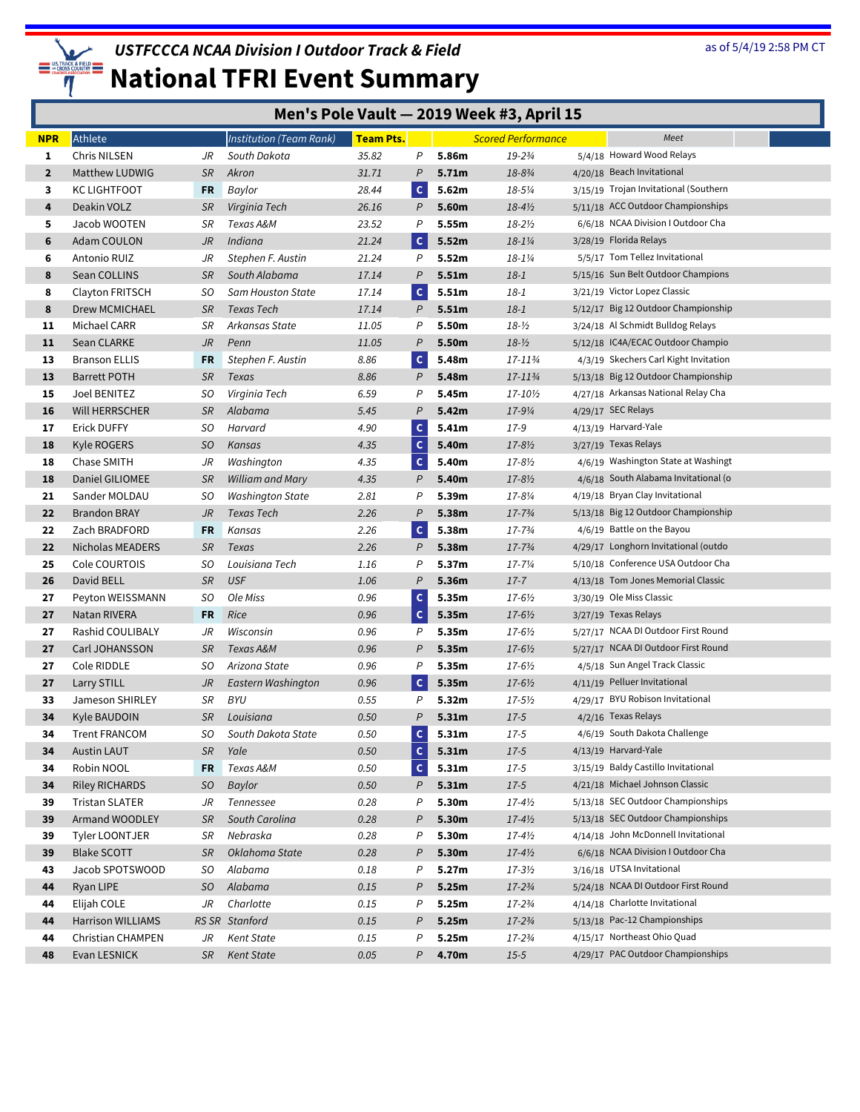

|                |                                            |          |                                |                  | Men's Pole Vault - 2019 Week #3, April 15 |                |                           |  |                                                                       |  |
|----------------|--------------------------------------------|----------|--------------------------------|------------------|-------------------------------------------|----------------|---------------------------|--|-----------------------------------------------------------------------|--|
| <b>NPR</b>     | Athlete                                    |          | <b>Institution (Team Rank)</b> | <b>Team Pts.</b> |                                           |                | <b>Scored Performance</b> |  | Meet                                                                  |  |
| 1              | Chris NILSEN                               | JR       | South Dakota                   | 35.82            | P                                         | 5.86m          | 19-23/4                   |  | 5/4/18 Howard Wood Relays                                             |  |
| $\overline{2}$ | Matthew LUDWIG                             | SR       | Akron                          | 31.71            | P                                         | 5.71m          | 18-83/4                   |  | 4/20/18 Beach Invitational                                            |  |
| 3              | <b>KC LIGHTFOOT</b>                        | FR       | Baylor                         | 28.44            | $\mathsf{C}$                              | 5.62m          | 18-51/4                   |  | 3/15/19 Trojan Invitational (Southern                                 |  |
| 4              | Deakin VOLZ                                | SR       | Virginia Tech                  | 26.16            | P                                         | 5.60m          | $18 - 4\frac{1}{2}$       |  | 5/11/18 ACC Outdoor Championships                                     |  |
| 5              | Jacob WOOTEN                               | SR       | Texas A&M                      | 23.52            | P                                         | 5.55m          | $18 - 2\frac{1}{2}$       |  | 6/6/18 NCAA Division I Outdoor Cha                                    |  |
| 6              | <b>Adam COULON</b>                         | JR       | Indiana                        | 21.24            | $\mathsf{C}$                              | 5.52m          | $18 - 1\%$                |  | 3/28/19 Florida Relays                                                |  |
| 6              | Antonio RUIZ                               | JR       | Stephen F. Austin              | 21.24            | P                                         | 5.52m          | 18-11/4                   |  | 5/5/17 Tom Tellez Invitational                                        |  |
| 8              | Sean COLLINS                               | SR       | South Alabama                  | 17.14            | P                                         | 5.51m          | $18 - 1$                  |  | 5/15/16 Sun Belt Outdoor Champions                                    |  |
| 8              | Clayton FRITSCH                            | SO.      | Sam Houston State              | 17.14            | $\mathbf{C}$                              | 5.51m          | $18 - 1$                  |  | 3/21/19 Victor Lopez Classic                                          |  |
| 8              | Drew MCMICHAEL                             | SR       | Texas Tech                     | 17.14            | P                                         | 5.51m          | $18 - 1$                  |  | 5/12/17 Big 12 Outdoor Championship                                   |  |
| 11             | Michael CARR                               | SR       | Arkansas State                 | 11.05            | P                                         | 5.50m          | $18 - 1/2$                |  | 3/24/18 Al Schmidt Bulldog Relays                                     |  |
| 11             | Sean CLARKE                                | JR       | Penn                           | 11.05            | P                                         | 5.50m          | $18 - 1/2$                |  | 5/12/18 IC4A/ECAC Outdoor Champio                                     |  |
| 13             | <b>Branson ELLIS</b>                       | FR       | Stephen F. Austin              | 8.86             | $\mathsf{C}$                              | 5.48m          | 17-11¾                    |  | 4/3/19 Skechers Carl Kight Invitation                                 |  |
| 13             | <b>Barrett POTH</b>                        | SR       | Texas                          | 8.86             | P                                         | 5.48m          | 17-113/4                  |  | 5/13/18 Big 12 Outdoor Championship                                   |  |
| 15             | Joel BENITEZ                               | SO       | Virginia Tech                  | 6.59             | P                                         | 5.45m          | 17-10½                    |  | 4/27/18 Arkansas National Relay Cha                                   |  |
| 16             | Will HERRSCHER                             | SR       | Alabama                        | 5.45             | P                                         | 5.42m          | 17-91/4                   |  | 4/29/17 SEC Relays                                                    |  |
| 17             | Erick DUFFY                                | SO.      | Harvard                        | 4.90             | $\mathsf{C}$                              | 5.41m          | 17-9                      |  | 4/13/19 Harvard-Yale                                                  |  |
| 18             | Kyle ROGERS                                | SO       | Kansas                         | 4.35             | $\mathsf{C}$                              | 5.40m          | $17 - 8\frac{1}{2}$       |  | 3/27/19 Texas Relays                                                  |  |
| 18             | Chase SMITH                                | JR       | Washington                     | 4.35             | $\mathsf{C}$                              | 5.40m          | 17-8½                     |  | 4/6/19 Washington State at Washingt                                   |  |
| 18             | Daniel GILIOMEE                            | SR       | William and Mary               | 4.35             | $\mathsf{P}$                              | 5.40m          | 17-8½                     |  | 4/6/18 South Alabama Invitational (o                                  |  |
| 21             | Sander MOLDAU                              | SO.      | <b>Washington State</b>        | 2.81             | P                                         | 5.39m          | 17-81/4                   |  | 4/19/18 Bryan Clay Invitational                                       |  |
| 22             | <b>Brandon BRAY</b>                        | JR       | Texas Tech                     | 2.26             | P                                         | 5.38m          | $17 - 7\frac{3}{4}$       |  | 5/13/18 Big 12 Outdoor Championship                                   |  |
| 22             | Zach BRADFORD                              | FR       | Kansas                         | 2.26             | $\mathsf{C}$                              | 5.38m          | 17-73/4                   |  | 4/6/19 Battle on the Bayou                                            |  |
| 22             | Nicholas MEADERS                           | SR       | Texas                          | 2.26             | $\mathsf{P}$                              | 5.38m          | 17-73/4                   |  | 4/29/17 Longhorn Invitational (outdo                                  |  |
| 25             | Cole COURTOIS                              | SO       | Louisiana Tech                 | 1.16             | P                                         | 5.37m          | 17-71/4                   |  | 5/10/18 Conference USA Outdoor Cha                                    |  |
| 26             | David BELL                                 | SR       | <b>USF</b>                     | 1.06             | $\mathcal P$                              | 5.36m          | $17 - 7$                  |  | 4/13/18 Tom Jones Memorial Classic                                    |  |
| 27             | Peyton WEISSMANN                           | SO.      | Ole Miss                       | 0.96             | $\mathsf{C}$                              | 5.35m          | 17-6½                     |  | 3/30/19 Ole Miss Classic                                              |  |
| 27             | Natan RIVERA                               | FR       | Rice                           | 0.96             | $\mathsf{C}$                              | 5.35m          | $17 - 6\%$                |  | 3/27/19 Texas Relays                                                  |  |
| 27             | Rashid COULIBALY                           | JR       | Wisconsin                      | 0.96             | P                                         | 5.35m          | 17-6½                     |  | 5/27/17 NCAA DI Outdoor First Round                                   |  |
| 27             | Carl JOHANSSON                             | SR       | Texas A&M                      | 0.96             | P                                         | 5.35m          | $17 - 6\%$                |  | 5/27/17 NCAA DI Outdoor First Round<br>4/5/18 Sun Angel Track Classic |  |
| 27             | Cole RIDDLE                                | SO.      | Arizona State                  | 0.96             | P<br>$\mathbf{C}$                         | 5.35m          | $17 - 6\%$                |  | 4/11/19 Pelluer Invitational                                          |  |
| 27             | Larry STILL                                | JR       | Eastern Washington             | 0.96             |                                           | 5.35m          | $17 - 6\%$                |  | 4/29/17 BYU Robison Invitational                                      |  |
| 33<br>34       | Jameson SHIRLEY<br>Kyle BAUDOIN            | SR<br>SR | BYU<br>Louisiana               | 0.55<br>0.50     | P<br>$\overline{P}$                       | 5.32m<br>5.31m | $17 - 5\%$<br>$17 - 5$    |  | 4/2/16 Texas Relays                                                   |  |
| 34             |                                            | SO       |                                | 0.50             | $\mathbf{C}$                              | 5.31m          | $17-5$                    |  | 4/6/19 South Dakota Challenge                                         |  |
| 34             | <b>Trent FRANCOM</b><br><b>Austin LAUT</b> | SR       | South Dakota State<br>Yale     | 0.50             | $\mathsf{c}$                              | 5.31m          | $17 - 5$                  |  | 4/13/19 Harvard-Yale                                                  |  |
| 34             | Robin NOOL                                 | FR       | Texas A&M                      | 0.50             | $\mathbf{C}$                              | 5.31m          | $17 - 5$                  |  | 3/15/19 Baldy Castillo Invitational                                   |  |
| 34             | Riley RICHARDS                             | SO       | Baylor                         | 0.50             | P                                         | 5.31m          | $17 - 5$                  |  | 4/21/18 Michael Johnson Classic                                       |  |
| 39             | Tristan SLATER                             | JR       | Tennessee                      | 0.28             | P                                         | 5.30m          | $17 - 4\frac{1}{2}$       |  | 5/13/18 SEC Outdoor Championships                                     |  |
| 39             | Armand WOODLEY                             | SR       | South Carolina                 | 0.28             | P                                         | 5.30m          | $17 - 4\frac{1}{2}$       |  | 5/13/18 SEC Outdoor Championships                                     |  |
| 39             | <b>Tyler LOONTJER</b>                      | SR       | Nebraska                       | 0.28             | P                                         | 5.30m          | $17 - 4\frac{1}{2}$       |  | 4/14/18 John McDonnell Invitational                                   |  |
| 39             | <b>Blake SCOTT</b>                         | SR       | Oklahoma State                 | 0.28             | P                                         | 5.30m          | $17 - 4\frac{1}{2}$       |  | 6/6/18 NCAA Division I Outdoor Cha                                    |  |
| 43             | Jacob SPOTSWOOD                            | SO       | Alabama                        | 0.18             | P                                         | 5.27m          | $17 - 3\frac{1}{2}$       |  | 3/16/18 UTSA Invitational                                             |  |
| 44             | Ryan LIPE                                  | SO       | Alabama                        | 0.15             | P                                         | 5.25m          | $17 - 2\frac{3}{4}$       |  | 5/24/18 NCAA DI Outdoor First Round                                   |  |
| 44             | Elijah COLE                                | JR       | Charlotte                      | 0.15             | P                                         | 5.25m          | 17-23/4                   |  | 4/14/18 Charlotte Invitational                                        |  |
| 44             | Harrison WILLIAMS                          |          | RS SR Stanford                 | 0.15             | P                                         | 5.25m          | 17-23/4                   |  | 5/13/18 Pac-12 Championships                                          |  |
| 44             | Christian CHAMPEN                          | JR       | Kent State                     | 0.15             | P                                         | 5.25m          | 17-23/4                   |  | 4/15/17 Northeast Ohio Quad                                           |  |
| 48             | Evan LESNICK                               | SR       | <b>Kent State</b>              | 0.05             | P                                         | 4.70m          | $15 - 5$                  |  | 4/29/17 PAC Outdoor Championships                                     |  |
|                |                                            |          |                                |                  |                                           |                |                           |  |                                                                       |  |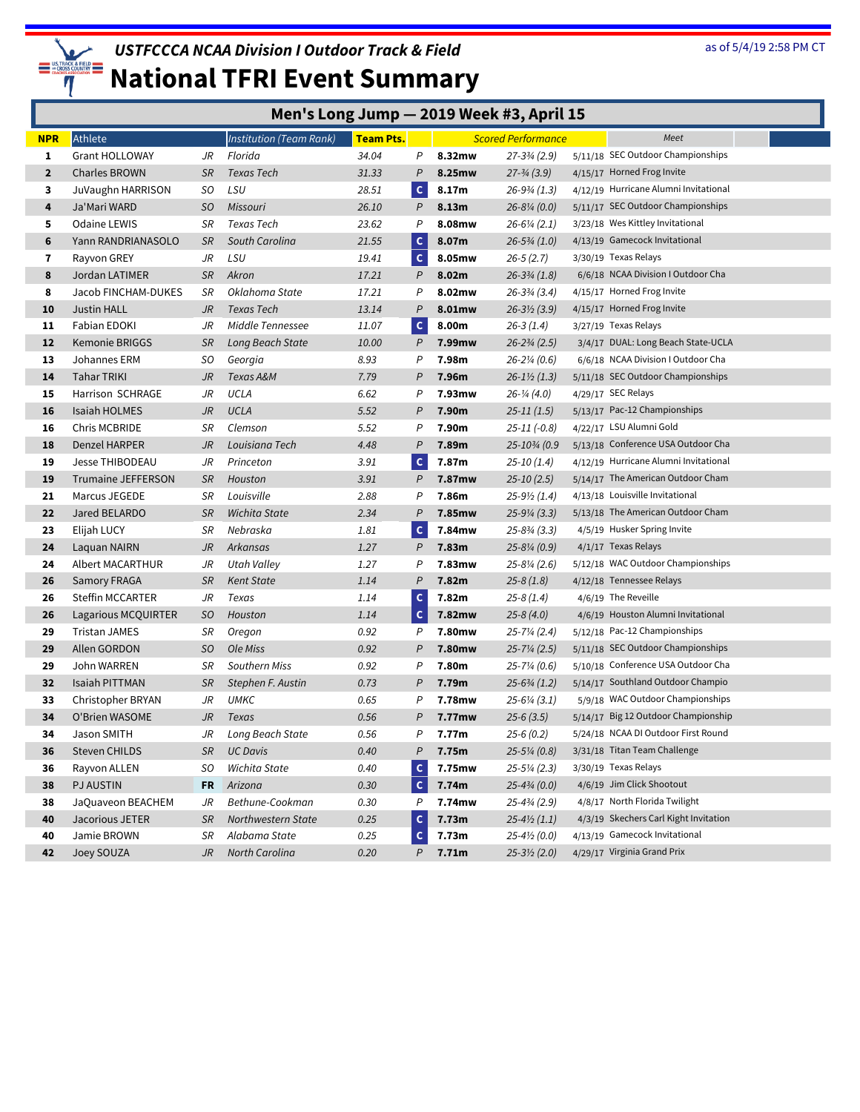

|              | Men's Long Jump - 2019 Week #3, April 15 |           |                                |                  |              |           |                           |  |                                       |
|--------------|------------------------------------------|-----------|--------------------------------|------------------|--------------|-----------|---------------------------|--|---------------------------------------|
| <b>NPR</b>   | Athlete                                  |           | <b>Institution (Team Rank)</b> | <b>Team Pts.</b> |              |           | <b>Scored Performance</b> |  | Meet                                  |
| 1            | <b>Grant HOLLOWAY</b>                    | JR        | Florida                        | 34.04            | P            | 8.32mw    | $27 - 3\frac{3}{4}$ (2.9) |  | 5/11/18 SEC Outdoor Championships     |
| $\mathbf{2}$ | Charles BROWN                            | <b>SR</b> | Texas Tech                     | 31.33            | $\mathsf{P}$ | 8.25mw    | $27 - \frac{3}{4} (3.9)$  |  | 4/15/17 Horned Frog Invite            |
| 3            | JuVaughn HARRISON                        | SO        | LSU                            | 28.51            | $\mathsf{C}$ | 8.17m     | $26 - 9\frac{3}{4}$ (1.3) |  | 4/12/19 Hurricane Alumni Invitational |
| 4            | Ja'Mari WARD                             | SO.       | Missouri                       | 26.10            | P            | 8.13m     | $26 - 8\frac{1}{4}$ (0.0) |  | 5/11/17 SEC Outdoor Championships     |
| 5            | Odaine LEWIS                             | SR        | Texas Tech                     | 23.62            | P            | 8.08mw    | $26 - 6\frac{1}{4}$ (2.1) |  | 3/23/18 Wes Kittley Invitational      |
| 6            | Yann RANDRIANASOLO                       | <b>SR</b> | South Carolina                 | 21.55            | $\mathsf{C}$ | 8.07m     | $26 - 5\frac{3}{4}$ (1.0) |  | 4/13/19 Gamecock Invitational         |
| 7            | Rayvon GREY                              | JR        | LSU                            | 19.41            | $\mathsf{C}$ | 8.05mw    | $26 - 5(2.7)$             |  | 3/30/19 Texas Relays                  |
| 8            | Jordan LATIMER                           | SR        | Akron                          | 17.21            | P            | 8.02m     | $26 - 3\frac{3}{4}$ (1.8) |  | 6/6/18 NCAA Division I Outdoor Cha    |
| 8            | Jacob FINCHAM-DUKES                      | SR        | Oklahoma State                 | 17.21            | P            | 8.02mw    | $26 - 3\frac{3}{4}$ (3.4) |  | 4/15/17 Horned Frog Invite            |
| 10           | Justin HALL                              | JR        | Texas Tech                     | 13.14            | P            | 8.01mw    | $26 - 3\frac{1}{2}$ (3.9) |  | 4/15/17 Horned Frog Invite            |
| 11           | Fabian EDOKI                             | JR        | Middle Tennessee               | 11.07            | $\mathsf{C}$ | 8.00m     | $26-3(1.4)$               |  | 3/27/19 Texas Relays                  |
| 12           | Kemonie BRIGGS                           | <b>SR</b> | Long Beach State               | 10.00            | P            | 7.99mw    | $26 - 2\frac{3}{4}$ (2.5) |  | 3/4/17 DUAL: Long Beach State-UCLA    |
| 13           | Johannes ERM                             | SO.       | Georgia                        | 8.93             | P            | 7.98m     | $26 - 2\frac{1}{4}$ (0.6) |  | 6/6/18 NCAA Division I Outdoor Cha    |
| 14           | Tahar TRIKI                              | JR        | Texas A&M                      | 7.79             | Ρ            | 7.96m     | $26 - 1\frac{1}{2}$ (1.3) |  | 5/11/18 SEC Outdoor Championships     |
| 15           | <b>Harrison SCHRAGE</b>                  | JR        | UCLA                           | 6.62             | P            | 7.93mw    | $26 - \frac{1}{4}$ (4.0)  |  | 4/29/17 SEC Relays                    |
| 16           | Isaiah HOLMES                            | JR        | <b>UCLA</b>                    | 5.52             | P            | 7.90m     | $25 - 11(1.5)$            |  | 5/13/17 Pac-12 Championships          |
| 16           | Chris MCBRIDE                            | SR        | Clemson                        | 5.52             | P            | 7.90m     | $25 - 11 (-0.8)$          |  | 4/22/17 LSU Alumni Gold               |
| 18           | Denzel HARPER                            | JR        | Louisiana Tech                 | 4.48             | P            | 7.89m     | 25-103/4 (0.9             |  | 5/13/18 Conference USA Outdoor Cha    |
| 19           | Jesse THIBODEAU                          | JR        | Princeton                      | 3.91             | $\mathsf{C}$ | 7.87m     | $25-10(1.4)$              |  | 4/12/19 Hurricane Alumni Invitational |
| 19           | <b>Trumaine JEFFERSON</b>                | <b>SR</b> | Houston                        | 3.91             | P            | 7.87mw    | $25 - 10(2.5)$            |  | 5/14/17 The American Outdoor Cham     |
| 21           | Marcus JEGEDE                            | SR        | Louisville                     | 2.88             | P            | 7.86m     | $25-9\frac{1}{2}(1.4)$    |  | 4/13/18 Louisville Invitational       |
| 22           | Jared BELARDO                            | <b>SR</b> | <b>Wichita State</b>           | 2.34             | P            | 7.85mw    | $25 - 9\frac{1}{4}$ (3.3) |  | 5/13/18 The American Outdoor Cham     |
| 23           | Elijah LUCY                              | SR        | Nebraska                       | 1.81             | $\mathsf{C}$ | 7.84mw    | $25 - 8\frac{3}{4}$ (3.3) |  | 4/5/19 Husker Spring Invite           |
| 24           | Laquan NAIRN                             | JR        | Arkansas                       | 1.27             | P            | 7.83m     | $25 - 8\frac{1}{4}$ (0.9) |  | 4/1/17 Texas Relays                   |
| 24           | Albert MACARTHUR                         | JR        | Utah Valley                    | 1.27             | P            | 7.83mw    | $25 - 8\frac{1}{4}$ (2.6) |  | 5/12/18 WAC Outdoor Championships     |
| 26           | <b>Samory FRAGA</b>                      | <b>SR</b> | <b>Kent State</b>              | 1.14             | $\mathsf{P}$ | 7.82m     | $25-8(1.8)$               |  | 4/12/18 Tennessee Relays              |
| 26           | <b>Steffin MCCARTER</b>                  | JR        | Texas                          | 1.14             | $\mathsf{C}$ | 7.82m     | $25-8(1.4)$               |  | 4/6/19 The Reveille                   |
| 26           | Lagarious MCQUIRTER                      | SO        | Houston                        | 1.14             | $\mathsf{C}$ | 7.82mw    | $25-8(4.0)$               |  | 4/6/19 Houston Alumni Invitational    |
| 29           | <b>Tristan JAMES</b>                     | SR        | Oregon                         | 0.92             | P            | 7.80mw    | $25 - 7\frac{1}{4}$ (2.4) |  | 5/12/18 Pac-12 Championships          |
| 29           | Allen GORDON                             | SO        | Ole Miss                       | 0.92             | P            | 7.80mw    | $25 - 7\frac{1}{4}$ (2.5) |  | 5/11/18 SEC Outdoor Championships     |
| 29           | John WARREN                              | SR        | <b>Southern Miss</b>           | 0.92             | P            | 7.80m     | $25 - 7\frac{1}{4}$ (0.6) |  | 5/10/18 Conference USA Outdoor Cha    |
| 32           | Isaiah PITTMAN                           | <b>SR</b> | Stephen F. Austin              | 0.73             | Ρ            | 7.79m     | $25 - 6\frac{3}{4}$ (1.2) |  | 5/14/17 Southland Outdoor Champio     |
| 33           | Christopher BRYAN                        | JR        | <b>UMKC</b>                    | 0.65             | P            | 7.78mw    | $25 - 6\frac{1}{4}$ (3.1) |  | 5/9/18 WAC Outdoor Championships      |
| 34           | O'Brien WASOME                           | JR        | Texas                          | 0.56             | P            | 7.77mw    | $25-6(3.5)$               |  | 5/14/17 Big 12 Outdoor Championship   |
| 34           | Jason SMITH                              | JR        | Long Beach State               | 0.56             | P            | 7.77m     | $25-6(0.2)$               |  | 5/24/18 NCAA DI Outdoor First Round   |
| 36           | Steven CHILDS                            | SR        | <b>UC Davis</b>                | 0.40             | P            | 7.75m     | $25 - 5\frac{1}{4}$ (0.8) |  | 3/31/18 Titan Team Challenge          |
| 36           | Rayvon ALLEN                             | SO.       | Wichita State                  | 0.40             | c            | 7.75mw    | $25 - 5\frac{1}{4}$ (2.3) |  | 3/30/19 Texas Relays                  |
| 38           | <b>PJ AUSTIN</b>                         | FR        | Arizona                        | 0.30             | $\mathsf{C}$ | 7.74m     | $25 - 4\frac{3}{4}$ (0.0) |  | 4/6/19 Jim Click Shootout             |
| 38           | JaQuaveon BEACHEM                        | JR        | Bethune-Cookman                | 0.30             | P            | 7.74mw    | $25 - 4\frac{3}{4}$ (2.9) |  | 4/8/17 North Florida Twilight         |
| 40           | Jacorious JETER                          | SR        | Northwestern State             | 0.25             | $\mathsf{C}$ | 7.73m     | $25-4\frac{1}{2}(1.1)$    |  | 4/3/19 Skechers Carl Kight Invitation |
| 40           | Jamie BROWN                              | SR        | Alabama State                  | 0.25             | $\mathsf{C}$ | 7.73m     | $25 - 4\frac{1}{2}$ (0.0) |  | 4/13/19 Gamecock Invitational         |
| 42           | Joey SOUZA                               | JR        | North Carolina                 | 0.20             |              | $P$ 7.71m | $25 - 3\frac{1}{2}$ (2.0) |  | 4/29/17 Virginia Grand Prix           |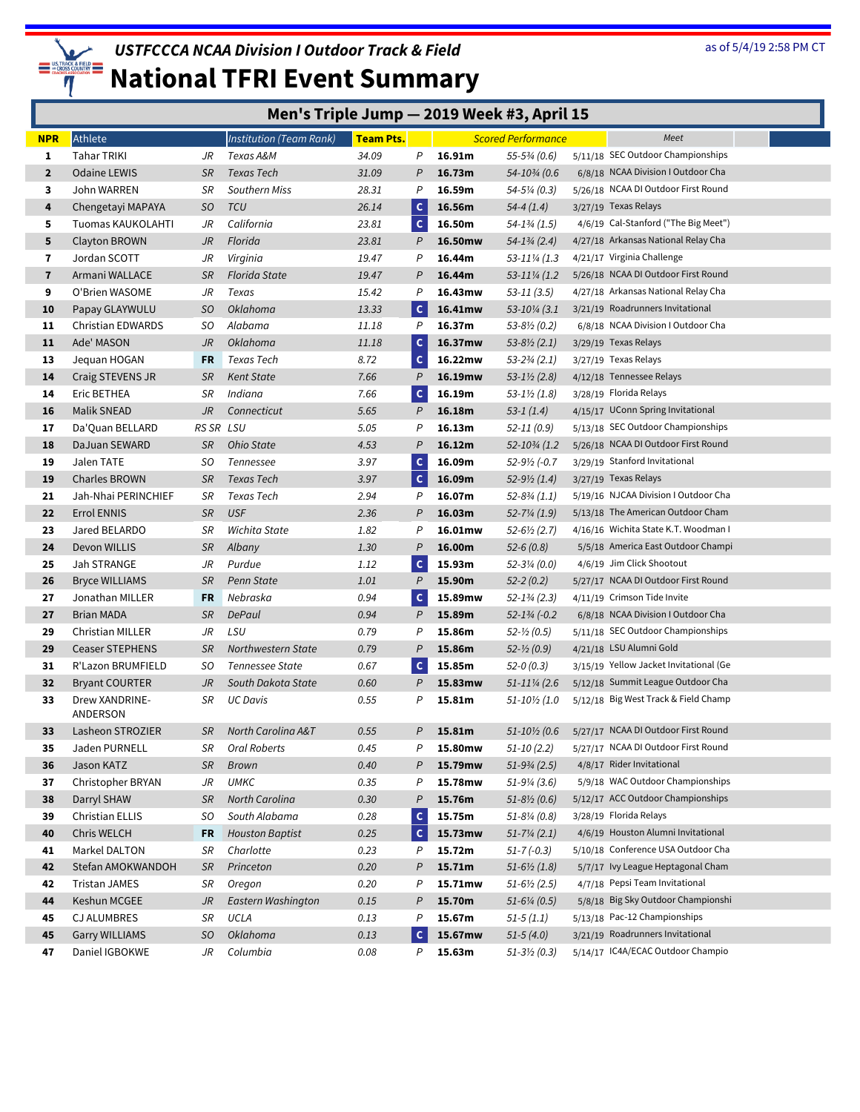

|                | Men's Triple Jump - 2019 Week #3, April 15                                                         |                |                        |       |              |         |                            |  |                                        |
|----------------|----------------------------------------------------------------------------------------------------|----------------|------------------------|-------|--------------|---------|----------------------------|--|----------------------------------------|
| <b>NPR</b>     | <b>Team Pts.</b><br><b>Institution (Team Rank)</b><br><b>Scored Performance</b><br>Meet<br>Athlete |                |                        |       |              |         |                            |  |                                        |
| 1              | Tahar TRIKI                                                                                        | JR             | Texas A&M              | 34.09 | P            | 16.91m  | $55-5\frac{3}{4}$ (0.6)    |  | 5/11/18 SEC Outdoor Championships      |
| $\mathbf{2}$   | <b>Odaine LEWIS</b>                                                                                | <b>SR</b>      | Texas Tech             | 31.09 | P            | 16.73m  | 54-103/4 (0.6              |  | 6/8/18 NCAA Division I Outdoor Cha     |
| 3              | John WARREN                                                                                        | SR             | <b>Southern Miss</b>   | 28.31 | P            | 16.59m  | 54-5¼ (0.3)                |  | 5/26/18 NCAA DI Outdoor First Round    |
| 4              | Chengetayi MAPAYA                                                                                  | SO             | <b>TCU</b>             | 26.14 | $\mathsf{C}$ | 16.56m  | $54-4(1.4)$                |  | 3/27/19 Texas Relays                   |
| 5              | Tuomas KAUKOLAHTI                                                                                  | JR             | California             | 23.81 | $\mathsf{C}$ | 16.50m  | 54-13/4 (1.5)              |  | 4/6/19 Cal-Stanford ("The Big Meet")   |
| 5              | Clayton BROWN                                                                                      | JR             | Florida                | 23.81 | P            | 16.50mw | $54 - 1\frac{3}{4}$ (2.4)  |  | 4/27/18 Arkansas National Relay Cha    |
| 7              | Jordan SCOTT                                                                                       | JR             | Virginia               | 19.47 | Ρ            | 16.44m  | 53-111/4 (1.3)             |  | 4/21/17 Virginia Challenge             |
| $\overline{7}$ | Armani WALLACE                                                                                     | <b>SR</b>      | <b>Florida State</b>   | 19.47 | P            | 16.44m  | 53-111/4 (1.2)             |  | 5/26/18 NCAA DI Outdoor First Round    |
| 9              | O'Brien WASOME                                                                                     | JR             | Texas                  | 15.42 | Ρ            | 16.43mw | 53-11 (3.5)                |  | 4/27/18 Arkansas National Relay Cha    |
| 10             | Papay GLAYWULU                                                                                     | SO             | <b>Oklahoma</b>        | 13.33 | $\mathbf{C}$ | 16.41mw | 53-101/4 (3.1)             |  | 3/21/19 Roadrunners Invitational       |
| 11             | <b>Christian EDWARDS</b>                                                                           | SO.            | Alabama                | 11.18 | P            | 16.37m  | $53 - 8\frac{1}{2}$ (0.2)  |  | 6/8/18 NCAA Division I Outdoor Cha     |
| 11             | Ade' MASON                                                                                         | JR             | <b>Oklahoma</b>        | 11.18 | $\mathsf{C}$ | 16.37mw | $53 - 8\frac{1}{2}$ (2.1)  |  | 3/29/19 Texas Relays                   |
| 13             | Jequan HOGAN                                                                                       | FR             | Texas Tech             | 8.72  | $\mathsf{C}$ | 16.22mw | $53 - 2\frac{3}{4}$ (2.1)  |  | 3/27/19 Texas Relays                   |
| 14             | Craig STEVENS JR                                                                                   | <b>SR</b>      | <b>Kent State</b>      | 7.66  | $\mathcal P$ | 16.19mw | $53 - 1\frac{1}{2}$ (2.8)  |  | 4/12/18 Tennessee Relays               |
| 14             | Eric BETHEA                                                                                        | SR             | Indiana                | 7.66  | $\mathsf{C}$ | 16.19m  | 53-1½ (1.8)                |  | 3/28/19 Florida Relays                 |
| 16             | <b>Malik SNEAD</b>                                                                                 | JR             | Connecticut            | 5.65  | P            | 16.18m  | $53-1(1.4)$                |  | 4/15/17 UConn Spring Invitational      |
| 17             | Da'Quan BELLARD                                                                                    | RS SR LSU      |                        | 5.05  | P            | 16.13m  | $52 - 11(0.9)$             |  | 5/13/18 SEC Outdoor Championships      |
| 18             | DaJuan SEWARD                                                                                      | <b>SR</b>      | Ohio State             | 4.53  | P            | 16.12m  | 52-103/4 (1.2)             |  | 5/26/18 NCAA DI Outdoor First Round    |
| 19             | Jalen TATE                                                                                         | SO.            | Tennessee              | 3.97  | $\mathsf{C}$ | 16.09m  | $52 - 9\frac{1}{2}$ (-0.7  |  | 3/29/19 Stanford Invitational          |
| 19             | <b>Charles BROWN</b>                                                                               | <b>SR</b>      | <b>Texas Tech</b>      | 3.97  | $\mathsf{C}$ | 16.09m  | $52-9\frac{1}{2}(1.4)$     |  | 3/27/19 Texas Relays                   |
| 21             | Jah-Nhai PERINCHIEF                                                                                | SR             | Texas Tech             | 2.94  | P            | 16.07m  | 52-83/4 (1.1)              |  | 5/19/16 NJCAA Division I Outdoor Cha   |
| 22             | Errol ENNIS                                                                                        | <b>SR</b>      | <b>USF</b>             | 2.36  | P            | 16.03m  | 52-7¼ (1.9)                |  | 5/13/18 The American Outdoor Cham      |
| 23             | Jared BELARDO                                                                                      | SR             | Wichita State          | 1.82  | P            | 16.01mw | $52 - 6\frac{1}{2}$ (2.7)  |  | 4/16/16 Wichita State K.T. Woodman I   |
| 24             | Devon WILLIS                                                                                       | <b>SR</b>      | Albany                 | 1.30  | P            | 16.00m  | $52-6(0.8)$                |  | 5/5/18 America East Outdoor Champi     |
| 25             | Jah STRANGE                                                                                        | JR             | Purdue                 | 1.12  | $\mathsf{C}$ | 15.93m  | 52-3¼ (0.0)                |  | 4/6/19 Jim Click Shootout              |
| 26             | <b>Bryce WILLIAMS</b>                                                                              | <b>SR</b>      | Penn State             | 1.01  | P            | 15.90m  | $52 - 2(0.2)$              |  | 5/27/17 NCAA DI Outdoor First Round    |
| 27             | Jonathan MILLER                                                                                    | <b>FR</b>      | Nebraska               | 0.94  | $\mathsf{c}$ | 15.89mw | $52 - 1\frac{3}{4}$ (2.3)  |  | 4/11/19 Crimson Tide Invite            |
| 27             | Brian MADA                                                                                         | <b>SR</b>      | DePaul                 | 0.94  | P            | 15.89m  | $52 - 1\frac{3}{4}$ (-0.2) |  | 6/8/18 NCAA Division I Outdoor Cha     |
| 29             | Christian MILLER                                                                                   | JR             | LSU                    | 0.79  | P            | 15.86m  | $52 - \frac{1}{2} (0.5)$   |  | 5/11/18 SEC Outdoor Championships      |
| 29             | <b>Ceaser STEPHENS</b>                                                                             | <b>SR</b>      | Northwestern State     | 0.79  | P            | 15.86m  | $52 - \frac{1}{2} (0.9)$   |  | 4/21/18 LSU Alumni Gold                |
| 31             | R'Lazon BRUMFIELD                                                                                  | SO.            | <b>Tennessee State</b> | 0.67  | $\mathsf{C}$ | 15.85m  | $52-0(0.3)$                |  | 3/15/19 Yellow Jacket Invitational (Ge |
| 32             | <b>Bryant COURTER</b>                                                                              | J <sub>R</sub> | South Dakota State     | 0.60  | P            | 15.83mw | 51-11¼ (2.6                |  | 5/12/18 Summit League Outdoor Cha      |
| 33             | Drew XANDRINE-<br>ANDERSON                                                                         | SR             | <b>UC Davis</b>        | 0.55  | Ρ            | 15.81m  | 51-10½ (1.0                |  | 5/12/18 Big West Track & Field Champ   |
| 33             | Lasheon STROZIER                                                                                   | SR             | North Carolina A&T     | 0.55  | P            | 15.81m  | 51-10½ (0.6                |  | 5/27/17 NCAA DI Outdoor First Round    |
| 35             | Jaden PURNELL                                                                                      | SR             | Oral Roberts           | 0.45  | Ρ            | 15.80mw | $51-10(2.2)$               |  | 5/27/17 NCAA DI Outdoor First Round    |
| 36             | Jason KATZ                                                                                         | <b>SR</b>      | Brown                  | 0.40  | P            | 15.79mw | $51-9\frac{3}{4}$ (2.5)    |  | 4/8/17 Rider Invitational              |
| 37             | Christopher BRYAN                                                                                  | JR             | <b>UMKC</b>            | 0.35  | Ρ            | 15.78mw | $51-9\frac{1}{4}$ (3.6)    |  | 5/9/18 WAC Outdoor Championships       |
| 38             | Darryl SHAW                                                                                        | <b>SR</b>      | North Carolina         | 0.30  | P            | 15.76m  | $51 - 8\frac{1}{2}$ (0.6)  |  | 5/12/17 ACC Outdoor Championships      |
| 39             | Christian ELLIS                                                                                    | SO             | South Alabama          | 0.28  | $\mathsf{C}$ | 15.75m  | $51 - 8\%$ (0.8)           |  | 3/28/19 Florida Relays                 |
| 40             | Chris WELCH                                                                                        | FR             | <b>Houston Baptist</b> | 0.25  | $\mathbf c$  | 15.73mw | $51 - 7\frac{1}{4}$ (2.1)  |  | 4/6/19 Houston Alumni Invitational     |
| 41             | Markel DALTON                                                                                      | SR             | Charlotte              | 0.23  | P            | 15.72m  | $51 - 7(-0.3)$             |  | 5/10/18 Conference USA Outdoor Cha     |
| 42             | Stefan AMOKWANDOH                                                                                  | <b>SR</b>      | Princeton              | 0.20  | P            | 15.71m  | $51 - 6\frac{1}{2}$ (1.8)  |  | 5/7/17 Ivy League Heptagonal Cham      |
| 42             | <b>Tristan JAMES</b>                                                                               | SR             | Oregon                 | 0.20  | Ρ            | 15.71mw | $51-6\frac{1}{2}(2.5)$     |  | 4/7/18 Pepsi Team Invitational         |
| 44             | Keshun MCGEE                                                                                       | JR             | Eastern Washington     | 0.15  | P            | 15.70m  | $51-6\frac{1}{4}$ (0.5)    |  | 5/8/18 Big Sky Outdoor Championshi     |
| 45             | <b>CJ ALUMBRES</b>                                                                                 | SR             | UCLA                   | 0.13  | Ρ            | 15.67m  | $51-5(1.1)$                |  | 5/13/18 Pac-12 Championships           |
| 45             | <b>Garry WILLIAMS</b>                                                                              | SO             | Oklahoma               | 0.13  | $\mathsf{C}$ | 15.67mw | $51-5(4.0)$                |  | 3/21/19 Roadrunners Invitational       |
| 47             | Daniel IGBOKWE                                                                                     | JR             | Columbia               | 0.08  | P            | 15.63m  | $51-3\frac{1}{2}$ (0.3)    |  | 5/14/17 IC4A/ECAC Outdoor Champio      |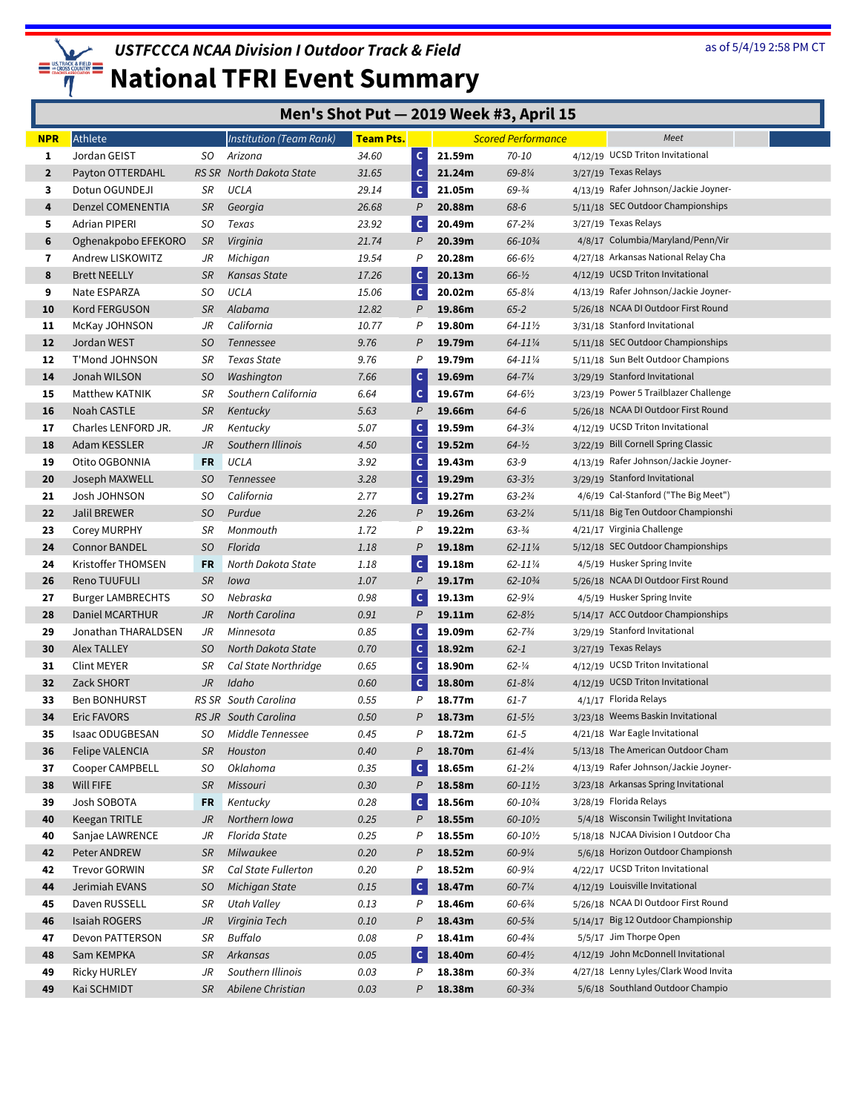

| Men's Shot Put - 2019 Week #3, April 15 |  |  |
|-----------------------------------------|--|--|
|-----------------------------------------|--|--|

| <b>NPR</b>     | Athlete                  |           | Institution (Team Rank)  | <b>Team Pts.</b> |                |        | <b>Scored Performance</b> | Meet                                  |  |
|----------------|--------------------------|-----------|--------------------------|------------------|----------------|--------|---------------------------|---------------------------------------|--|
| 1              | Jordan GEIST             | SO.       | Arizona                  | 34.60            | $\mathsf{C}$   | 21.59m | 70-10                     | 4/12/19 UCSD Triton Invitational      |  |
| $\overline{2}$ | Payton OTTERDAHL         |           | RS SR North Dakota State | 31.65            | $\mathsf{C}$   | 21.24m | 69-81/4                   | 3/27/19 Texas Relays                  |  |
| 3              | Dotun OGUNDEJI           | SR        | UCLA                     | 29.14            | $\mathsf{C}$   | 21.05m | $69 - \frac{3}{4}$        | 4/13/19 Rafer Johnson/Jackie Joyner-  |  |
| 4              | Denzel COMENENTIA        | <b>SR</b> | Georgia                  | 26.68            | $\overline{P}$ | 20.88m | 68-6                      | 5/11/18 SEC Outdoor Championships     |  |
| 5              | <b>Adrian PIPERI</b>     | SO        | Texas                    | 23.92            | $\mathbf{C}$   | 20.49m | 67-23/4                   | 3/27/19 Texas Relays                  |  |
| 6              | Oghenakpobo EFEKORO      | <b>SR</b> | Virginia                 | 21.74            | P              | 20.39m | 66-103/4                  | 4/8/17 Columbia/Maryland/Penn/Vir     |  |
| 7              | Andrew LISKOWITZ         | JR        | Michigan                 | 19.54            | P              | 20.28m | 66-6½                     | 4/27/18 Arkansas National Relay Cha   |  |
| 8              | <b>Brett NEELLY</b>      | <b>SR</b> | Kansas State             | 17.26            | $\mathsf{C}$   | 20.13m | $66 - 1/2$                | 4/12/19 UCSD Triton Invitational      |  |
| 9              | Nate ESPARZA             | SO.       | UCLA                     | 15.06            | $\mathsf{C}$   | 20.02m | 65-81/4                   | 4/13/19 Rafer Johnson/Jackie Joyner-  |  |
| 10             | Kord FERGUSON            | <b>SR</b> | Alabama                  | 12.82            | P              | 19.86m | $65 - 2$                  | 5/26/18 NCAA DI Outdoor First Round   |  |
| 11             | McKay JOHNSON            | JR        | California               | 10.77            | P              | 19.80m | 64-111/2                  | 3/31/18 Stanford Invitational         |  |
| 12             | Jordan WEST              | SO        | Tennessee                | 9.76             | P              | 19.79m | 64-111/4                  | 5/11/18 SEC Outdoor Championships     |  |
| 12             | T'Mond JOHNSON           | SR        | <b>Texas State</b>       | 9.76             | P              | 19.79m | 64-111/4                  | 5/11/18 Sun Belt Outdoor Champions    |  |
| 14             | Jonah WILSON             | SO        | Washington               | 7.66             | $\mathsf{C}$   | 19.69m | 64-71/4                   | 3/29/19 Stanford Invitational         |  |
| 15             | Matthew KATNIK           | SR        | Southern California      | 6.64             | $\mathsf{C}$   | 19.67m | 64-6½                     | 3/23/19 Power 5 Trailblazer Challenge |  |
| 16             | Noah CASTLE              | <b>SR</b> | Kentucky                 | 5.63             | P              | 19.66m | $64 - 6$                  | 5/26/18 NCAA DI Outdoor First Round   |  |
| 17             | Charles LENFORD JR.      | JR        | Kentucky                 | 5.07             | $\mathsf{C}$   | 19.59m | 64-31/4                   | 4/12/19 UCSD Triton Invitational      |  |
| 18             | Adam KESSLER             | JR        | Southern Illinois        | 4.50             | $\mathsf{C}$   | 19.52m | $64 - \frac{1}{2}$        | 3/22/19 Bill Cornell Spring Classic   |  |
| 19             | Otito OGBONNIA           | FR        | UCLA                     | 3.92             | $\mathsf{C}$   | 19.43m | 63-9                      | 4/13/19 Rafer Johnson/Jackie Joyner-  |  |
| 20             | Joseph MAXWELL           | SO        | Tennessee                | 3.28             | $\mathsf{C}$   | 19.29m | $63 - 3\frac{1}{2}$       | 3/29/19 Stanford Invitational         |  |
| 21             | Josh JOHNSON             | SO.       | California               | 2.77             | $\mathsf{C}$   | 19.27m | $63 - 234$                | 4/6/19 Cal-Stanford ("The Big Meet")  |  |
| 22             | Jalil BREWER             | SO        | Purdue                   | 2.26             | P              | 19.26m | $63 - 2\frac{1}{4}$       | 5/11/18 Big Ten Outdoor Championshi   |  |
| 23             | <b>Corey MURPHY</b>      | SR        | Monmouth                 | 1.72             | P              | 19.22m | $63 - 3/4$                | 4/21/17 Virginia Challenge            |  |
| 24             | <b>Connor BANDEL</b>     | SO        | Florida                  | 1.18             | P              | 19.18m | $62 - 11\%$               | 5/12/18 SEC Outdoor Championships     |  |
| 24             | Kristoffer THOMSEN       | FR        | North Dakota State       | 1.18             | $\mathsf{C}$   | 19.18m | 62-111/4                  | 4/5/19 Husker Spring Invite           |  |
| 26             | Reno TUUFULI             | <b>SR</b> | Iowa                     | 1.07             | $\mathsf{P}$   | 19.17m | 62-103/4                  | 5/26/18 NCAA DI Outdoor First Round   |  |
| 27             | <b>Burger LAMBRECHTS</b> | SO.       | Nebraska                 | 0.98             | $\mathsf{C}$   | 19.13m | $62 - 9\%$                | 4/5/19 Husker Spring Invite           |  |
| 28             | Daniel MCARTHUR          | JR        | North Carolina           | 0.91             | $\mathsf{P}$   | 19.11m | $62 - 8\frac{1}{2}$       | 5/14/17 ACC Outdoor Championships     |  |
| 29             | Jonathan THARALDSEN      | JR        | Minnesota                | 0.85             | $\mathsf{C}$   | 19.09m | $62 - 73/4$               | 3/29/19 Stanford Invitational         |  |
| 30             | Alex TALLEY              | SO.       | North Dakota State       | 0.70             | $\mathsf c$    | 18.92m | $62 - 1$                  | 3/27/19 Texas Relays                  |  |
| 31             | Clint MEYER              | SR        | Cal State Northridge     | 0.65             | $\mathsf{C}$   | 18.90m | $62 - 1/4$                | 4/12/19 UCSD Triton Invitational      |  |
| 32             | Zack SHORT               | JR        | Idaho                    | 0.60             | $\mathsf{C}$   | 18.80m | $61 - 8\%$                | 4/12/19 UCSD Triton Invitational      |  |
| 33             | <b>Ben BONHURST</b>      |           | RS SR South Carolina     | 0.55             | P              | 18.77m | $61 - 7$                  | 4/1/17 Florida Relays                 |  |
| 34             | Eric FAVORS              |           | RS JR South Carolina     | 0.50             | P              | 18.73m | $61 - 5\%$                | 3/23/18 Weems Baskin Invitational     |  |
| 35             | <b>Isaac ODUGBESAN</b>   | SO.       | Middle Tennessee         | 0.45             | P              | 18.72m | $61 - 5$                  | 4/21/18 War Eagle Invitational        |  |
| 36             | Felipe VALENCIA          | <b>SR</b> | Houston                  | 0.40             | P              | 18.70m | $61 - 4\%$                | 5/13/18 The American Outdoor Cham     |  |
| 37             | Cooper CAMPBELL          | SO        | <b>Oklahoma</b>          | 0.35             | $\mathsf{C}$   | 18.65m | $61 - 2\frac{1}{4}$       | 4/13/19 Rafer Johnson/Jackie Joyner-  |  |
| 38             | Will FIFE                | <b>SR</b> | Missouri                 | 0.30             | $\mathcal{P}$  | 18.58m | 60-11½                    | 3/23/18 Arkansas Spring Invitational  |  |
| 39             | Josh SOBOTA              | <b>FR</b> | Kentucky                 | 0.28             | $\mathsf{C}$   | 18.56m | 60-103/4                  | 3/28/19 Florida Relays                |  |
| 40             | Keegan TRITLE            | JR        | Northern Iowa            | 0.25             | $\mathsf{P}$   | 18.55m | 60-10½                    | 5/4/18 Wisconsin Twilight Invitationa |  |
| 40             | Sanjae LAWRENCE          | JR        | Florida State            | 0.25             | P              | 18.55m | 60-101/2                  | 5/18/18 NJCAA Division I Outdoor Cha  |  |
| 42             | Peter ANDREW             | SR        | Milwaukee                | 0.20             | P              | 18.52m | 60-91/4                   | 5/6/18 Horizon Outdoor Championsh     |  |
| 42             | <b>Trevor GORWIN</b>     | SR        | Cal State Fullerton      | 0.20             | P              | 18.52m | 60-91/4                   | 4/22/17 UCSD Triton Invitational      |  |
| 44             | Jerimiah EVANS           | SO        | Michigan State           | 0.15             | $\vert$ C      | 18.47m | $60 - 7\frac{1}{4}$       | 4/12/19 Louisville Invitational       |  |
| 45             | Daven RUSSELL            | SR        | <b>Utah Valley</b>       | 0.13             | P              | 18.46m | 60-63/4                   | 5/26/18 NCAA DI Outdoor First Round   |  |
| 46             | Isaiah ROGERS            | JR        | Virginia Tech            | 0.10             | P              | 18.43m | 60-53/4                   | 5/14/17 Big 12 Outdoor Championship   |  |
| 47             | Devon PATTERSON          | SR        | Buffalo                  | 0.08             | P              | 18.41m | 60-4¾                     | 5/5/17 Jim Thorpe Open                |  |
| 48             | Sam KEMPKA               | SR        | Arkansas                 | 0.05             | $\mathsf{C}$   | 18.40m | $60 - 4\frac{1}{2}$       | 4/12/19 John McDonnell Invitational   |  |
| 49             | <b>Ricky HURLEY</b>      | JR        | Southern Illinois        | 0.03             | P              | 18.38m | 60-33/4                   | 4/27/18 Lenny Lyles/Clark Wood Invita |  |
| 49             | Kai SCHMIDT              | <b>SR</b> | Abilene Christian        | 0.03             | P              | 18.38m | 60-33/4                   | 5/6/18 Southland Outdoor Champio      |  |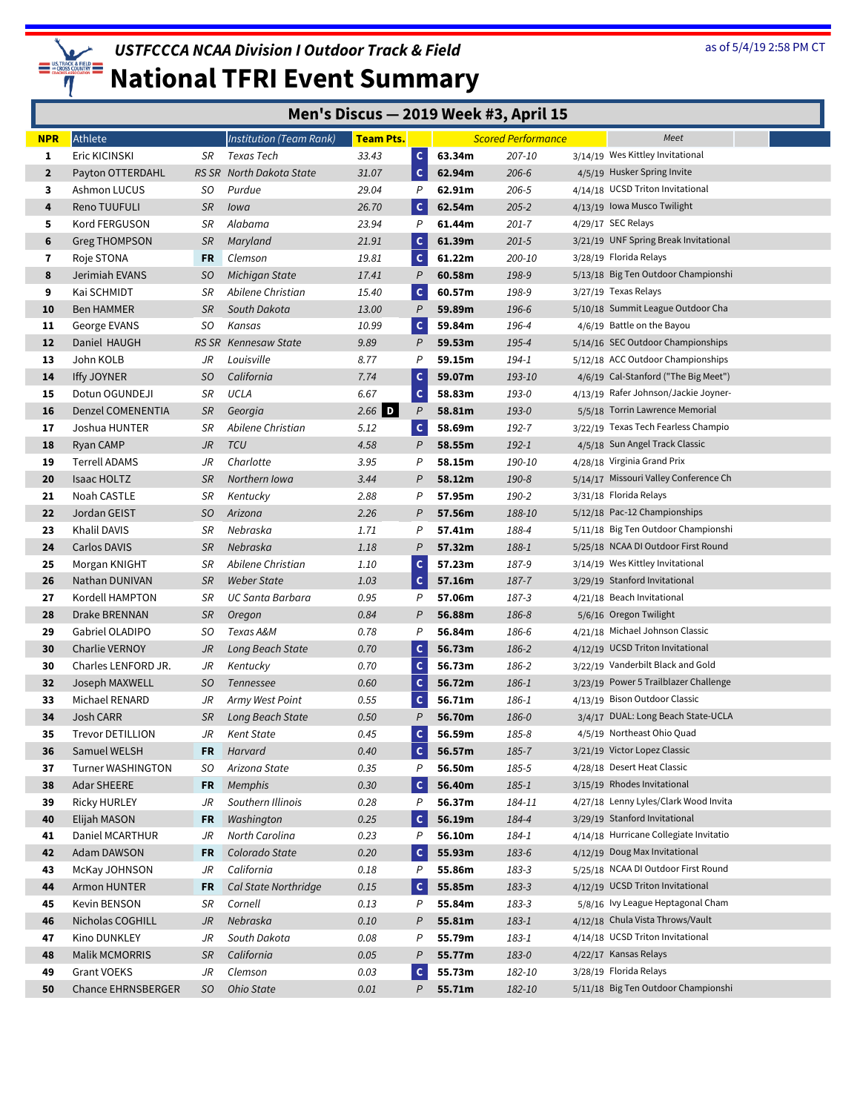

| Men's Discus - 2019 Week #3, April 15 |  |  |
|---------------------------------------|--|--|
|---------------------------------------|--|--|

| <b>NPR</b>     | Athlete                   |           | <b>Institution (Team Rank)</b> | <b>Team Pts.</b> |                  |        | <b>Scored Performance</b> | Meet                                   |
|----------------|---------------------------|-----------|--------------------------------|------------------|------------------|--------|---------------------------|----------------------------------------|
| 1              | Eric KICINSKI             | SR        | Texas Tech                     | 33.43            | $\mathsf{C}$     | 63.34m | 207-10                    | 3/14/19 Wes Kittley Invitational       |
| $\overline{2}$ | Payton OTTERDAHL          |           | RS SR North Dakota State       | 31.07            | $\mathbf{C}$     | 62.94m | $206 - 6$                 | 4/5/19 Husker Spring Invite            |
| 3              | Ashmon LUCUS              | SO.       | Purdue                         | 29.04            | P                | 62.91m | $206 - 5$                 | 4/14/18 UCSD Triton Invitational       |
| 4              | Reno TUUFULI              | <b>SR</b> | Iowa                           | 26.70            | $\mathbf{C}$     | 62.54m | $205 - 2$                 | 4/13/19 Iowa Musco Twilight            |
| 5              | Kord FERGUSON             | SR        | Alabama                        | 23.94            | P                | 61.44m | $201 - 7$                 | 4/29/17 SEC Relays                     |
| 6              | <b>Greg THOMPSON</b>      | <b>SR</b> | Maryland                       | 21.91            | $\mathsf{C}$     | 61.39m | $201 - 5$                 | 3/21/19 UNF Spring Break Invitational  |
| 7              | Roje STONA                | FR        | Clemson                        | 19.81            | $\mathsf{C}$     | 61.22m | 200-10                    | 3/28/19 Florida Relays                 |
| 8              | Jerimiah EVANS            | SO        | Michigan State                 | 17.41            | $\boldsymbol{P}$ | 60.58m | 198-9                     | 5/13/18 Big Ten Outdoor Championshi    |
| 9              | Kai SCHMIDT               | SR        | Abilene Christian              | 15.40            | $\mathsf{C}$     | 60.57m | 198-9                     | 3/27/19 Texas Relays                   |
| 10             | <b>Ben HAMMER</b>         | <b>SR</b> | South Dakota                   | 13.00            | P                | 59.89m | 196-6                     | 5/10/18 Summit League Outdoor Cha      |
| 11             | George EVANS              | SO        | Kansas                         | 10.99            | $\mathsf{c}$     | 59.84m | 196-4                     | 4/6/19 Battle on the Bayou             |
| 12             | Daniel HAUGH              |           | RS SR Kennesaw State           | 9.89             | P                | 59.53m | 195-4                     | 5/14/16 SEC Outdoor Championships      |
| 13             | John KOLB                 | JR        | Louisville                     | 8.77             | P                | 59.15m | 194-1                     | 5/12/18 ACC Outdoor Championships      |
| 14             | Iffy JOYNER               | SO        | California                     | 7.74             | $\mathsf{C}$     | 59.07m | 193-10                    | 4/6/19 Cal-Stanford ("The Big Meet")   |
| 15             | Dotun OGUNDEJI            | SR        | UCLA                           | 6.67             | $\mathsf{C}$     | 58.83m | 193-0                     | 4/13/19 Rafer Johnson/Jackie Joyner-   |
| 16             | Denzel COMENENTIA         | <b>SR</b> | Georgia                        | $2.66$ D         | P                | 58.81m | 193-0                     | 5/5/18 Torrin Lawrence Memorial        |
| 17             | Joshua HUNTER             | SR        | Abilene Christian              | 5.12             | $\mathsf{C}$     | 58.69m | 192-7                     | 3/22/19 Texas Tech Fearless Champio    |
| 18             | Ryan CAMP                 | JR        | <b>TCU</b>                     | 4.58             | P                | 58.55m | $192 - 1$                 | 4/5/18 Sun Angel Track Classic         |
| 19             | Terrell ADAMS             | JR        | Charlotte                      | 3.95             | Ρ                | 58.15m | 190-10                    | 4/28/18 Virginia Grand Prix            |
| 20             | <b>Isaac HOLTZ</b>        | <b>SR</b> | Northern Iowa                  | 3.44             | P                | 58.12m | 190-8                     | 5/14/17 Missouri Valley Conference Ch  |
| 21             | Noah CASTLE               | SR        | Kentucky                       | 2.88             | Ρ                | 57.95m | 190-2                     | 3/31/18 Florida Relays                 |
| 22             | Jordan GEIST              | SO        | Arizona                        | 2.26             | P                | 57.56m | 188-10                    | 5/12/18 Pac-12 Championships           |
| 23             | Khalil DAVIS              | SR        | Nebraska                       | 1.71             | Ρ                | 57.41m | 188-4                     | 5/11/18 Big Ten Outdoor Championshi    |
| 24             | Carlos DAVIS              | <b>SR</b> | Nebraska                       | 1.18             | P                | 57.32m | 188-1                     | 5/25/18 NCAA DI Outdoor First Round    |
| 25             | Morgan KNIGHT             | SR        | Abilene Christian              | 1.10             | $\mathsf{C}$     | 57.23m | 187-9                     | 3/14/19 Wes Kittley Invitational       |
| 26             | Nathan DUNIVAN            | <b>SR</b> | <b>Weber State</b>             | 1.03             | $\mathsf{C}$     | 57.16m | 187-7                     | 3/29/19 Stanford Invitational          |
| 27             | Kordell HAMPTON           | SR        | <b>UC Santa Barbara</b>        | 0.95             | P                | 57.06m | 187-3                     | 4/21/18 Beach Invitational             |
| 28             | Drake BRENNAN             | <b>SR</b> | Oregon                         | 0.84             | P                | 56.88m | 186-8                     | 5/6/16 Oregon Twilight                 |
| 29             | Gabriel OLADIPO           | SO.       | Texas A&M                      | 0.78             | P                | 56.84m | 186-6                     | 4/21/18 Michael Johnson Classic        |
| 30             | <b>Charlie VERNOY</b>     | JR        | Long Beach State               | 0.70             | $\mathsf{C}$     | 56.73m | 186-2                     | 4/12/19 UCSD Triton Invitational       |
| 30             | Charles LENFORD JR.       | JR        | Kentucky                       | 0.70             | $\mathsf{C}$     | 56.73m | 186-2                     | 3/22/19 Vanderbilt Black and Gold      |
| 32             | Joseph MAXWELL            | SO.       | Tennessee                      | 0.60             | $\mathsf{C}$     | 56.72m | 186-1                     | 3/23/19 Power 5 Trailblazer Challenge  |
| 33             | Michael RENARD            | JR        | Army West Point                | 0.55             | $\mathsf{C}$     | 56.71m | 186-1                     | 4/13/19 Bison Outdoor Classic          |
| 34             | Josh CARR                 | <b>SR</b> | Long Beach State               | 0.50             | $\mathcal P$     | 56.70m | 186-0                     | 3/4/17 DUAL: Long Beach State-UCLA     |
| 35             | <b>Trevor DETILLION</b>   | JR        | <b>Kent State</b>              | 0.45             | $\mathsf{C}$     | 56.59m | 185-8                     | 4/5/19 Northeast Ohio Quad             |
| 36             | Samuel WELSH              | <b>FR</b> | Harvard                        | 0.40             | $\mathsf{C}$     | 56.57m | 185-7                     | 3/21/19 Victor Lopez Classic           |
| 37             | <b>Turner WASHINGTON</b>  | SO.       | Arizona State                  | 0.35             | P                | 56.50m | 185-5                     | 4/28/18 Desert Heat Classic            |
| 38             | Adar SHEERE               | <b>FR</b> | <b>Memphis</b>                 | 0.30             | $\mathsf{C}$     | 56.40m | $185 - 1$                 | 3/15/19 Rhodes Invitational            |
| 39             | <b>Ricky HURLEY</b>       | JR        | Southern Illinois              | 0.28             | P                | 56.37m | 184-11                    | 4/27/18 Lenny Lyles/Clark Wood Invita  |
| 40             | Elijah MASON              | FR        | Washington                     | 0.25             | $\vert c \vert$  | 56.19m | 184-4                     | 3/29/19 Stanford Invitational          |
| 41             | Daniel MCARTHUR           | JR        | North Carolina                 | 0.23             | P                | 56.10m | 184-1                     | 4/14/18 Hurricane Collegiate Invitatio |
| 42             | Adam DAWSON               | <b>FR</b> | Colorado State                 | 0.20             | $\vert c \vert$  | 55.93m | 183-6                     | 4/12/19 Doug Max Invitational          |
| 43             | McKay JOHNSON             | JR        | California                     | 0.18             | P                | 55.86m | 183-3                     | 5/25/18 NCAA DI Outdoor First Round    |
| 44             | Armon HUNTER              | <b>FR</b> | Cal State Northridge           | 0.15             | $\mathbf{C}$     | 55.85m | 183-3                     | 4/12/19 UCSD Triton Invitational       |
| 45             | Kevin BENSON              | SR        | Cornell                        | 0.13             | P                | 55.84m | 183-3                     | 5/8/16 Ivy League Heptagonal Cham      |
| 46             | Nicholas COGHILL          | JR        | Nebraska                       | 0.10             | P                | 55.81m | 183-1                     | 4/12/18 Chula Vista Throws/Vault       |
| 47             | Kino DUNKLEY              | JR        | South Dakota                   | 0.08             | Ρ                | 55.79m | 183-1                     | 4/14/18 UCSD Triton Invitational       |
| 48             | <b>Malik MCMORRIS</b>     | <b>SR</b> | California                     | 0.05             | P                | 55.77m | 183-0                     | 4/22/17 Kansas Relays                  |
| 49             | <b>Grant VOEKS</b>        | JR        | Clemson                        | 0.03             | $\mathsf{c}$     | 55.73m | 182-10                    | 3/28/19 Florida Relays                 |
| 50             | <b>Chance EHRNSBERGER</b> | SO.       | <b>Ohio State</b>              | 0.01             | P                | 55.71m | 182-10                    | 5/11/18 Big Ten Outdoor Championshi    |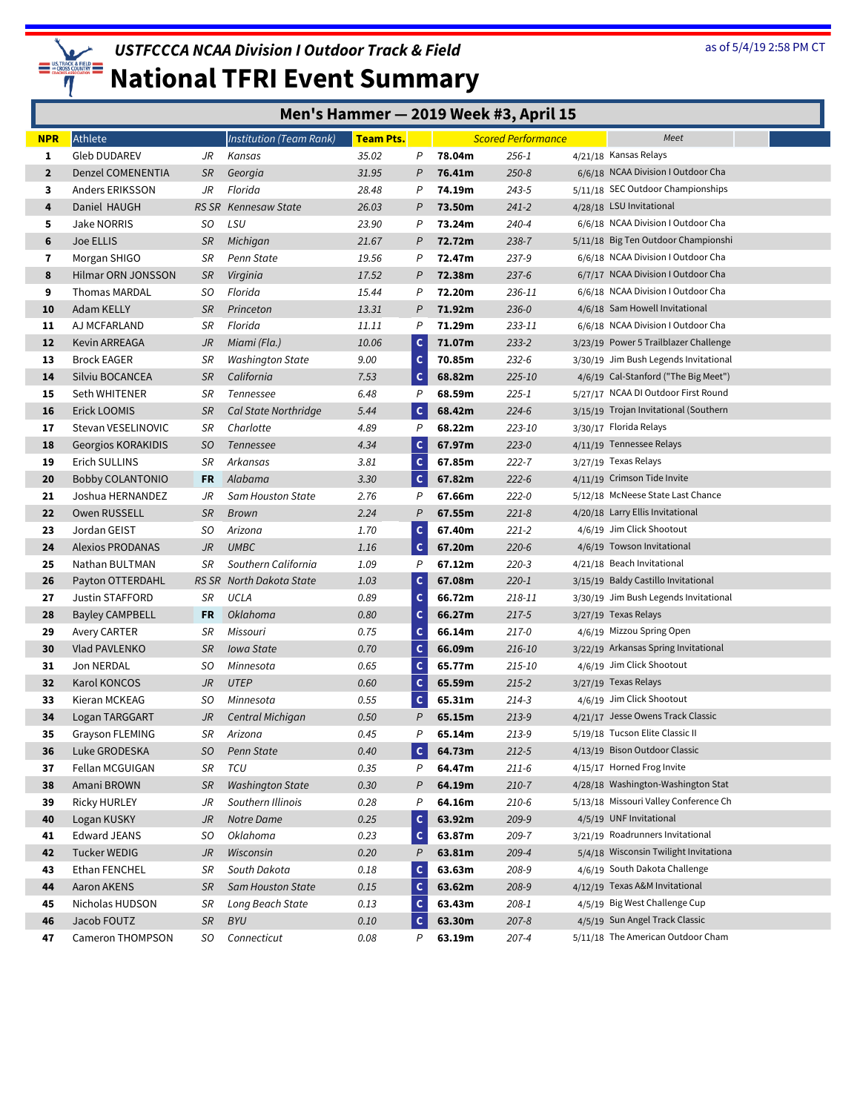

|                         | Men's Hammer - 2019 Week #3, April 15 |           |                                |                  |                              |                  |                           |  |                                                                   |  |
|-------------------------|---------------------------------------|-----------|--------------------------------|------------------|------------------------------|------------------|---------------------------|--|-------------------------------------------------------------------|--|
| <b>NPR</b>              | Athlete                               |           | <b>Institution (Team Rank)</b> | <b>Team Pts.</b> |                              |                  | <b>Scored Performance</b> |  | Meet                                                              |  |
| 1                       | <b>Gleb DUDAREV</b>                   | JR        | Kansas                         | 35.02            | P                            | 78.04m           | 256-1                     |  | 4/21/18 Kansas Relays                                             |  |
| $\overline{2}$          | Denzel COMENENTIA                     | <b>SR</b> | Georgia                        | 31.95            | P                            | 76.41m           | $250 - 8$                 |  | 6/6/18 NCAA Division I Outdoor Cha                                |  |
| 3                       | Anders ERIKSSON                       | JR        | Florida                        | 28.48            | P                            | 74.19m           | 243-5                     |  | 5/11/18 SEC Outdoor Championships                                 |  |
| 4                       | Daniel HAUGH                          |           | RS SR Kennesaw State           | 26.03            | P                            | 73.50m           | $241 - 2$                 |  | 4/28/18 LSU Invitational                                          |  |
| 5                       | <b>Jake NORRIS</b>                    | SO.       | LSU                            | 23.90            | P                            | 73.24m           | 240-4                     |  | 6/6/18 NCAA Division I Outdoor Cha                                |  |
| 6                       | Joe ELLIS                             | <b>SR</b> | Michigan                       | 21.67            | P                            | 72.72m           | 238-7                     |  | 5/11/18 Big Ten Outdoor Championshi                               |  |
| $\overline{\mathbf{r}}$ | Morgan SHIGO                          | SR        | Penn State                     | 19.56            | P                            | 72.47m           | 237-9                     |  | 6/6/18 NCAA Division I Outdoor Cha                                |  |
| 8                       | Hilmar ORN JONSSON                    | <b>SR</b> | Virginia                       | 17.52            | P                            | 72.38m           | $237-6$                   |  | 6/7/17 NCAA Division I Outdoor Cha                                |  |
| 9                       | <b>Thomas MARDAL</b>                  | SO        | Florida                        | 15.44            | Ρ                            | 72.20m           | 236-11                    |  | 6/6/18 NCAA Division I Outdoor Cha                                |  |
| 10                      | Adam KELLY                            | <b>SR</b> | Princeton                      | 13.31            | P                            | 71.92m           | $236 - 0$                 |  | 4/6/18 Sam Howell Invitational                                    |  |
| 11                      | AJ MCFARLAND                          | SR        | Florida                        | 11.11            | P                            | 71.29m           | 233-11                    |  | 6/6/18 NCAA Division I Outdoor Cha                                |  |
| 12                      | Kevin ARREAGA                         | JR        | Miami (Fla.)                   | 10.06            | $\mathsf{c}$                 | 71.07m           | $233 - 2$                 |  | 3/23/19 Power 5 Trailblazer Challenge                             |  |
| 13                      | <b>Brock EAGER</b>                    | SR        | <b>Washington State</b>        | 9.00             | $\mathsf{C}$                 | 70.85m           | $232 - 6$                 |  | 3/30/19 Jim Bush Legends Invitational                             |  |
| 14                      | Silviu BOCANCEA                       | <b>SR</b> | California                     | 7.53             | $\mathsf{C}$                 | 68.82m           | 225-10                    |  | 4/6/19 Cal-Stanford ("The Big Meet")                              |  |
| 15                      | Seth WHITENER                         | SR        | Tennessee                      | 6.48             | P                            | 68.59m           | $225 - 1$                 |  | 5/27/17 NCAA DI Outdoor First Round                               |  |
| 16                      | Erick LOOMIS                          | <b>SR</b> | Cal State Northridge           | 5.44             | $\mathsf{C}$                 | 68.42m           | $224 - 6$                 |  | 3/15/19 Trojan Invitational (Southern                             |  |
| 17                      | Stevan VESELINOVIC                    | SR        | Charlotte                      | 4.89             | $\overline{P}$               | 68.22m           | 223-10                    |  | 3/30/17 Florida Relays                                            |  |
| 18                      | Georgios KORAKIDIS                    | SO.       | Tennessee                      | 4.34             | $\mathsf{C}$                 | 67.97m           | $223 - 0$                 |  | 4/11/19 Tennessee Relays                                          |  |
| 19                      | Erich SULLINS                         | SR        | Arkansas                       | 3.81             | $\mathsf{C}$                 | 67.85m           | $222 - 7$                 |  | 3/27/19 Texas Relays                                              |  |
| 20                      | <b>Bobby COLANTONIO</b>               | FR.       | Alabama                        | 3.30             | c                            | 67.82m           | $222 - 6$                 |  | 4/11/19 Crimson Tide Invite                                       |  |
| 21                      | Joshua HERNANDEZ                      | JR        | Sam Houston State              | 2.76             | P                            | 67.66m           | $222 - 0$                 |  | 5/12/18 McNeese State Last Chance                                 |  |
| 22                      | Owen RUSSELL                          | <b>SR</b> | <b>Brown</b>                   | 2.24             | P                            | 67.55m           | $221 - 8$                 |  | 4/20/18 Larry Ellis Invitational                                  |  |
| 23                      | Jordan GEIST                          | SO.       | Arizona                        | 1.70             | $\mathsf{C}$                 | 67.40m           | $221 - 2$                 |  | 4/6/19 Jim Click Shootout                                         |  |
| 24                      | <b>Alexios PRODANAS</b>               | JR        | <b>UMBC</b>                    | 1.16             | $\mathsf{C}$                 | 67.20m           | $220 - 6$                 |  | 4/6/19 Towson Invitational                                        |  |
| 25                      | Nathan BULTMAN                        | SR        | Southern California            | 1.09             | P                            | 67.12m           | $220 - 3$                 |  | 4/21/18 Beach Invitational                                        |  |
| 26                      | Payton OTTERDAHL                      |           | RS SR North Dakota State       | 1.03             | $\mathsf{C}$                 | 67.08m           | $220 - 1$                 |  | 3/15/19 Baldy Castillo Invitational                               |  |
| 27                      | Justin STAFFORD                       | SR        | UCLA                           | 0.89             | $\mathsf{C}$                 | 66.72m           | 218-11                    |  | 3/30/19 Jim Bush Legends Invitational                             |  |
| 28                      | Bayley CAMPBELL                       | FR        | Oklahoma                       | 0.80             | $\mathsf{C}$                 | 66.27m           | $217 - 5$                 |  | 3/27/19 Texas Relays                                              |  |
| 29<br>30                | <b>Avery CARTER</b>                   | SR        | Missouri                       | 0.75<br>0.70     | $\mathsf{C}$                 | 66.14m           | $217 - 0$                 |  | 4/6/19 Mizzou Spring Open<br>3/22/19 Arkansas Spring Invitational |  |
|                         | Vlad PAVLENKO<br>Jon NERDAL           | <b>SR</b> | Iowa State                     |                  | $\mathsf{C}$<br>$\mathsf{C}$ | 66.09m           | 216-10                    |  | 4/6/19 Jim Click Shootout                                         |  |
| 31<br>32                |                                       | SO<br>JR  | Minnesota<br><b>UTEP</b>       | 0.65<br>0.60     | $\mathsf{C}$                 | 65.77m<br>65.59m | 215-10<br>$215 - 2$       |  | 3/27/19 Texas Relays                                              |  |
|                         | Karol KONCOS                          |           | Minnesota                      | 0.55             |                              |                  |                           |  | 4/6/19 Jim Click Shootout                                         |  |
| 33<br>34                | Kieran MCKEAG<br>Logan TARGGART       | SO<br>JR  | Central Michigan               | 0.50             | c<br>$\overline{P}$          | 65.31m<br>65.15m | $214 - 3$<br>$213 - 9$    |  | 4/21/17 Jesse Owens Track Classic                                 |  |
| 35                      | Grayson FLEMING                       | SR        | Arizona                        | 0.45             | P                            | 65.14m           | 213-9                     |  | 5/19/18 Tucson Elite Classic II                                   |  |
| 36                      | Luke GRODESKA                         | SO.       | Penn State                     | 0.40             | $\mathsf{C}$                 | 64.73m           | $212 - 5$                 |  | 4/13/19 Bison Outdoor Classic                                     |  |
| 37                      | Fellan MCGUIGAN                       | SR        | TCU                            | 0.35             | P                            | 64.47m           | $211-6$                   |  | 4/15/17 Horned Frog Invite                                        |  |
| 38                      | Amani BROWN                           | <b>SR</b> | <b>Washington State</b>        | 0.30             | P                            | 64.19m           | $210 - 7$                 |  | 4/28/18 Washington-Washington Stat                                |  |
| 39                      | <b>Ricky HURLEY</b>                   | JR        | Southern Illinois              | 0.28             | Ρ                            | 64.16m           | $210-6$                   |  | 5/13/18 Missouri Valley Conference Ch                             |  |
| 40                      | Logan KUSKY                           | JR        | Notre Dame                     | 0.25             | $\mathsf{C}$                 | 63.92m           | 209-9                     |  | 4/5/19 UNF Invitational                                           |  |
| 41                      | <b>Edward JEANS</b>                   | SO.       | Oklahoma                       | 0.23             | $\mathsf{C}$                 | 63.87m           | 209-7                     |  | 3/21/19 Roadrunners Invitational                                  |  |
| 42                      | <b>Tucker WEDIG</b>                   | JR        | Wisconsin                      | 0.20             | $\boldsymbol{P}$             | 63.81m           | 209-4                     |  | 5/4/18 Wisconsin Twilight Invitationa                             |  |
| 43                      | Ethan FENCHEL                         | SR        | South Dakota                   | 0.18             | $\mathsf{C}$                 | 63.63m           | 208-9                     |  | 4/6/19 South Dakota Challenge                                     |  |
| 44                      | Aaron AKENS                           | SR        | <b>Sam Houston State</b>       | 0.15             | $\mathsf{C}$                 | 63.62m           | 208-9                     |  | 4/12/19 Texas A&M Invitational                                    |  |
| 45                      | Nicholas HUDSON                       | SR        | Long Beach State               | 0.13             | c                            | 63.43m           | 208-1                     |  | 4/5/19 Big West Challenge Cup                                     |  |
| 46                      | Jacob FOUTZ                           | <b>SR</b> | BYU                            | 0.10             | c                            | 63.30m           | $207 - 8$                 |  | 4/5/19 Sun Angel Track Classic                                    |  |
| 47                      | Cameron THOMPSON                      | SO        | Connecticut                    | 0.08             | P                            | 63.19m           | $207 - 4$                 |  | 5/11/18 The American Outdoor Cham                                 |  |
|                         |                                       |           |                                |                  |                              |                  |                           |  |                                                                   |  |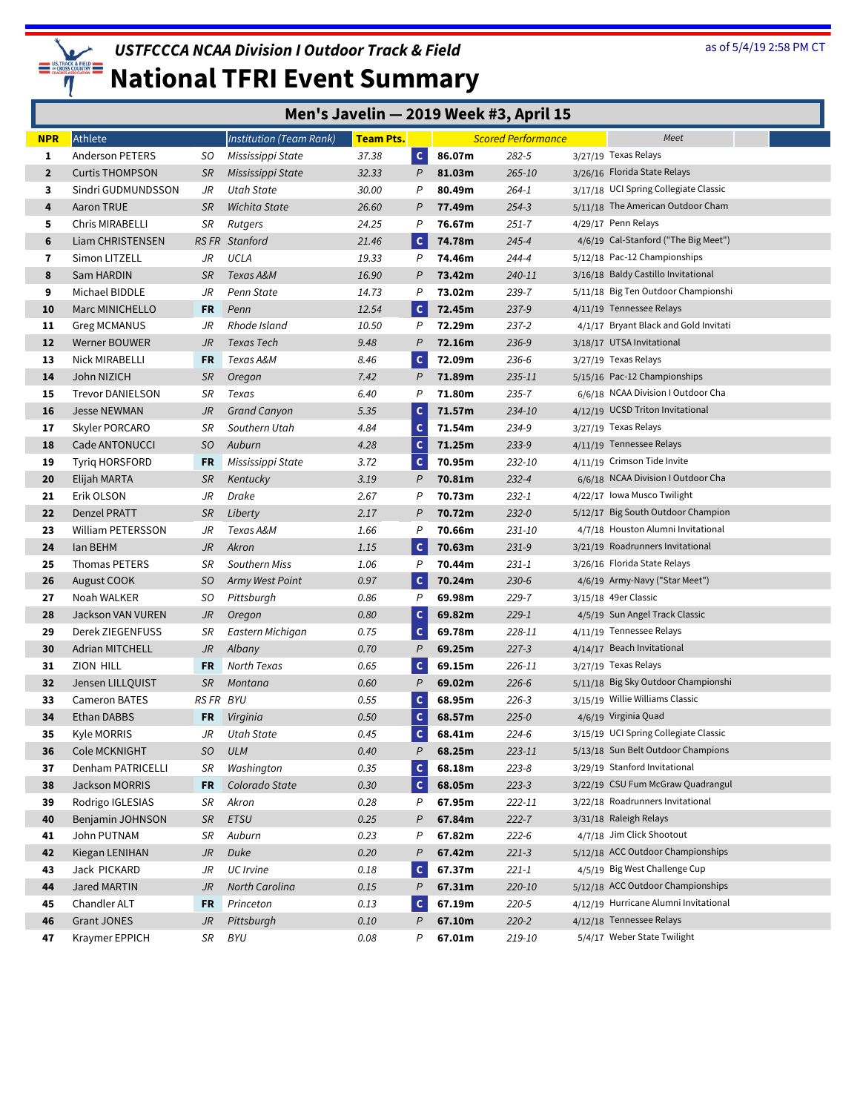

|  | Men's Javelin - 2019 Week #3, April 15 |  |  |  |
|--|----------------------------------------|--|--|--|
|--|----------------------------------------|--|--|--|

| <b>NPR</b>     | Athlete                  |           | Institution (Team Rank) | Team Pts. |                |        | <b>Scored Performance</b> | Meet                                  |
|----------------|--------------------------|-----------|-------------------------|-----------|----------------|--------|---------------------------|---------------------------------------|
| 1              | Anderson PETERS          | SO        | Mississippi State       | 37.38     | $\mathsf{C}$   | 86.07m | 282-5                     | 3/27/19 Texas Relays                  |
| $\overline{2}$ | <b>Curtis THOMPSON</b>   | <b>SR</b> | Mississippi State       | 32.33     | P              | 81.03m | 265-10                    | 3/26/16 Florida State Relays          |
| 3              | Sindri GUDMUNDSSON       | JR        | Utah State              | 30.00     | P              | 80.49m | 264-1                     | 3/17/18 UCI Spring Collegiate Classic |
| 4              | Aaron TRUE               | <b>SR</b> | Wichita State           | 26.60     | P              | 77.49m | $254 - 3$                 | 5/11/18 The American Outdoor Cham     |
| 5              | Chris MIRABELLI          | SR        | Rutgers                 | 24.25     | P              | 76.67m | $251 - 7$                 | 4/29/17 Penn Relays                   |
| 6              | Liam CHRISTENSEN         |           | <b>RSFR</b> Stanford    | 21.46     | $\mathsf{C}$   | 74.78m | $245 - 4$                 | 4/6/19 Cal-Stanford ("The Big Meet")  |
| 7              | Simon LITZELL            | JR        | UCLA                    | 19.33     | P              | 74.46m | 244-4                     | 5/12/18 Pac-12 Championships          |
| 8              | Sam HARDIN               | <b>SR</b> | Texas A&M               | 16.90     | P              | 73.42m | 240-11                    | 3/16/18 Baldy Castillo Invitational   |
| 9              | Michael BIDDLE           | JR        | Penn State              | 14.73     | P              | 73.02m | 239-7                     | 5/11/18 Big Ten Outdoor Championshi   |
| 10             | Marc MINICHELLO          | FR        | Penn                    | 12.54     | $\mathbf{C}$   | 72.45m | $237 - 9$                 | 4/11/19 Tennessee Relays              |
| 11             | <b>Greg MCMANUS</b>      | JR        | Rhode Island            | 10.50     | P              | 72.29m | $237 - 2$                 | 4/1/17 Bryant Black and Gold Invitati |
| 12             | Werner BOUWER            | JR        | Texas Tech              | 9.48      | P              | 72.16m | 236-9                     | 3/18/17 UTSA Invitational             |
| 13             | Nick MIRABELLI           | FR        | Texas A&M               | 8.46      | $\mathsf{C}$   | 72.09m | 236-6                     | 3/27/19 Texas Relays                  |
| 14             | John NIZICH              | <b>SR</b> | Oregon                  | 7.42      | P              | 71.89m | 235-11                    | 5/15/16 Pac-12 Championships          |
| 15             | <b>Trevor DANIELSON</b>  | SR        | Texas                   | 6.40      | P              | 71.80m | 235-7                     | 6/6/18 NCAA Division I Outdoor Cha    |
| 16             | <b>Jesse NEWMAN</b>      | JR        | <b>Grand Canyon</b>     | 5.35      | $\mathsf{C}$   | 71.57m | 234-10                    | 4/12/19 UCSD Triton Invitational      |
| 17             | Skyler PORCARO           | SR        | Southern Utah           | 4.84      | $\mathsf{C}$   | 71.54m | 234-9                     | 3/27/19 Texas Relays                  |
| 18             | Cade ANTONUCCI           | SO        | Auburn                  | 4.28      | c              | 71.25m | $233 - 9$                 | 4/11/19 Tennessee Relays              |
| 19             | <b>Tyrig HORSFORD</b>    | FR        | Mississippi State       | 3.72      | $\mathsf{C}$   | 70.95m | 232-10                    | 4/11/19 Crimson Tide Invite           |
| 20             | Elijah MARTA             | <b>SR</b> | Kentucky                | 3.19      | P              | 70.81m | $232 - 4$                 | 6/6/18 NCAA Division I Outdoor Cha    |
| 21             | Erik OLSON               | JR        | Drake                   | 2.67      | P              | 70.73m | $232 - 1$                 | 4/22/17 Iowa Musco Twilight           |
| 22             | Denzel PRATT             | <b>SR</b> | Liberty                 | 2.17      | P              | 70.72m | $232 - 0$                 | 5/12/17 Big South Outdoor Champion    |
| 23             | <b>William PETERSSON</b> | JR        | Texas A&M               | 1.66      | P              | 70.66m | 231-10                    | 4/7/18 Houston Alumni Invitational    |
| 24             | lan BEHM                 | JR        | Akron                   | 1.15      | $\mathsf{C}$   | 70.63m | $231 - 9$                 | 3/21/19 Roadrunners Invitational      |
| 25             | Thomas PETERS            | SR        | Southern Miss           | 1.06      | P              | 70.44m | $231 - 1$                 | 3/26/16 Florida State Relays          |
| 26             | August COOK              | SO.       | Army West Point         | 0.97      | $\mathsf{C}$   | 70.24m | $230 - 6$                 | 4/6/19 Army-Navy ("Star Meet")        |
| 27             | Noah WALKER              | SO        | Pittsburgh              | 0.86      | P              | 69.98m | 229-7                     | 3/15/18 49er Classic                  |
| 28             | Jackson VAN VUREN        | JR        | Oregon                  | 0.80      | $\mathsf{C}$   | 69.82m | $229 - 1$                 | 4/5/19 Sun Angel Track Classic        |
| 29             | Derek ZIEGENFUSS         | SR        | Eastern Michigan        | 0.75      | $\mathsf{C}$   | 69.78m | 228-11                    | 4/11/19 Tennessee Relays              |
| 30             | <b>Adrian MITCHELL</b>   | JR        | Albany                  | 0.70      | $\overline{P}$ | 69.25m | $227 - 3$                 | 4/14/17 Beach Invitational            |
| 31             | ZION HILL                | FR        | North Texas             | 0.65      | $\mathsf{C}$   | 69.15m | 226-11                    | 3/27/19 Texas Relays                  |
| 32             | Jensen LILLQUIST         | SR        | Montana                 | 0.60      | $\overline{P}$ | 69.02m | $226 - 6$                 | 5/11/18 Big Sky Outdoor Championshi   |
| 33             | <b>Cameron BATES</b>     | RS FR BYU |                         | 0.55      | $\mathsf{C}$   | 68.95m | $226 - 3$                 | 3/15/19 Willie Williams Classic       |
| 34             | Ethan DABBS              | <b>FR</b> | Virginia                | 0.50      | $\mathsf{C}$   | 68.57m | $225 - 0$                 | 4/6/19 Virginia Quad                  |
| 35             | Kyle MORRIS              | JR        | Utah State              | 0.45      | c              | 68.41m | $224 - 6$                 | 3/15/19 UCI Spring Collegiate Classic |
| 36             | Cole MCKNIGHT            | SO        | <b>ULM</b>              | 0.40      | P              | 68.25m | 223-11                    | 5/13/18 Sun Belt Outdoor Champions    |
| 37             | Denham PATRICELLI        | SR        | Washington              | 0.35      | $\mathsf{C}$   | 68.18m | $223 - 8$                 | 3/29/19 Stanford Invitational         |
| 38             | Jackson MORRIS           | <b>FR</b> | Colorado State          | 0.30      | c              | 68.05m | $223 - 3$                 | 3/22/19 CSU Fum McGraw Quadrangul     |
| 39             | Rodrigo IGLESIAS         | SR        | Akron                   | 0.28      | P              | 67.95m | 222-11                    | 3/22/18 Roadrunners Invitational      |
| 40             | Benjamin JOHNSON         | SR        | ETSU                    | 0.25      | P              | 67.84m | $222 - 7$                 | 3/31/18 Raleigh Relays                |
| 41             | John PUTNAM              | SR        | Auburn                  | 0.23      | P              | 67.82m | 222-6                     | 4/7/18 Jim Click Shootout             |
| 42             | Kiegan LENIHAN           | $J\!R$    | Duke                    | 0.20      | P              | 67.42m | $221 - 3$                 | 5/12/18 ACC Outdoor Championships     |
| 43             | Jack PICKARD             | JR        | UC Irvine               | 0.18      | $\mathsf{C}$   | 67.37m | 221-1                     | 4/5/19 Big West Challenge Cup         |
| 44             | Jared MARTIN             | JR        | North Carolina          | 0.15      | $\overline{P}$ | 67.31m | 220-10                    | 5/12/18 ACC Outdoor Championships     |
| 45             | Chandler ALT             | <b>FR</b> | Princeton               | 0.13      | $\mathsf{c}$   | 67.19m | 220-5                     | 4/12/19 Hurricane Alumni Invitational |
| 46             | <b>Grant JONES</b>       | JR        | Pittsburgh              | 0.10      | P              | 67.10m | $220 - 2$                 | 4/12/18 Tennessee Relays              |
| 47             | Kraymer EPPICH           | SR        | BYU                     | 0.08      | P              | 67.01m | 219-10                    | 5/4/17 Weber State Twilight           |